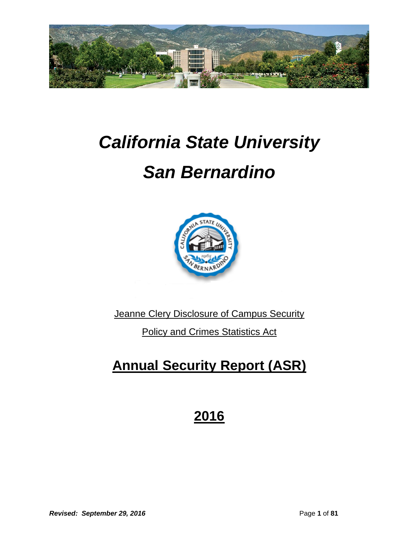

# *California State University*

# *San Bernardino*



**Jeanne Clery Disclosure of Campus Security** 

Policy and Crimes Statistics Act

# **Annual Security Report (ASR)**

## **2016**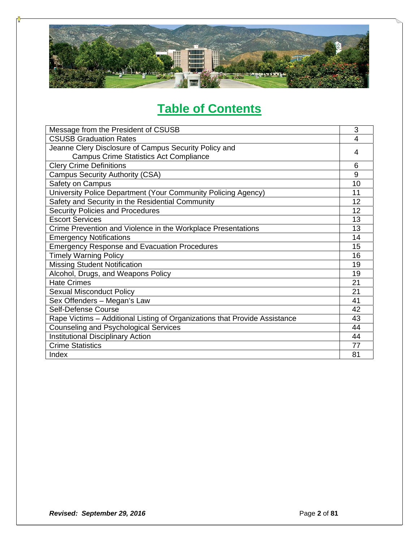

## **Table of Contents**

| Message from the President of CSUSB                                        | 3  |  |  |
|----------------------------------------------------------------------------|----|--|--|
| <b>CSUSB Graduation Rates</b>                                              | 4  |  |  |
| Jeanne Clery Disclosure of Campus Security Policy and                      | 4  |  |  |
| <b>Campus Crime Statistics Act Compliance</b>                              |    |  |  |
| <b>Clery Crime Definitions</b>                                             | 6  |  |  |
| <b>Campus Security Authority (CSA)</b>                                     | 9  |  |  |
| Safety on Campus                                                           | 10 |  |  |
| University Police Department (Your Community Policing Agency)              | 11 |  |  |
| Safety and Security in the Residential Community                           | 12 |  |  |
| <b>Security Policies and Procedures</b>                                    | 12 |  |  |
| <b>Escort Services</b>                                                     | 13 |  |  |
| Crime Prevention and Violence in the Workplace Presentations               | 13 |  |  |
| <b>Emergency Notifications</b>                                             | 14 |  |  |
| <b>Emergency Response and Evacuation Procedures</b>                        | 15 |  |  |
| <b>Timely Warning Policy</b>                                               | 16 |  |  |
| <b>Missing Student Notification</b>                                        | 19 |  |  |
| Alcohol, Drugs, and Weapons Policy                                         | 19 |  |  |
| <b>Hate Crimes</b>                                                         | 21 |  |  |
| <b>Sexual Misconduct Policy</b>                                            | 21 |  |  |
| Sex Offenders - Megan's Law                                                | 41 |  |  |
| Self-Defense Course                                                        | 42 |  |  |
| Rape Victims - Additional Listing of Organizations that Provide Assistance | 43 |  |  |
| <b>Counseling and Psychological Services</b>                               | 44 |  |  |
| <b>Institutional Disciplinary Action</b>                                   |    |  |  |
| <b>Crime Statistics</b>                                                    |    |  |  |
| Index                                                                      | 81 |  |  |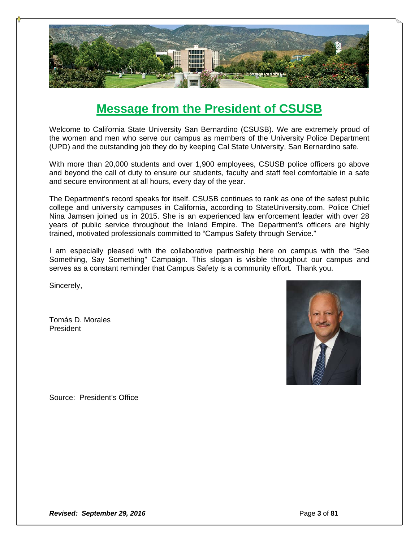

### **Message from the President of CSUSB**

Welcome to California State University San Bernardino (CSUSB). We are extremely proud of the women and men who serve our campus as members of the University Police Department (UPD) and the outstanding job they do by keeping Cal State University, San Bernardino safe.

With more than 20,000 students and over 1,900 employees, CSUSB police officers go above and beyond the call of duty to ensure our students, faculty and staff feel comfortable in a safe and secure environment at all hours, every day of the year.

The Department's record speaks for itself. CSUSB continues to rank as one of the safest public college and university campuses in California, according to StateUniversity.com. Police Chief Nina Jamsen joined us in 2015. She is an experienced law enforcement leader with over 28 years of public service throughout the Inland Empire. The Department's officers are highly trained, motivated professionals committed to "Campus Safety through Service."

I am especially pleased with the collaborative partnership here on campus with the "See Something, Say Something" Campaign. This slogan is visible throughout our campus and serves as a constant reminder that Campus Safety is a community effort. Thank you.

Sincerely,

Tomás D. Morales President



Source: President's Office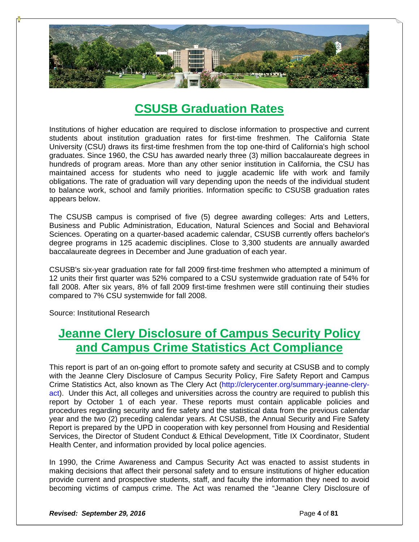

### **CSUSB Graduation Rates**

Institutions of higher education are required to disclose information to prospective and current students about institution graduation rates for first-time freshmen. The California State University (CSU) draws its first-time freshmen from the top one-third of California's high school graduates. Since 1960, the CSU has awarded nearly three (3) million baccalaureate degrees in hundreds of program areas. More than any other senior institution in California, the CSU has maintained access for students who need to juggle academic life with work and family obligations. The rate of graduation will vary depending upon the needs of the individual student to balance work, school and family priorities. Information specific to CSUSB graduation rates appears below.

The CSUSB campus is comprised of five (5) degree awarding colleges: Arts and Letters, Business and Public Administration, Education, Natural Sciences and Social and Behavioral Sciences. Operating on a quarter-based academic calendar, CSUSB currently offers bachelor's degree programs in 125 academic disciplines. Close to 3,300 students are annually awarded baccalaureate degrees in December and June graduation of each year.

CSUSB's six-year graduation rate for fall 2009 first-time freshmen who attempted a minimum of 12 units their first quarter was 52% compared to a CSU systemwide graduation rate of 54% for fall 2008. After six years, 8% of fall 2009 first-time freshmen were still continuing their studies compared to 7% CSU systemwide for fall 2008.

Source: Institutional Research

### **Jeanne Clery Disclosure of Campus Security Policy and Campus Crime Statistics Act Compliance**

This report is part of an on‐going effort to promote safety and security at CSUSB and to comply with the Jeanne Clery Disclosure of Campus Security Policy, Fire Safety Report and Campus Crime Statistics Act, also known as The Clery Act (http://clerycenter.org/summary-jeanne-cleryact). Under this Act, all colleges and universities across the country are required to publish this report by October 1 of each year. These reports must contain applicable policies and procedures regarding security and fire safety and the statistical data from the previous calendar year and the two (2) preceding calendar years. At CSUSB, the Annual Security and Fire Safety Report is prepared by the UPD in cooperation with key personnel from Housing and Residential Services, the Director of Student Conduct & Ethical Development, Title IX Coordinator, Student Health Center, and information provided by local police agencies.

In 1990, the Crime Awareness and Campus Security Act was enacted to assist students in making decisions that affect their personal safety and to ensure institutions of higher education provide current and prospective students, staff, and faculty the information they need to avoid becoming victims of campus crime. The Act was renamed the "Jeanne Clery Disclosure of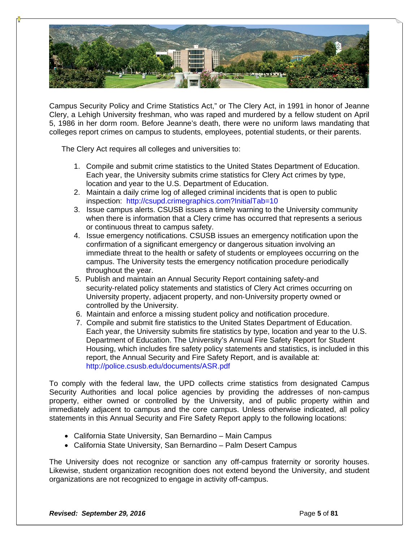

Campus Security Policy and Crime Statistics Act," or The Clery Act, in 1991 in honor of Jeanne Clery, a Lehigh University freshman, who was raped and murdered by a fellow student on April 5, 1986 in her dorm room. Before Jeanne's death, there were no uniform laws mandating that colleges report crimes on campus to students, employees, potential students, or their parents.

The Clery Act requires all colleges and universities to:

- 1. Compile and submit crime statistics to the United States Department of Education. Each year, the University submits crime statistics for Clery Act crimes by type, location and year to the U.S. Department of Education.
- 2. Maintain a daily crime log of alleged criminal incidents that is open to public inspection: http://csupd.crimegraphics.com?InitialTab=10
- 3. Issue campus alerts. CSUSB issues a timely warning to the University community when there is information that a Clery crime has occurred that represents a serious or continuous threat to campus safety.
- 4. Issue emergency notifications. CSUSB issues an emergency notification upon the confirmation of a significant emergency or dangerous situation involving an immediate threat to the health or safety of students or employees occurring on the campus. The University tests the emergency notification procedure periodically throughout the year.
- 5. Publish and maintain an Annual Security Report containing safety‐and security-related policy statements and statistics of Clery Act crimes occurring on University property, adjacent property, and non‐University property owned or controlled by the University.
- 6. Maintain and enforce a missing student policy and notification procedure.
- 7. Compile and submit fire statistics to the United States Department of Education. Each year, the University submits fire statistics by type, location and year to the U.S. Department of Education. The University's Annual Fire Safety Report for Student Housing, which includes fire safety policy statements and statistics, is included in this report, the Annual Security and Fire Safety Report, and is available at: http://police.csusb.edu/documents/ASR.pdf

To comply with the federal law, the UPD collects crime statistics from designated Campus Security Authorities and local police agencies by providing the addresses of non-campus property, either owned or controlled by the University, and of public property within and immediately adjacent to campus and the core campus. Unless otherwise indicated, all policy statements in this Annual Security and Fire Safety Report apply to the following locations:

- California State University, San Bernardino Main Campus
- California State University, San Bernardino Palm Desert Campus

The University does not recognize or sanction any off-campus fraternity or sorority houses. Likewise, student organization recognition does not extend beyond the University, and student organizations are not recognized to engage in activity off-campus.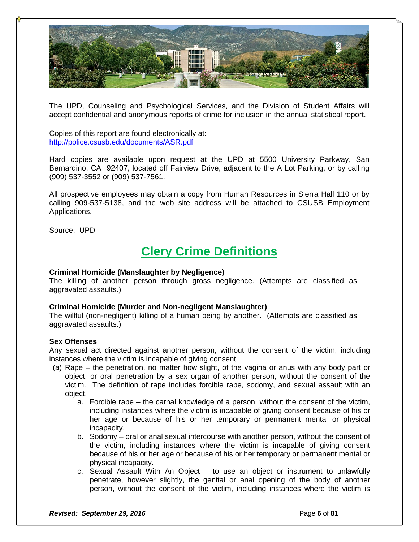

The UPD, Counseling and Psychological Services, and the Division of Student Affairs will accept confidential and anonymous reports of crime for inclusion in the annual statistical report.

Copies of this report are found electronically at: http://police.csusb.edu/documents/ASR.pdf

Hard copies are available upon request at the UPD at 5500 University Parkway, San Bernardino, CA 92407, located off Fairview Drive, adjacent to the A Lot Parking, or by calling (909) 537-3552 or (909) 537-7561.

All prospective employees may obtain a copy from Human Resources in Sierra Hall 110 or by calling 909-537-5138, and the web site address will be attached to CSUSB Employment Applications.

Source: UPD

### **Clery Crime Definitions**

#### **Criminal Homicide (Manslaughter by Negligence)**

The killing of another person through gross negligence. (Attempts are classified as aggravated assaults.)

### **Criminal Homicide (Murder and Non-negligent Manslaughter)**

The willful (non-negligent) killing of a human being by another. (Attempts are classified as aggravated assaults.)

#### **Sex Offenses**

Any sexual act directed against another person, without the consent of the victim, including instances where the victim is incapable of giving consent.

- (a) Rape the penetration, no matter how slight, of the vagina or anus with any body part or object, or oral penetration by a sex organ of another person, without the consent of the victim. The definition of rape includes forcible rape, sodomy, and sexual assault with an object.
	- a. Forcible rape the carnal knowledge of a person, without the consent of the victim, including instances where the victim is incapable of giving consent because of his or her age or because of his or her temporary or permanent mental or physical incapacity.
	- b. Sodomy oral or anal sexual intercourse with another person, without the consent of the victim, including instances where the victim is incapable of giving consent because of his or her age or because of his or her temporary or permanent mental or physical incapacity.
	- c. Sexual Assault With An Object to use an object or instrument to unlawfully penetrate, however slightly, the genital or anal opening of the body of another person, without the consent of the victim, including instances where the victim is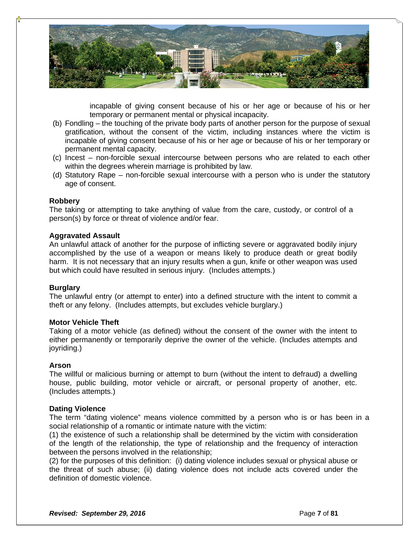

incapable of giving consent because of his or her age or because of his or her temporary or permanent mental or physical incapacity.

- (b) Fondling the touching of the private body parts of another person for the purpose of sexual gratification, without the consent of the victim, including instances where the victim is incapable of giving consent because of his or her age or because of his or her temporary or permanent mental capacity.
- (c) Incest non-forcible sexual intercourse between persons who are related to each other within the degrees wherein marriage is prohibited by law.
- (d) Statutory Rape non-forcible sexual intercourse with a person who is under the statutory age of consent.

#### **Robbery**

The taking or attempting to take anything of value from the care, custody, or control of a person(s) by force or threat of violence and/or fear.

#### **Aggravated Assault**

An unlawful attack of another for the purpose of inflicting severe or aggravated bodily injury accomplished by the use of a weapon or means likely to produce death or great bodily harm. It is not necessary that an injury results when a gun, knife or other weapon was used but which could have resulted in serious injury. (Includes attempts.)

#### **Burglary**

The unlawful entry (or attempt to enter) into a defined structure with the intent to commit a theft or any felony. (Includes attempts, but excludes vehicle burglary.)

#### **Motor Vehicle Theft**

Taking of a motor vehicle (as defined) without the consent of the owner with the intent to either permanently or temporarily deprive the owner of the vehicle. (Includes attempts and joyriding.)

#### **Arson**

The willful or malicious burning or attempt to burn (without the intent to defraud) a dwelling house, public building, motor vehicle or aircraft, or personal property of another, etc. (Includes attempts.)

#### **Dating Violence**

The term "dating violence" means violence committed by a person who is or has been in a social relationship of a romantic or intimate nature with the victim:

(1) the existence of such a relationship shall be determined by the victim with consideration of the length of the relationship, the type of relationship and the frequency of interaction between the persons involved in the relationship;

(2) for the purposes of this definition: (i) dating violence includes sexual or physical abuse or the threat of such abuse; (ii) dating violence does not include acts covered under the definition of domestic violence.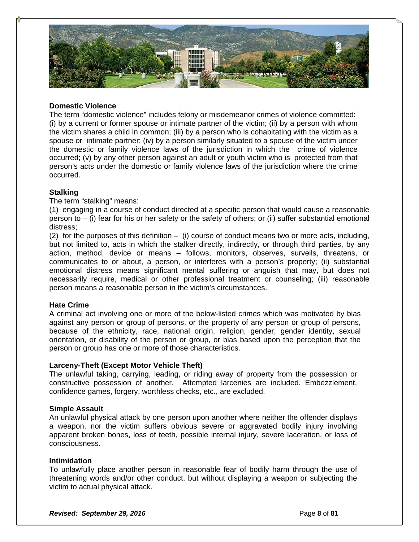

### **Domestic Violence**

The term "domestic violence" includes felony or misdemeanor crimes of violence committed: (i) by a current or former spouse or intimate partner of the victim; (ii) by a person with whom the victim shares a child in common; (iii) by a person who is cohabitating with the victim as a spouse or intimate partner; (iv) by a person similarly situated to a spouse of the victim under the domestic or family violence laws of the jurisdiction in which the crime of violence occurred; (v) by any other person against an adult or youth victim who is protected from that person's acts under the domestic or family violence laws of the jurisdiction where the crime occurred.

### **Stalking**

### The term "stalking" means:

(1) engaging in a course of conduct directed at a specific person that would cause a reasonable person to – (i) fear for his or her safety or the safety of others; or (ii) suffer substantial emotional distress;

(2) for the purposes of this definition – (i) course of conduct means two or more acts, including, but not limited to, acts in which the stalker directly, indirectly, or through third parties, by any action, method, device or means – follows, monitors, observes, surveils, threatens, or communicates to or about, a person, or interferes with a person's property; (ii) substantial emotional distress means significant mental suffering or anguish that may, but does not necessarily require, medical or other professional treatment or counseling; (iii) reasonable person means a reasonable person in the victim's circumstances.

### **Hate Crime**

A criminal act involving one or more of the below-listed crimes which was motivated by bias against any person or group of persons, or the property of any person or group of persons, because of the ethnicity, race, national origin, religion, gender, gender identity, sexual orientation, or disability of the person or group, or bias based upon the perception that the person or group has one or more of those characteristics.

### **Larceny-Theft (Except Motor Vehicle Theft)**

The unlawful taking, carrying, leading, or riding away of property from the possession or constructive possession of another. Attempted larcenies are included. Embezzlement, confidence games, forgery, worthless checks, etc., are excluded.

### **Simple Assault**

An unlawful physical attack by one person upon another where neither the offender displays a weapon, nor the victim suffers obvious severe or aggravated bodily injury involving apparent broken bones, loss of teeth, possible internal injury, severe laceration, or loss of consciousness.

### **Intimidation**

To unlawfully place another person in reasonable fear of bodily harm through the use of threatening words and/or other conduct, but without displaying a weapon or subjecting the victim to actual physical attack.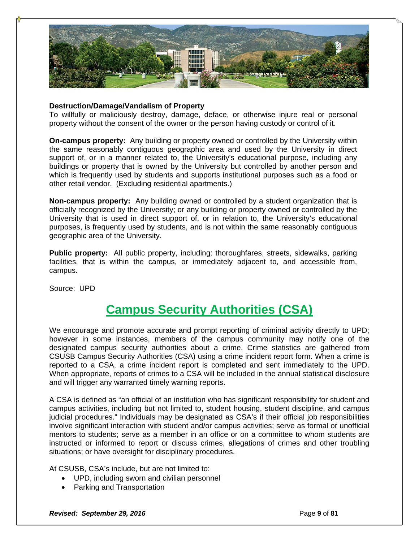

#### **Destruction/Damage/Vandalism of Property**

To willfully or maliciously destroy, damage, deface, or otherwise injure real or personal property without the consent of the owner or the person having custody or control of it.

**On-campus property:** Any building or property owned or controlled by the University within the same reasonably contiguous geographic area and used by the University in direct support of, or in a manner related to, the University's educational purpose, including any buildings or property that is owned by the University but controlled by another person and which is frequently used by students and supports institutional purposes such as a food or other retail vendor. (Excluding residential apartments.)

**Non-campus property:** Any building owned or controlled by a student organization that is officially recognized by the University; or any building or property owned or controlled by the University that is used in direct support of, or in relation to, the University's educational purposes, is frequently used by students, and is not within the same reasonably contiguous geographic area of the University.

**Public property:** All public property, including: thoroughfares, streets, sidewalks, parking facilities, that is within the campus, or immediately adjacent to, and accessible from, campus.

Source: UPD

### **Campus Security Authorities (CSA)**

We encourage and promote accurate and prompt reporting of criminal activity directly to UPD; however in some instances, members of the campus community may notify one of the designated campus security authorities about a crime. Crime statistics are gathered from CSUSB Campus Security Authorities (CSA) using a crime incident report form. When a crime is reported to a CSA, a crime incident report is completed and sent immediately to the UPD. When appropriate, reports of crimes to a CSA will be included in the annual statistical disclosure and will trigger any warranted timely warning reports.

A CSA is defined as "an official of an institution who has significant responsibility for student and campus activities, including but not limited to, student housing, student discipline, and campus judicial procedures." Individuals may be designated as CSA's if their official job responsibilities involve significant interaction with student and/or campus activities; serve as formal or unofficial mentors to students; serve as a member in an office or on a committee to whom students are instructed or informed to report or discuss crimes, allegations of crimes and other troubling situations; or have oversight for disciplinary procedures.

At CSUSB, CSA's include, but are not limited to:

- UPD, including sworn and civilian personnel
- Parking and Transportation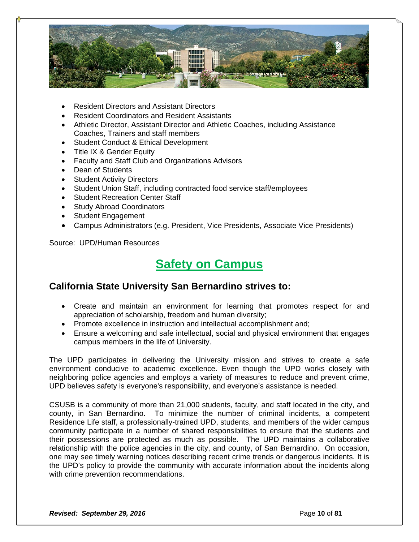

- Resident Directors and Assistant Directors
- Resident Coordinators and Resident Assistants
- Athletic Director, Assistant Director and Athletic Coaches, including Assistance Coaches, Trainers and staff members
- Student Conduct & Ethical Development
- Title IX & Gender Equity
- Faculty and Staff Club and Organizations Advisors
- Dean of Students
- Student Activity Directors
- Student Union Staff, including contracted food service staff/employees
- Student Recreation Center Staff
- Study Abroad Coordinators
- Student Engagement
- Campus Administrators (e.g. President, Vice Presidents, Associate Vice Presidents)

Source: UPD/Human Resources

### **Safety on Campus**

### **California State University San Bernardino strives to:**

- Create and maintain an environment for learning that promotes respect for and appreciation of scholarship, freedom and human diversity;
- Promote excellence in instruction and intellectual accomplishment and;
- Ensure a welcoming and safe intellectual, social and physical environment that engages campus members in the life of University.

The UPD participates in delivering the University mission and strives to create a safe environment conducive to academic excellence. Even though the UPD works closely with neighboring police agencies and employs a variety of measures to reduce and prevent crime, UPD believes safety is everyone's responsibility, and everyone's assistance is needed.

CSUSB is a community of more than 21,000 students, faculty, and staff located in the city, and county, in San Bernardino. To minimize the number of criminal incidents, a competent Residence Life staff, a professionally-trained UPD, students, and members of the wider campus community participate in a number of shared responsibilities to ensure that the students and their possessions are protected as much as possible. The UPD maintains a collaborative relationship with the police agencies in the city, and county, of San Bernardino. On occasion, one may see timely warning notices describing recent crime trends or dangerous incidents. It is the UPD's policy to provide the community with accurate information about the incidents along with crime prevention recommendations.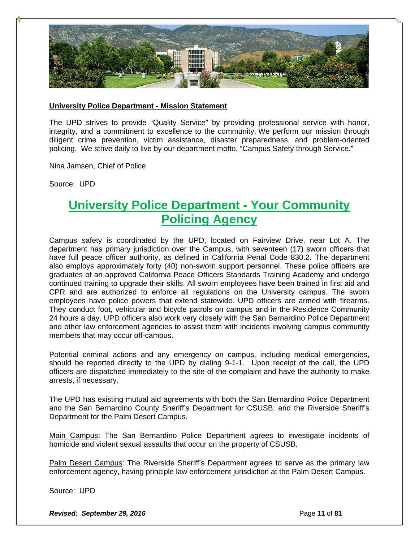

#### **University Police Department - Mission Statement**

The UPD strives to provide "Quality Service" by providing professional service with honor, integrity, and a commitment to excellence to the community. We perform our mission through diligent crime prevention, victim assistance, disaster preparedness, and problem-oriented policing. We strive daily to live by our department motto, "Campus Safety through Service."

Nina Jamsen, Chief of Police

Source: UPD

### **University Police Department - Your Community Policing Agency**

Campus safety is coordinated by the UPD, located on Fairview Drive, near Lot A. The department has primary jurisdiction over the Campus, with seventeen (17) sworn officers that have full peace officer authority, as defined in California Penal Code 830.2. The department also employs approximately forty (40) non-sworn support personnel. These police officers are graduates of an approved California Peace Officers Standards Training Academy and undergo continued training to upgrade their skills. All sworn employees have been trained in first aid and CPR and are authorized to enforce all regulations on the University campus. The sworn employees have police powers that extend statewide. UPD officers are armed with firearms. They conduct foot, vehicular and bicycle patrols on campus and in the Residence Community 24 hours a day. UPD officers also work very closely with the San Bernardino Police Department and other law enforcement agencies to assist them with incidents involving campus community members that may occur off-campus.

Potential criminal actions and any emergency on campus, including medical emergencies, should be reported directly to the UPD by dialing 9-1-1. Upon receipt of the call, the UPD officers are dispatched immediately to the site of the complaint and have the authority to make arrests, if necessary.

The UPD has existing mutual aid agreements with both the San Bernardino Police Department and the San Bernardino County Sheriff's Department for CSUSB, and the Riverside Sheriff's Department for the Palm Desert Campus.

Main Campus: The San Bernardino Police Department agrees to investigate incidents of homicide and violent sexual assaults that occur on the property of CSUSB.

Palm Desert Campus: The Riverside Sheriff's Department agrees to serve as the primary law enforcement agency, having principle law enforcement jurisdiction at the Palm Desert Campus.

Source: UPD

**Revised: September 29, 2016 Page 11** of **81 Page 11** of **81**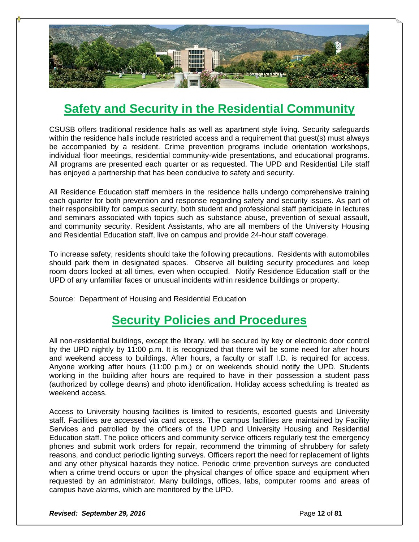

### **Safety and Security in the Residential Community**

CSUSB offers traditional residence halls as well as apartment style living. Security safeguards within the residence halls include restricted access and a requirement that guest(s) must always be accompanied by a resident. Crime prevention programs include orientation workshops, individual floor meetings, residential community-wide presentations, and educational programs. All programs are presented each quarter or as requested. The UPD and Residential Life staff has enjoyed a partnership that has been conducive to safety and security.

All Residence Education staff members in the residence halls undergo comprehensive training each quarter for both prevention and response regarding safety and security issues. As part of their responsibility for campus security, both student and professional staff participate in lectures and seminars associated with topics such as substance abuse, prevention of sexual assault, and community security. Resident Assistants, who are all members of the University Housing and Residential Education staff, live on campus and provide 24-hour staff coverage.

To increase safety, residents should take the following precautions. Residents with automobiles should park them in designated spaces. Observe all building security procedures and keep room doors locked at all times, even when occupied. Notify Residence Education staff or the UPD of any unfamiliar faces or unusual incidents within residence buildings or property.

Source: Department of Housing and Residential Education

### **Security Policies and Procedures**

All non-residential buildings, except the library, will be secured by key or electronic door control by the UPD nightly by 11:00 p.m. It is recognized that there will be some need for after hours and weekend access to buildings. After hours, a faculty or staff I.D. is required for access. Anyone working after hours (11:00 p.m.) or on weekends should notify the UPD. Students working in the building after hours are required to have in their possession a student pass (authorized by college deans) and photo identification. Holiday access scheduling is treated as weekend access.

Access to University housing facilities is limited to residents, escorted guests and University staff. Facilities are accessed via card access. The campus facilities are maintained by Facility Services and patrolled by the officers of the UPD and University Housing and Residential Education staff. The police officers and community service officers regularly test the emergency phones and submit work orders for repair, recommend the trimming of shrubbery for safety reasons, and conduct periodic lighting surveys. Officers report the need for replacement of lights and any other physical hazards they notice. Periodic crime prevention surveys are conducted when a crime trend occurs or upon the physical changes of office space and equipment when requested by an administrator. Many buildings, offices, labs, computer rooms and areas of campus have alarms, which are monitored by the UPD.

**Revised: September 29, 2016 Page 12** of **81 Page 12** of **81**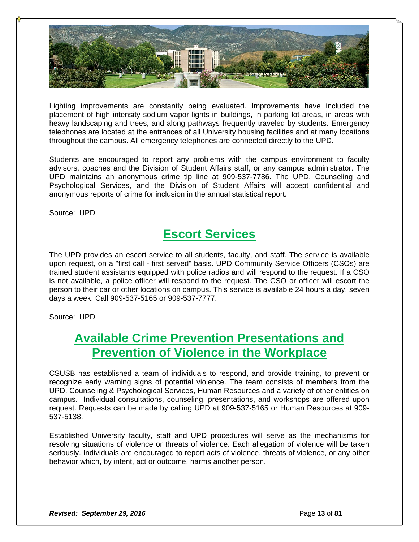

Lighting improvements are constantly being evaluated. Improvements have included the placement of high intensity sodium vapor lights in buildings, in parking lot areas, in areas with heavy landscaping and trees, and along pathways frequently traveled by students. Emergency telephones are located at the entrances of all University housing facilities and at many locations throughout the campus. All emergency telephones are connected directly to the UPD.

Students are encouraged to report any problems with the campus environment to faculty advisors, coaches and the Division of Student Affairs staff, or any campus administrator. The UPD maintains an anonymous crime tip line at 909-537-7786. The UPD, Counseling and Psychological Services, and the Division of Student Affairs will accept confidential and anonymous reports of crime for inclusion in the annual statistical report.

Source: UPD

### **Escort Services**

The UPD provides an escort service to all students, faculty, and staff. The service is available upon request, on a "first call - first served" basis. UPD Community Service Officers (CSOs) are trained student assistants equipped with police radios and will respond to the request. If a CSO is not available, a police officer will respond to the request. The CSO or officer will escort the person to their car or other locations on campus. This service is available 24 hours a day, seven days a week. Call 909-537-5165 or 909-537-7777.

Source: UPD

### **Available Crime Prevention Presentations and Prevention of Violence in the Workplace**

CSUSB has established a team of individuals to respond, and provide training, to prevent or recognize early warning signs of potential violence. The team consists of members from the UPD, Counseling & Psychological Services, Human Resources and a variety of other entities on campus. Individual consultations, counseling, presentations, and workshops are offered upon request. Requests can be made by calling UPD at 909-537-5165 or Human Resources at 909- 537-5138.

Established University faculty, staff and UPD procedures will serve as the mechanisms for resolving situations of violence or threats of violence. Each allegation of violence will be taken seriously. Individuals are encouraged to report acts of violence, threats of violence, or any other behavior which, by intent, act or outcome, harms another person.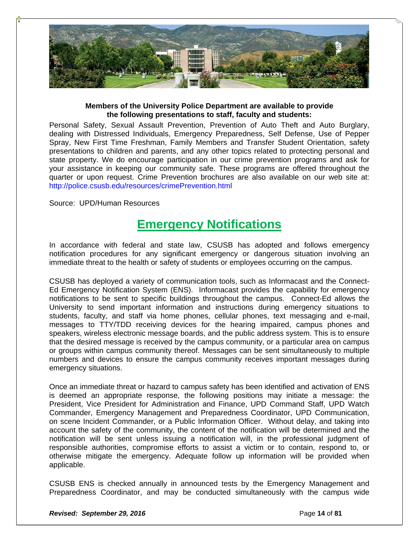

### **Members of the University Police Department are available to provide the following presentations to staff, faculty and students:**

Personal Safety, Sexual Assault Prevention, Prevention of Auto Theft and Auto Burglary, dealing with Distressed Individuals, Emergency Preparedness, Self Defense, Use of Pepper Spray, New First Time Freshman, Family Members and Transfer Student Orientation, safety presentations to children and parents, and any other topics related to protecting personal and state property. We do encourage participation in our crime prevention programs and ask for your assistance in keeping our community safe. These programs are offered throughout the quarter or upon request. Crime Prevention brochures are also available on our web site at: http://police.csusb.edu/resources/crimePrevention.html

Source: UPD/Human Resources

### **Emergency Notifications**

In accordance with federal and state law, CSUSB has adopted and follows emergency notification procedures for any significant emergency or dangerous situation involving an immediate threat to the health or safety of students or employees occurring on the campus.

CSUSB has deployed a variety of communication tools, such as Informacast and the Connect-Ed Emergency Notification System (ENS). Informacast provides the capability for emergency notifications to be sent to specific buildings throughout the campus. Connect-Ed allows the University to send important information and instructions during emergency situations to students, faculty, and staff via home phones, cellular phones, text messaging and e-mail, messages to TTY/TDD receiving devices for the hearing impaired, campus phones and speakers, wireless electronic message boards, and the public address system. This is to ensure that the desired message is received by the campus community, or a particular area on campus or groups within campus community thereof. Messages can be sent simultaneously to multiple numbers and devices to ensure the campus community receives important messages during emergency situations.

Once an immediate threat or hazard to campus safety has been identified and activation of ENS is deemed an appropriate response, the following positions may initiate a message: the President, Vice President for Administration and Finance, UPD Command Staff, UPD Watch Commander, Emergency Management and Preparedness Coordinator, UPD Communication, on scene Incident Commander, or a Public Information Officer. Without delay, and taking into account the safety of the community, the content of the notification will be determined and the notification will be sent unless issuing a notification will, in the professional judgment of responsible authorities, compromise efforts to assist a victim or to contain, respond to, or otherwise mitigate the emergency. Adequate follow up information will be provided when applicable.

CSUSB ENS is checked annually in announced tests by the Emergency Management and Preparedness Coordinator, and may be conducted simultaneously with the campus wide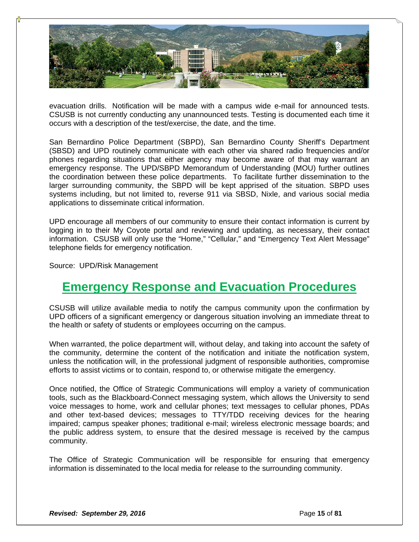

evacuation drills. Notification will be made with a campus wide e-mail for announced tests. CSUSB is not currently conducting any unannounced tests. Testing is documented each time it occurs with a description of the test/exercise, the date, and the time.

San Bernardino Police Department (SBPD), San Bernardino County Sheriff's Department (SBSD) and UPD routinely communicate with each other via shared radio frequencies and/or phones regarding situations that either agency may become aware of that may warrant an emergency response. The UPD/SBPD Memorandum of Understanding (MOU) further outlines the coordination between these police departments. To facilitate further dissemination to the larger surrounding community, the SBPD will be kept apprised of the situation. SBPD uses systems including, but not limited to, reverse 911 via SBSD, Nixle, and various social media applications to disseminate critical information.

UPD encourage all members of our community to ensure their contact information is current by logging in to their My Coyote portal and reviewing and updating, as necessary, their contact information. CSUSB will only use the "Home," "Cellular," and "Emergency Text Alert Message" telephone fields for emergency notification.

Source: UPD/Risk Management

### **Emergency Response and Evacuation Procedures**

CSUSB will utilize available media to notify the campus community upon the confirmation by UPD officers of a significant emergency or dangerous situation involving an immediate threat to the health or safety of students or employees occurring on the campus.

When warranted, the police department will, without delay, and taking into account the safety of the community, determine the content of the notification and initiate the notification system, unless the notification will, in the professional judgment of responsible authorities, compromise efforts to assist victims or to contain, respond to, or otherwise mitigate the emergency.

Once notified, the Office of Strategic Communications will employ a variety of communication tools, such as the Blackboard-Connect messaging system, which allows the University to send voice messages to home, work and cellular phones; text messages to cellular phones, PDAs and other text-based devices; messages to TTY/TDD receiving devices for the hearing impaired; campus speaker phones; traditional e-mail; wireless electronic message boards; and the public address system, to ensure that the desired message is received by the campus community.

The Office of Strategic Communication will be responsible for ensuring that emergency information is disseminated to the local media for release to the surrounding community.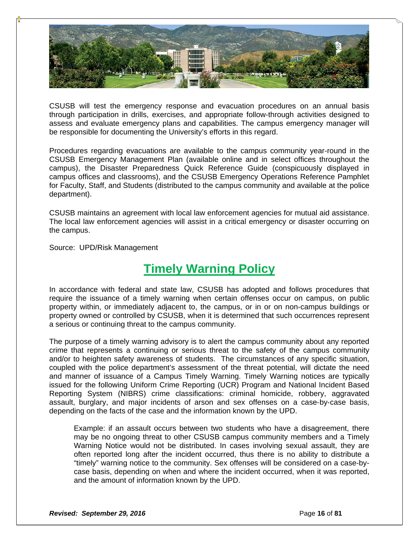

CSUSB will test the emergency response and evacuation procedures on an annual basis through participation in drills, exercises, and appropriate follow-through activities designed to assess and evaluate emergency plans and capabilities. The campus emergency manager will be responsible for documenting the University's efforts in this regard.

Procedures regarding evacuations are available to the campus community year-round in the CSUSB Emergency Management Plan (available online and in select offices throughout the campus), the Disaster Preparedness Quick Reference Guide (conspicuously displayed in campus offices and classrooms), and the CSUSB Emergency Operations Reference Pamphlet for Faculty, Staff, and Students (distributed to the campus community and available at the police department).

CSUSB maintains an agreement with local law enforcement agencies for mutual aid assistance. The local law enforcement agencies will assist in a critical emergency or disaster occurring on the campus.

Source: UPD/Risk Management

### **Timely Warning Policy**

In accordance with federal and state law, CSUSB has adopted and follows procedures that require the issuance of a timely warning when certain offenses occur on campus, on public property within, or immediately adjacent to, the campus, or in or on non-campus buildings or property owned or controlled by CSUSB, when it is determined that such occurrences represent a serious or continuing threat to the campus community.

The purpose of a timely warning advisory is to alert the campus community about any reported crime that represents a continuing or serious threat to the safety of the campus community and/or to heighten safety awareness of students. The circumstances of any specific situation, coupled with the police department's assessment of the threat potential, will dictate the need and manner of issuance of a Campus Timely Warning. Timely Warning notices are typically issued for the following Uniform Crime Reporting (UCR) Program and National Incident Based Reporting System (NIBRS) crime classifications: criminal homicide, robbery, aggravated assault, burglary, and major incidents of arson and sex offenses on a case‐by‐case basis, depending on the facts of the case and the information known by the UPD.

Example: if an assault occurs between two students who have a disagreement, there may be no ongoing threat to other CSUSB campus community members and a Timely Warning Notice would not be distributed. In cases involving sexual assault, they are often reported long after the incident occurred, thus there is no ability to distribute a "timely" warning notice to the community. Sex offenses will be considered on a case-bycase basis, depending on when and where the incident occurred, when it was reported, and the amount of information known by the UPD.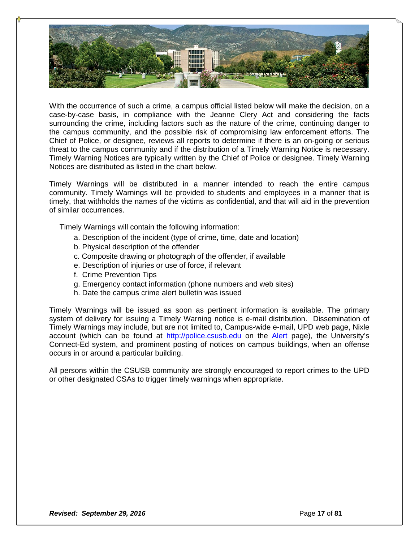

With the occurrence of such a crime, a campus official listed below will make the decision, on a case‐by‐case basis, in compliance with the Jeanne Clery Act and considering the facts surrounding the crime, including factors such as the nature of the crime, continuing danger to the campus community, and the possible risk of compromising law enforcement efforts. The Chief of Police, or designee, reviews all reports to determine if there is an on‐going or serious threat to the campus community and if the distribution of a Timely Warning Notice is necessary. Timely Warning Notices are typically written by the Chief of Police or designee. Timely Warning Notices are distributed as listed in the chart below.

Timely Warnings will be distributed in a manner intended to reach the entire campus community. Timely Warnings will be provided to students and employees in a manner that is timely, that withholds the names of the victims as confidential, and that will aid in the prevention of similar occurrences.

Timely Warnings will contain the following information:

- a. Description of the incident (type of crime, time, date and location)
- b. Physical description of the offender
- c. Composite drawing or photograph of the offender, if available
- e. Description of injuries or use of force, if relevant
- f. Crime Prevention Tips
- g. Emergency contact information (phone numbers and web sites)
- h. Date the campus crime alert bulletin was issued

Timely Warnings will be issued as soon as pertinent information is available. The primary system of delivery for issuing a Timely Warning notice is e-mail distribution. Dissemination of Timely Warnings may include, but are not limited to, Campus-wide e-mail, UPD web page, Nixle account (which can be found at http://police.csusb.edu on the Alert page), the University's Connect-Ed system, and prominent posting of notices on campus buildings, when an offense occurs in or around a particular building.

All persons within the CSUSB community are strongly encouraged to report crimes to the UPD or other designated CSAs to trigger timely warnings when appropriate.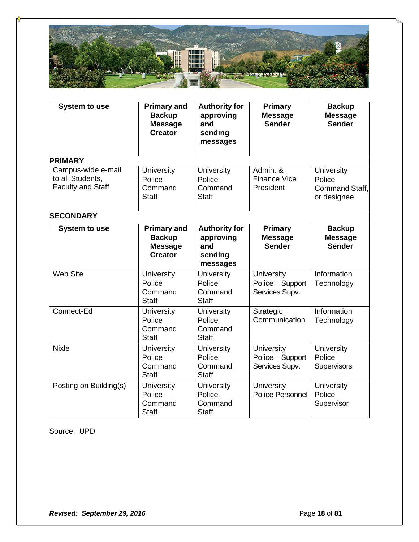

| <b>System to use</b>                                               | <b>Primary and</b><br><b>Backup</b><br><b>Message</b><br><b>Creator</b> | <b>Authority for</b><br>approving<br>and<br>sending<br>messages | <b>Primary</b><br><b>Message</b><br><b>Sender</b>       | <b>Backup</b><br><b>Message</b><br><b>Sender</b>             |  |
|--------------------------------------------------------------------|-------------------------------------------------------------------------|-----------------------------------------------------------------|---------------------------------------------------------|--------------------------------------------------------------|--|
| <b>PRIMARY</b>                                                     |                                                                         |                                                                 |                                                         |                                                              |  |
| Campus-wide e-mail<br>to all Students,<br><b>Faculty and Staff</b> | <b>University</b><br>Police<br>Command<br><b>Staff</b>                  | University<br>Police<br>Command<br><b>Staff</b>                 | Admin. &<br><b>Finance Vice</b><br>President            | University<br>Police<br><b>Command Staff.</b><br>or designee |  |
| <b>SECONDARY</b>                                                   |                                                                         |                                                                 |                                                         |                                                              |  |
| <b>System to use</b>                                               | <b>Primary and</b><br><b>Backup</b><br><b>Message</b><br><b>Creator</b> | <b>Authority for</b><br>approving<br>and<br>sending<br>messages | <b>Primary</b><br><b>Message</b><br><b>Sender</b>       | <b>Backup</b><br><b>Message</b><br><b>Sender</b>             |  |
| <b>Web Site</b>                                                    | <b>University</b><br>Police<br>Command<br><b>Staff</b>                  | <b>University</b><br>Police<br>Command<br><b>Staff</b>          | University<br>Police - Support<br>Services Supv.        | Information<br>Technology                                    |  |
| Connect-Ed                                                         | University<br>Police<br>Command<br><b>Staff</b>                         | <b>University</b><br>Police<br>Command<br><b>Staff</b>          | Strategic<br>Communication                              | Information<br>Technology                                    |  |
| <b>Nixle</b>                                                       | University<br>Police<br>Command<br><b>Staff</b>                         | <b>University</b><br>Police<br>Command<br><b>Staff</b>          | <b>University</b><br>Police - Support<br>Services Supv. | University<br>Police<br><b>Supervisors</b>                   |  |
| Posting on Building(s)                                             | University<br>Police<br>Command<br><b>Staff</b>                         | University<br>Police<br>Command<br><b>Staff</b>                 | University<br>Police Personnel                          | University<br>Police<br>Supervisor                           |  |

Source: UPD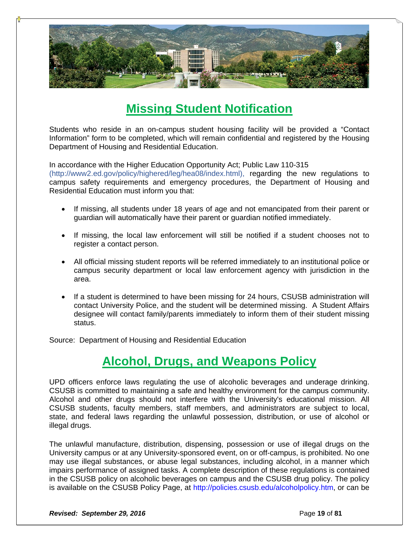

### **Missing Student Notification**

Students who reside in an on-campus student housing facility will be provided a "Contact Information" form to be completed, which will remain confidential and registered by the Housing Department of Housing and Residential Education.

In accordance with the Higher Education Opportunity Act; Public Law 110-315

(http://www2.ed.gov/policy/highered/leg/hea08/index.html), regarding the new regulations to campus safety requirements and emergency procedures, the Department of Housing and Residential Education must inform you that:

- If missing, all students under 18 years of age and not emancipated from their parent or guardian will automatically have their parent or guardian notified immediately.
- If missing, the local law enforcement will still be notified if a student chooses not to register a contact person.
- All official missing student reports will be referred immediately to an institutional police or campus security department or local law enforcement agency with jurisdiction in the area.
- If a student is determined to have been missing for 24 hours, CSUSB administration will contact University Police, and the student will be determined missing. A Student Affairs designee will contact family/parents immediately to inform them of their student missing status.

Source: Department of Housing and Residential Education

### **Alcohol, Drugs, and Weapons Policy**

UPD officers enforce laws regulating the use of alcoholic beverages and underage drinking. CSUSB is committed to maintaining a safe and healthy environment for the campus community. Alcohol and other drugs should not interfere with the University's educational mission. All CSUSB students, faculty members, staff members, and administrators are subject to local, state, and federal laws regarding the unlawful possession, distribution, or use of alcohol or illegal drugs.

The unlawful manufacture, distribution, dispensing, possession or use of illegal drugs on the University campus or at any University-sponsored event, on or off-campus, is prohibited. No one may use illegal substances, or abuse legal substances, including alcohol, in a manner which impairs performance of assigned tasks. A complete description of these regulations is contained in the CSUSB policy on alcoholic beverages on campus and the CSUSB drug policy. The policy is available on the CSUSB Policy Page, at http://policies.csusb.edu/alcoholpolicy.htm, or can be

**Revised: September 29, 2016 Page 19 of 81 Page 19 of 81**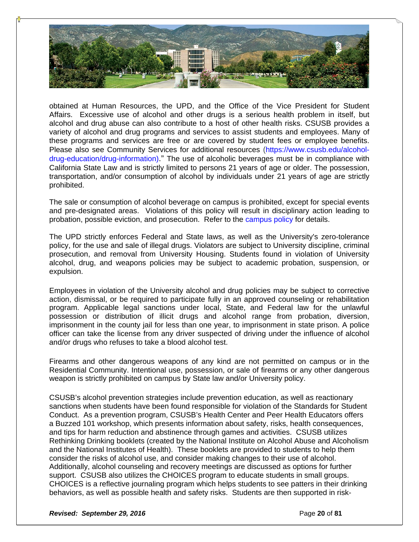

obtained at Human Resources, the UPD, and the Office of the Vice President for Student Affairs. Excessive use of alcohol and other drugs is a serious health problem in itself, but alcohol and drug abuse can also contribute to a host of other health risks. CSUSB provides a variety of alcohol and drug programs and services to assist students and employees. Many of these programs and services are free or are covered by student fees or employee benefits. Please also see Community Services for additional resources (https://www.csusb.edu/alcoholdrug-education/drug-information)." The use of alcoholic beverages must be in compliance with California State Law and is strictly limited to persons 21 years of age or older. The possession, transportation, and/or consumption of alcohol by individuals under 21 years of age are strictly prohibited.

The sale or consumption of alcohol beverage on campus is prohibited, except for special events and pre-designated areas. Violations of this policy will result in disciplinary action leading to probation, possible eviction, and prosecution. Refer to the campus policy for details.

The UPD strictly enforces Federal and State laws, as well as the University's zero-tolerance policy, for the use and sale of illegal drugs. Violators are subject to University discipline, criminal prosecution, and removal from University Housing. Students found in violation of University alcohol, drug, and weapons policies may be subject to academic probation, suspension, or expulsion.

Employees in violation of the University alcohol and drug policies may be subject to corrective action, dismissal, or be required to participate fully in an approved counseling or rehabilitation program. Applicable legal sanctions under local, State, and Federal law for the unlawful possession or distribution of illicit drugs and alcohol range from probation, diversion, imprisonment in the county jail for less than one year, to imprisonment in state prison. A police officer can take the license from any driver suspected of driving under the influence of alcohol and/or drugs who refuses to take a blood alcohol test.

Firearms and other dangerous weapons of any kind are not permitted on campus or in the Residential Community. Intentional use, possession, or sale of firearms or any other dangerous weapon is strictly prohibited on campus by State law and/or University policy.

CSUSB's alcohol prevention strategies include prevention education, as well as reactionary sanctions when students have been found responsible for violation of the Standards for Student Conduct. As a prevention program, CSUSB's Health Center and Peer Health Educators offers a Buzzed 101 workshop, which presents information about safety, risks, health consequences, and tips for harm reduction and abstinence through games and activities. CSUSB utilizes Rethinking Drinking booklets (created by the National Institute on Alcohol Abuse and Alcoholism and the National Institutes of Health). These booklets are provided to students to help them consider the risks of alcohol use, and consider making changes to their use of alcohol. Additionally, alcohol counseling and recovery meetings are discussed as options for further support. CSUSB also utilizes the CHOICES program to educate students in small groups. CHOICES is a reflective journaling program which helps students to see patters in their drinking behaviors, as well as possible health and safety risks. Students are then supported in risk-

**Revised: September 29, 2016 Page 20** of **81 Page 20** of **81**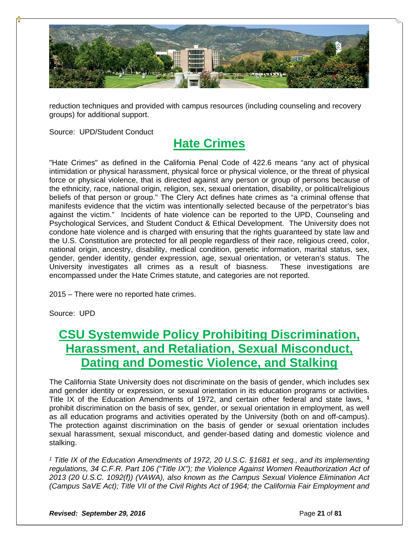

reduction techniques and provided with campus resources (including counseling and recovery groups) for additional support.

Source: UPD/Student Conduct

### **Hate Crimes**

"Hate Crimes" as defined in the California Penal Code of 422.6 means "any act of physical intimidation or physical harassment, physical force or physical violence, or the threat of physical force or physical violence, that is directed against any person or group of persons because of the ethnicity, race, national origin, religion, sex, sexual orientation, disability, or political/religious beliefs of that person or group." The Clery Act defines hate crimes as "a criminal offense that manifests evidence that the victim was intentionally selected because of the perpetrator's bias against the victim." Incidents of hate violence can be reported to the UPD, Counseling and Psychological Services, and Student Conduct & Ethical Development. The University does not condone hate violence and is charged with ensuring that the rights guaranteed by state law and the U.S. Constitution are protected for all people regardless of their race, religious creed, color, national origin, ancestry, disability, medical condition, genetic information, marital status, sex, gender, gender identity, gender expression, age, sexual orientation, or veteran's status. The University investigates all crimes as a result of biasness. These investigations are encompassed under the Hate Crimes statute, and categories are not reported.

2015 – There were no reported hate crimes.

Source: UPD

### **CSU Systemwide Policy Prohibiting Discrimination, Harassment, and Retaliation, Sexual Misconduct, Dating and Domestic Violence, and Stalking**

The California State University does not discriminate on the basis of gender, which includes sex and gender identity or expression, or sexual orientation in its education programs or activities. Title IX of the Education Amendments of 1972, and certain other federal and state laws, **<sup>1</sup>** prohibit discrimination on the basis of sex, gender, or sexual orientation in employment, as well as all education programs and activities operated by the University (both on and off-campus). The protection against discrimination on the basis of gender or sexual orientation includes sexual harassment, sexual misconduct, and gender-based dating and domestic violence and stalking.

*1 Title IX of the Education Amendments of 1972, 20 U.S.C. §1681 et seq., and its implementing regulations, 34 C.F.R. Part 106 ("Title IX"); the Violence Against Women Reauthorization Act of 2013 (20 U.S.C. 1092(f)) (VAWA), also known as the Campus Sexual Violence Elimination Act (Campus SaVE Act); Title VII of the Civil Rights Act of 1964; the California Fair Employment and*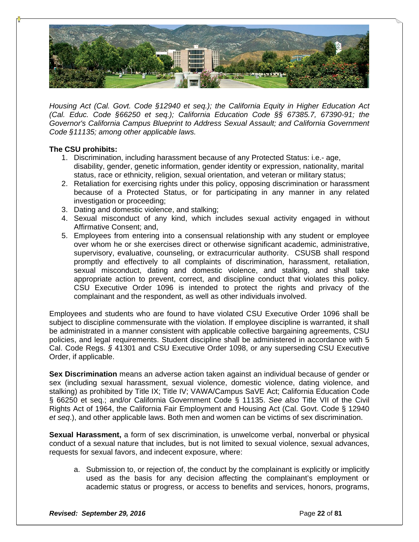

*Housing Act (Cal. Govt. Code §12940 et seq.); the California Equity in Higher Education Act (Cal. Educ. Code §66250 et seq.); California Education Code §§ 67385.7, 67390-91; the Governor's California Campus Blueprint to Address Sexual Assault; and California Government Code §11135; among other applicable laws.*

### **The CSU prohibits:**

- 1. Discrimination, including harassment because of any Protected Status: i.e.- age, disability, gender, genetic information, gender identity or expression, nationality, marital status, race or ethnicity, religion, sexual orientation, and veteran or military status;
- 2. Retaliation for exercising rights under this policy, opposing discrimination or harassment because of a Protected Status, or for participating in any manner in any related investigation or proceeding;
- 3. Dating and domestic violence, and stalking;
- 4. Sexual misconduct of any kind, which includes sexual activity engaged in without Affirmative Consent; and,
- 5. Employees from entering into a consensual relationship with any student or employee over whom he or she exercises direct or otherwise significant academic, administrative, supervisory, evaluative, counseling, or extracurricular authority. CSUSB shall respond promptly and effectively to all complaints of discrimination, harassment, retaliation, sexual misconduct, dating and domestic violence, and stalking, and shall take appropriate action to prevent, correct, and discipline conduct that violates this policy. CSU Executive Order 1096 is intended to protect the rights and privacy of the complainant and the respondent, as well as other individuals involved.

Employees and students who are found to have violated CSU Executive Order 1096 shall be subject to discipline commensurate with the violation. If employee discipline is warranted, it shall be administrated in a manner consistent with applicable collective bargaining agreements, CSU policies, and legal requirements. Student discipline shall be administered in accordance with 5 Cal. Code Regs. *§* 41301 and CSU Executive Order 1098, or any superseding CSU Executive Order, if applicable.

**Sex Discrimination** means an adverse action taken against an individual because of gender or sex (including sexual harassment, sexual violence, domestic violence, dating violence, and stalking) as prohibited by Title IX; Title IV; VAWA/Campus SaVE Act; California Education Code § 66250 et seq.; and/or California Government Code § 11135. *See also* Title VII of the Civil Rights Act of 1964, the California Fair Employment and Housing Act (Cal. Govt. Code § 12940 *et seq*.), and other applicable laws. Both men and women can be victims of sex discrimination.

**Sexual Harassment,** a form of sex discrimination, is unwelcome verbal, nonverbal or physical conduct of a sexual nature that includes, but is not limited to sexual violence, sexual advances, requests for sexual favors, and indecent exposure, where:

a. Submission to, or rejection of, the conduct by the complainant is explicitly or implicitly used as the basis for any decision affecting the complainant's employment or academic status or progress, or access to benefits and services, honors, programs,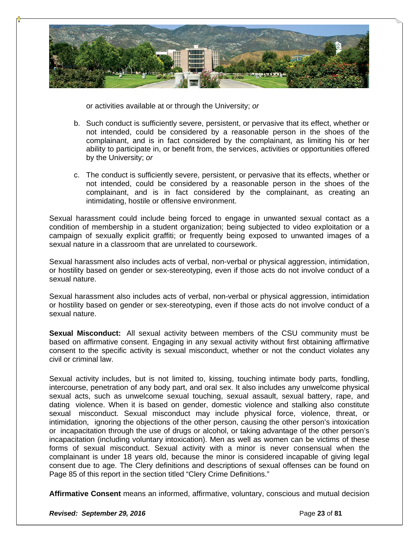

or activities available at or through the University; *or*

- b. Such conduct is sufficiently severe, persistent, or pervasive that its effect, whether or not intended, could be considered by a reasonable person in the shoes of the complainant, and is in fact considered by the complainant, as limiting his or her ability to participate in, or benefit from, the services, activities or opportunities offered by the University; *or*
- c. The conduct is sufficiently severe, persistent, or pervasive that its effects, whether or not intended, could be considered by a reasonable person in the shoes of the complainant, and is in fact considered by the complainant, as creating an intimidating, hostile or offensive environment.

Sexual harassment could include being forced to engage in unwanted sexual contact as a condition of membership in a student organization; being subjected to video exploitation or a campaign of sexually explicit graffiti; or frequently being exposed to unwanted images of a sexual nature in a classroom that are unrelated to coursework.

Sexual harassment also includes acts of verbal, non-verbal or physical aggression, intimidation, or hostility based on gender or sex-stereotyping, even if those acts do not involve conduct of a sexual nature.

Sexual harassment also includes acts of verbal, non-verbal or physical aggression, intimidation or hostility based on gender or sex-stereotyping, even if those acts do not involve conduct of a sexual nature.

**Sexual Misconduct:** All sexual activity between members of the CSU community must be based on affirmative consent. Engaging in any sexual activity without first obtaining affirmative consent to the specific activity is sexual misconduct, whether or not the conduct violates any civil or criminal law.

Sexual activity includes, but is not limited to, kissing, touching intimate body parts, fondling, intercourse, penetration of any body part, and oral sex. It also includes any unwelcome physical sexual acts, such as unwelcome sexual touching, sexual assault, sexual battery, rape, and dating violence. When it is based on gender, domestic violence and stalking also constitute sexual misconduct. Sexual misconduct may include physical force, violence, threat, or intimidation, ignoring the objections of the other person, causing the other person's intoxication or incapacitation through the use of drugs or alcohol, or taking advantage of the other person's incapacitation (including voluntary intoxication). Men as well as women can be victims of these forms of sexual misconduct. Sexual activity with a minor is never consensual when the complainant is under 18 years old, because the minor is considered incapable of giving legal consent due to age. The Clery definitions and descriptions of sexual offenses can be found on Page 85 of this report in the section titled "Clery Crime Definitions."

**Affirmative Consent** means an informed, affirmative, voluntary, conscious and mutual decision

**Revised: September 29, 2016 Page 23 of 81 Page 23 of 81**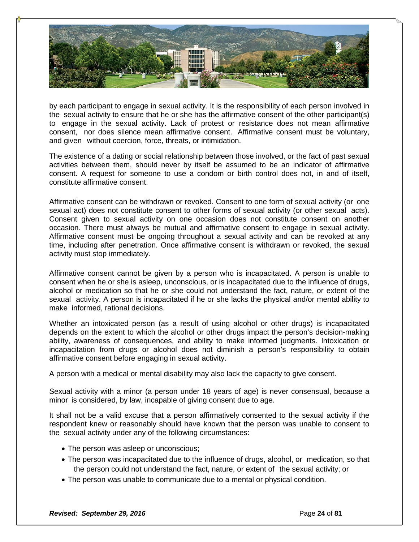

by each participant to engage in sexual activity. It is the responsibility of each person involved in the sexual activity to ensure that he or she has the affirmative consent of the other participant(s) to engage in the sexual activity. Lack of protest or resistance does not mean affirmative consent, nor does silence mean affirmative consent. Affirmative consent must be voluntary, and given without coercion, force, threats, or intimidation.

The existence of a dating or social relationship between those involved, or the fact of past sexual activities between them, should never by itself be assumed to be an indicator of affirmative consent. A request for someone to use a condom or birth control does not, in and of itself, constitute affirmative consent.

Affirmative consent can be withdrawn or revoked. Consent to one form of sexual activity (or one sexual act) does not constitute consent to other forms of sexual activity (or other sexual acts). Consent given to sexual activity on one occasion does not constitute consent on another occasion. There must always be mutual and affirmative consent to engage in sexual activity. Affirmative consent must be ongoing throughout a sexual activity and can be revoked at any time, including after penetration. Once affirmative consent is withdrawn or revoked, the sexual activity must stop immediately.

Affirmative consent cannot be given by a person who is incapacitated. A person is unable to consent when he or she is asleep, unconscious, or is incapacitated due to the influence of drugs, alcohol or medication so that he or she could not understand the fact, nature, or extent of the sexual activity. A person is incapacitated if he or she lacks the physical and/or mental ability to make informed, rational decisions.

Whether an intoxicated person (as a result of using alcohol or other drugs) is incapacitated depends on the extent to which the alcohol or other drugs impact the person's decision-making ability, awareness of consequences, and ability to make informed judgments. Intoxication or incapacitation from drugs or alcohol does not diminish a person's responsibility to obtain affirmative consent before engaging in sexual activity.

A person with a medical or mental disability may also lack the capacity to give consent.

Sexual activity with a minor (a person under 18 years of age) is never consensual, because a minor is considered, by law, incapable of giving consent due to age.

It shall not be a valid excuse that a person affirmatively consented to the sexual activity if the respondent knew or reasonably should have known that the person was unable to consent to the sexual activity under any of the following circumstances:

- The person was asleep or unconscious;
- The person was incapacitated due to the influence of drugs, alcohol, or medication, so that the person could not understand the fact, nature, or extent of the sexual activity; or
- The person was unable to communicate due to a mental or physical condition.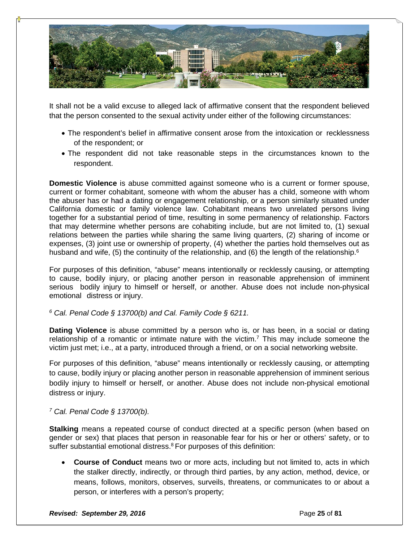

It shall not be a valid excuse to alleged lack of affirmative consent that the respondent believed that the person consented to the sexual activity under either of the following circumstances:

- The respondent's belief in affirmative consent arose from the intoxication or recklessness of the respondent; or
- The respondent did not take reasonable steps in the circumstances known to the respondent.

**Domestic Violence** is abuse committed against someone who is a current or former spouse, current or former cohabitant, someone with whom the abuser has a child, someone with whom the abuser has or had a dating or engagement relationship, or a person similarly situated under California domestic or family violence law. Cohabitant means two unrelated persons living together for a substantial period of time, resulting in some permanency of relationship. Factors that may determine whether persons are cohabiting include, but are not limited to, (1) sexual relations between the parties while sharing the same living quarters, (2) sharing of income or expenses, (3) joint use or ownership of property, (4) whether the parties hold themselves out as husband and wife, (5) the continuity of the relationship, and (6) the length of the relationship.<sup>6</sup>

For purposes of this definition, "abuse" means intentionally or recklessly causing, or attempting to cause, bodily injury, or placing another person in reasonable apprehension of imminent serious bodily injury to himself or herself, or another. Abuse does not include non-physical emotional distress or injury.

*6 Cal. Penal Code § 13700(b) and Cal. Family Code § 6211.*

**Dating Violence** is abuse committed by a person who is, or has been, in a social or dating relationship of a romantic or intimate nature with the victim.<sup>7</sup> This may include someone the victim just met; i.e., at a party, introduced through a friend, or on a social networking website.

For purposes of this definition, "abuse" means intentionally or recklessly causing, or attempting to cause, bodily injury or placing another person in reasonable apprehension of imminent serious bodily injury to himself or herself, or another. Abuse does not include non-physical emotional distress or injury.

### *7 Cal. Penal Code § 13700(b).*

**Stalking** means a repeated course of conduct directed at a specific person (when based on gender or sex) that places that person in reasonable fear for his or her or others' safety, or to suffer substantial emotional distress.<sup>8</sup> For purposes of this definition:

 **Course of Conduct** means two or more acts, including but not limited to, acts in which the stalker directly, indirectly, or through third parties, by any action, method, device, or means, follows, monitors, observes, surveils, threatens, or communicates to or about a person, or interferes with a person's property;

**Revised: September 29, 2016 Page 21 of 81 Page 25** of **81**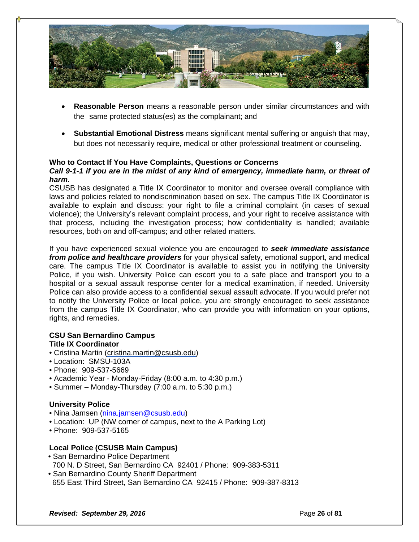

- **Reasonable Person** means a reasonable person under similar circumstances and with the same protected status(es) as the complainant; and
- **Substantial Emotional Distress** means significant mental suffering or anguish that may, but does not necessarily require, medical or other professional treatment or counseling.

### **Who to Contact If You Have Complaints, Questions or Concerns**

### *Call 9-1-1 if you are in the midst of any kind of emergency, immediate harm, or threat of harm.*

CSUSB has designated a Title IX Coordinator to monitor and oversee overall compliance with laws and policies related to nondiscrimination based on sex. The campus Title IX Coordinator is available to explain and discuss: your right to file a criminal complaint (in cases of sexual violence); the University's relevant complaint process, and your right to receive assistance with that process, including the investigation process; how confidentiality is handled; available resources, both on and off-campus; and other related matters.

If you have experienced sexual violence you are encouraged to *seek immediate assistance from police and healthcare providers* for your physical safety, emotional support, and medical care. The campus Title IX Coordinator is available to assist you in notifying the University Police, if you wish. University Police can escort you to a safe place and transport you to a hospital or a sexual assault response center for a medical examination, if needed. University Police can also provide access to a confidential sexual assault advocate. If you would prefer not to notify the University Police or local police, you are strongly encouraged to seek assistance from the campus Title IX Coordinator, who can provide you with information on your options, rights, and remedies.

#### **CSU San Bernardino Campus Title IX Coordinator**

- Cristina Martin (cristina.martin@csusb.edu)
- Location: SMSU-103A
- Phone: 909-537-5669
- Academic Year Monday-Friday (8:00 a.m. to 4:30 p.m.)
- Summer Monday-Thursday (7:00 a.m. to 5:30 p.m.)

### **University Police**

- Nina Jamsen (nina.jamsen@csusb.edu)
- Location: UP (NW corner of campus, next to the A Parking Lot)
- Phone: 909-537-5165

### **Local Police (CSUSB Main Campus)**

- San Bernardino Police Department 700 N. D Street, San Bernardino CA 92401 / Phone: 909-383-5311
- San Bernardino County Sheriff Department 655 East Third Street, San Bernardino CA 92415 / Phone: 909-387-8313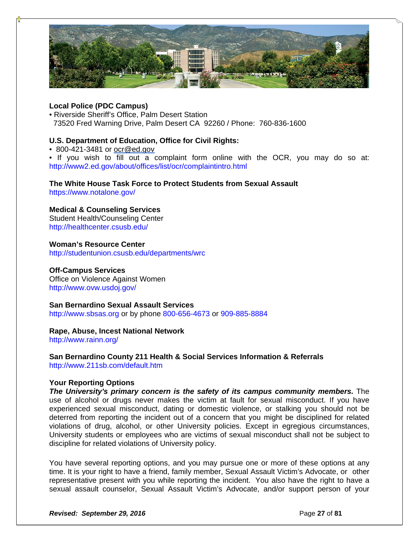

### **Local Police (PDC Campus)**

• Riverside Sheriff's Office, Palm Desert Station 73520 Fred Warning Drive, Palm Desert CA 92260 / Phone: 760-836-1600

### **U.S. Department of Education, Office for Civil Rights:**

• 800-421-3481 or ocr@ed.gov

• If you wish to fill out a complaint form online with the OCR, you may do so at: http://www2.ed.gov/about/offices/list/ocr/complaintintro.html

### **The White House Task Force to Protect Students from Sexual Assault**

https://www.notalone.gov/

### **Medical & Counseling Services**

Student Health/Counseling Center http://healthcenter.csusb.edu/

**Woman's Resource Center**  http://studentunion.csusb.edu/departments/wrc

### **Off-Campus Services**

Office on Violence Against Women http://www.ovw.usdoj.gov/

### **San Bernardino Sexual Assault Services**

http://www.sbsas.org or by phone 800-656-4673 or 909-885-8884

### **Rape, Abuse, Incest National Network**

http://www.rainn.org/

### **San Bernardino County 211 Health & Social Services Information & Referrals**  http://www.211sb.com/default.htm

### **Your Reporting Options**

*The University's primary concern is the safety of its campus community members.* **The** use of alcohol or drugs never makes the victim at fault for sexual misconduct. If you have experienced sexual misconduct, dating or domestic violence, or stalking you should not be deterred from reporting the incident out of a concern that you might be disciplined for related violations of drug, alcohol, or other University policies. Except in egregious circumstances, University students or employees who are victims of sexual misconduct shall not be subject to discipline for related violations of University policy.

You have several reporting options, and you may pursue one or more of these options at any time. It is your right to have a friend, family member, Sexual Assault Victim's Advocate, or other representative present with you while reporting the incident. You also have the right to have a sexual assault counselor, Sexual Assault Victim's Advocate, and/or support person of your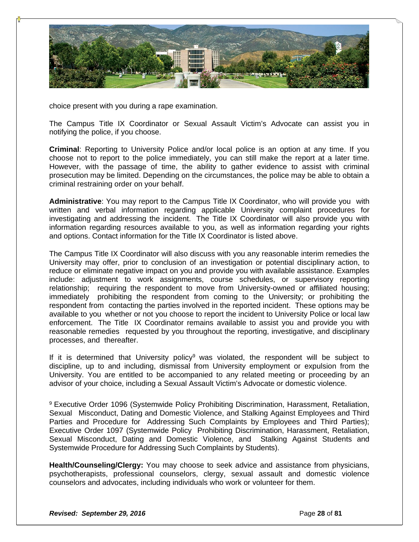

choice present with you during a rape examination.

The Campus Title IX Coordinator or Sexual Assault Victim's Advocate can assist you in notifying the police, if you choose.

**Criminal**: Reporting to University Police and/or local police is an option at any time. If you choose not to report to the police immediately, you can still make the report at a later time. However, with the passage of time, the ability to gather evidence to assist with criminal prosecution may be limited. Depending on the circumstances, the police may be able to obtain a criminal restraining order on your behalf.

**Administrative**: You may report to the Campus Title IX Coordinator, who will provide you with written and verbal information regarding applicable University complaint procedures for investigating and addressing the incident. The Title IX Coordinator will also provide you with information regarding resources available to you, as well as information regarding your rights and options. Contact information for the Title IX Coordinator is listed above.

The Campus Title IX Coordinator will also discuss with you any reasonable interim remedies the University may offer, prior to conclusion of an investigation or potential disciplinary action, to reduce or eliminate negative impact on you and provide you with available assistance. Examples include: adjustment to work assignments, course schedules, or supervisory reporting relationship; requiring the respondent to move from University-owned or affiliated housing; immediately prohibiting the respondent from coming to the University; or prohibiting the respondent from contacting the parties involved in the reported incident. These options may be available to you whether or not you choose to report the incident to University Police or local law enforcement. The Title IX Coordinator remains available to assist you and provide you with reasonable remedies requested by you throughout the reporting, investigative, and disciplinary processes, and thereafter.

If it is determined that University policy<sup>9</sup> was violated, the respondent will be subject to discipline, up to and including, dismissal from University employment or expulsion from the University. You are entitled to be accompanied to any related meeting or proceeding by an advisor of your choice, including a Sexual Assault Victim's Advocate or domestic violence.

9 Executive Order 1096 (Systemwide Policy Prohibiting Discrimination, Harassment, Retaliation, Sexual Misconduct, Dating and Domestic Violence, and Stalking Against Employees and Third Parties and Procedure for Addressing Such Complaints by Employees and Third Parties); Executive Order 1097 (Systemwide Policy Prohibiting Discrimination, Harassment, Retaliation, Sexual Misconduct, Dating and Domestic Violence, and Stalking Against Students and Systemwide Procedure for Addressing Such Complaints by Students).

**Health/Counseling/Clergy:** You may choose to seek advice and assistance from physicians, psychotherapists, professional counselors, clergy, sexual assault and domestic violence counselors and advocates, including individuals who work or volunteer for them.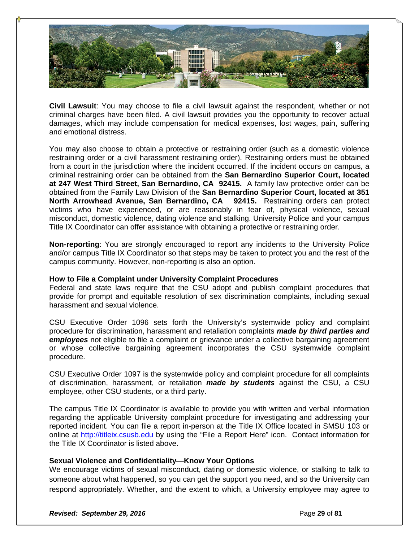

**Civil Lawsuit**: You may choose to file a civil lawsuit against the respondent, whether or not criminal charges have been filed. A civil lawsuit provides you the opportunity to recover actual damages, which may include compensation for medical expenses, lost wages, pain, suffering and emotional distress.

You may also choose to obtain a protective or restraining order (such as a domestic violence restraining order or a civil harassment restraining order). Restraining orders must be obtained from a court in the jurisdiction where the incident occurred. If the incident occurs on campus, a criminal restraining order can be obtained from the **San Bernardino Superior Court, located at 247 West Third Street, San Bernardino, CA 92415.** A family law protective order can be obtained from the Family Law Division of the **San Bernardino Superior Court, located at 351 North Arrowhead Avenue, San Bernardino, CA 92415.** Restraining orders can protect victims who have experienced, or are reasonably in fear of, physical violence, sexual misconduct, domestic violence, dating violence and stalking. University Police and your campus Title IX Coordinator can offer assistance with obtaining a protective or restraining order.

**Non-reporting**: You are strongly encouraged to report any incidents to the University Police and/or campus Title IX Coordinator so that steps may be taken to protect you and the rest of the campus community. However, non-reporting is also an option.

### **How to File a Complaint under University Complaint Procedures**

Federal and state laws require that the CSU adopt and publish complaint procedures that provide for prompt and equitable resolution of sex discrimination complaints, including sexual harassment and sexual violence.

CSU Executive Order 1096 sets forth the University's systemwide policy and complaint procedure for discrimination, harassment and retaliation complaints *made by third parties and employees* not eligible to file a complaint or grievance under a collective bargaining agreement or whose collective bargaining agreement incorporates the CSU systemwide complaint procedure.

CSU Executive Order 1097 is the systemwide policy and complaint procedure for all complaints of discrimination, harassment, or retaliation *made by students* against the CSU, a CSU employee, other CSU students, or a third party.

The campus Title IX Coordinator is available to provide you with written and verbal information regarding the applicable University complaint procedure for investigating and addressing your reported incident. You can file a report in-person at the Title IX Office located in SMSU 103 or online at http://titleix.csusb.edu by using the "File a Report Here" icon. Contact information for the Title IX Coordinator is listed above.

### **Sexual Violence and Confidentiality—Know Your Options**

We encourage victims of sexual misconduct, dating or domestic violence, or stalking to talk to someone about what happened, so you can get the support you need, and so the University can respond appropriately. Whether, and the extent to which, a University employee may agree to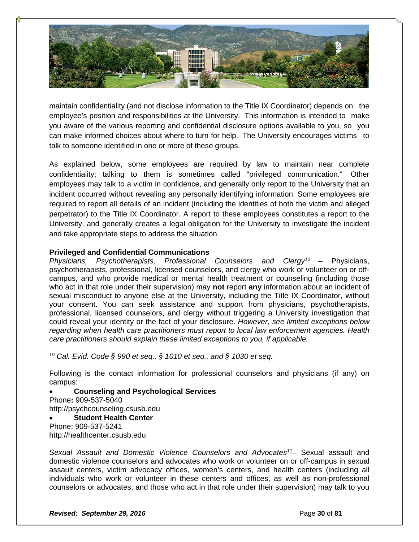

maintain confidentiality (and not disclose information to the Title IX Coordinator) depends on the employee's position and responsibilities at the University. This information is intended to make you aware of the various reporting and confidential disclosure options available to you, so you can make informed choices about where to turn for help. The University encourages victims to talk to someone identified in one or more of these groups.

As explained below, some employees are required by law to maintain near complete confidentiality; talking to them is sometimes called "privileged communication." Other employees may talk to a victim in confidence, and generally only report to the University that an incident occurred without revealing any personally identifying information. Some employees are required to report all details of an incident (including the identities of both the victim and alleged perpetrator) to the Title IX Coordinator. A report to these employees constitutes a report to the University, and generally creates a legal obligation for the University to investigate the incident and take appropriate steps to address the situation.

### **Privileged and Confidential Communications**

*Physicians, Psychotherapists, Professional Counselors and Clergy10* – Physicians, psychotherapists, professional, licensed counselors, and clergy who work or volunteer on or offcampus, and who provide medical or mental health treatment or counseling (including those who act in that role under their supervision) may **not** report **any** information about an incident of sexual misconduct to anyone else at the University, including the Title IX Coordinator, without your consent. You can seek assistance and support from physicians, psychotherapists, professional, licensed counselors, and clergy without triggering a University investigation that could reveal your identity or the fact of your disclosure. *However, see limited exceptions below regarding when health care practitioners must report to local law enforcement agencies. Health care practitioners should explain these limited exceptions to you, if applicable.*

*10 Cal. Evid. Code § 990 et seq., § 1010 et seq., and § 1030 et seq.*

Following is the contact information for professional counselors and physicians (if any) on campus:

 **Counseling and Psychological Services**  Phone**:** 909-537-5040 http://psychcounseling.csusb.edu **Student Health Center** 

Phone: 909-537-5241 http://healthcenter.csusb.edu

*Sexual Assault and Domestic Violence Counselors and Advocates11*– Sexual assault and domestic violence counselors and advocates who work or volunteer on or off-campus in sexual assault centers, victim advocacy offices, women's centers, and health centers (including all individuals who work or volunteer in these centers and offices, as well as non-professional counselors or advocates, and those who act in that role under their supervision) may talk to you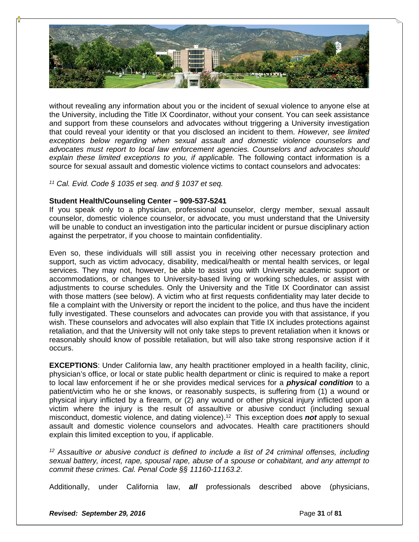

without revealing any information about you or the incident of sexual violence to anyone else at the University, including the Title IX Coordinator, without your consent. You can seek assistance and support from these counselors and advocates without triggering a University investigation that could reveal your identity or that you disclosed an incident to them. *However, see limited exceptions below regarding when sexual assault and domestic violence counselors and advocates must report to local law enforcement agencies. Counselors and advocates should*  explain these limited exceptions to you, if applicable. The following contact information is a source for sexual assault and domestic violence victims to contact counselors and advocates:

*11 Cal. Evid. Code § 1035 et seq. and § 1037 et seq.*

### **Student Health/Counseling Center – 909-537-5241**

If you speak only to a physician, professional counselor, clergy member, sexual assault counselor, domestic violence counselor, or advocate, you must understand that the University will be unable to conduct an investigation into the particular incident or pursue disciplinary action against the perpetrator, if you choose to maintain confidentiality.

Even so, these individuals will still assist you in receiving other necessary protection and support, such as victim advocacy, disability, medical/health or mental health services, or legal services. They may not, however, be able to assist you with University academic support or accommodations, or changes to University-based living or working schedules, or assist with adjustments to course schedules. Only the University and the Title IX Coordinator can assist with those matters (see below). A victim who at first requests confidentiality may later decide to file a complaint with the University or report the incident to the police, and thus have the incident fully investigated. These counselors and advocates can provide you with that assistance, if you wish. These counselors and advocates will also explain that Title IX includes protections against retaliation, and that the University will not only take steps to prevent retaliation when it knows or reasonably should know of possible retaliation, but will also take strong responsive action if it occurs.

**EXCEPTIONS**: Under California law, any health practitioner employed in a health facility, clinic, physician's office, or local or state public health department or clinic is required to make a report to local law enforcement if he or she provides medical services for a *physical condition* to a patient/victim who he or she knows, or reasonably suspects, is suffering from (1) a wound or physical injury inflicted by a firearm, or (2) any wound or other physical injury inflicted upon a victim where the injury is the result of assaultive or abusive conduct (including sexual misconduct, domestic violence, and dating violence).12 This exception does *not* apply to sexual assault and domestic violence counselors and advocates. Health care practitioners should explain this limited exception to you, if applicable.

*12 Assaultive or abusive conduct is defined to include a list of 24 criminal offenses, including sexual battery, incest, rape, spousal rape, abuse of a spouse or cohabitant, and any attempt to commit these crimes. Cal. Penal Code §§ 11160-11163.2*.

Additionally, under California law, *all* professionals described above (physicians,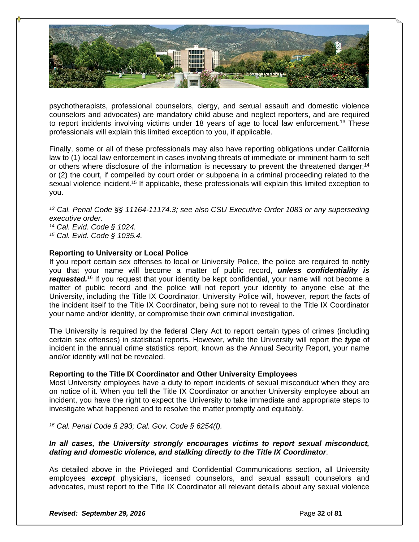

psychotherapists, professional counselors, clergy, and sexual assault and domestic violence counselors and advocates) are mandatory child abuse and neglect reporters, and are required to report incidents involving victims under 18 years of age to local law enforcement.<sup>13</sup> These professionals will explain this limited exception to you, if applicable.

Finally, some or all of these professionals may also have reporting obligations under California law to (1) local law enforcement in cases involving threats of immediate or imminent harm to self or others where disclosure of the information is necessary to prevent the threatened danger;<sup>14</sup> or (2) the court, if compelled by court order or subpoena in a criminal proceeding related to the sexual violence incident.<sup>15</sup> If applicable, these professionals will explain this limited exception to you.

*13 Cal. Penal Code §§ 11164-11174.3; see also CSU Executive Order 1083 or any superseding executive order.*

*14 Cal. Evid. Code § 1024. 15 Cal. Evid. Code § 1035.4.*

### **Reporting to University or Local Police**

If you report certain sex offenses to local or University Police, the police are required to notify you that your name will become a matter of public record, *unless confidentiality is*  requested.<sup>16</sup> If you request that your identity be kept confidential, your name will not become a matter of public record and the police will not report your identity to anyone else at the University, including the Title IX Coordinator. University Police will, however, report the facts of the incident itself to the Title IX Coordinator, being sure not to reveal to the Title IX Coordinator your name and/or identity, or compromise their own criminal investigation.

The University is required by the federal Clery Act to report certain types of crimes (including certain sex offenses) in statistical reports. However, while the University will report the *type* of incident in the annual crime statistics report, known as the Annual Security Report, your name and/or identity will not be revealed.

#### **Reporting to the Title IX Coordinator and Other University Employees**

Most University employees have a duty to report incidents of sexual misconduct when they are on notice of it. When you tell the Title IX Coordinator or another University employee about an incident, you have the right to expect the University to take immediate and appropriate steps to investigate what happened and to resolve the matter promptly and equitably.

*16 Cal. Penal Code § 293; Cal. Gov. Code § 6254(f).*

### *In all cases, the University strongly encourages victims to report sexual misconduct, dating and domestic violence, and stalking directly to the Title IX Coordinator*.

As detailed above in the Privileged and Confidential Communications section, all University employees *except* physicians, licensed counselors, and sexual assault counselors and advocates, must report to the Title IX Coordinator all relevant details about any sexual violence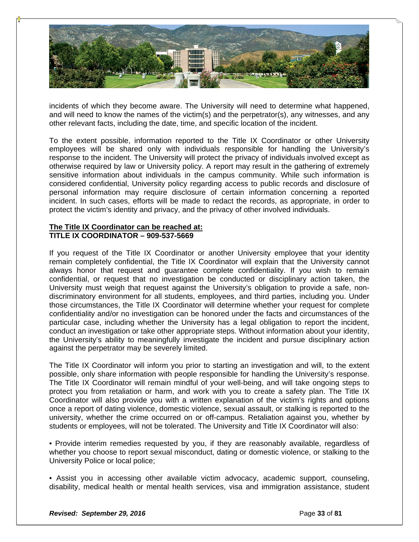

incidents of which they become aware. The University will need to determine what happened, and will need to know the names of the victim(s) and the perpetrator(s), any witnesses, and any other relevant facts, including the date, time, and specific location of the incident.

To the extent possible, information reported to the Title IX Coordinator or other University employees will be shared only with individuals responsible for handling the University's response to the incident. The University will protect the privacy of individuals involved except as otherwise required by law or University policy. A report may result in the gathering of extremely sensitive information about individuals in the campus community. While such information is considered confidential, University policy regarding access to public records and disclosure of personal information may require disclosure of certain information concerning a reported incident. In such cases, efforts will be made to redact the records, as appropriate, in order to protect the victim's identity and privacy, and the privacy of other involved individuals.

### **The Title IX Coordinator can be reached at: TITLE IX COORDINATOR – 909-537-5669**

If you request of the Title IX Coordinator or another University employee that your identity remain completely confidential, the Title IX Coordinator will explain that the University cannot always honor that request and guarantee complete confidentiality. If you wish to remain confidential, or request that no investigation be conducted or disciplinary action taken, the University must weigh that request against the University's obligation to provide a safe, nondiscriminatory environment for all students, employees, and third parties, including you. Under those circumstances, the Title IX Coordinator will determine whether your request for complete confidentiality and/or no investigation can be honored under the facts and circumstances of the particular case, including whether the University has a legal obligation to report the incident, conduct an investigation or take other appropriate steps. Without information about your identity, the University's ability to meaningfully investigate the incident and pursue disciplinary action against the perpetrator may be severely limited.

The Title IX Coordinator will inform you prior to starting an investigation and will, to the extent possible, only share information with people responsible for handling the University's response. The Title IX Coordinator will remain mindful of your well-being, and will take ongoing steps to protect you from retaliation or harm, and work with you to create a safety plan. The Title IX Coordinator will also provide you with a written explanation of the victim's rights and options once a report of dating violence, domestic violence, sexual assault, or stalking is reported to the university, whether the crime occurred on or off-campus. Retaliation against you, whether by students or employees, will not be tolerated. The University and Title IX Coordinator will also:

• Provide interim remedies requested by you, if they are reasonably available, regardless of whether you choose to report sexual misconduct, dating or domestic violence, or stalking to the University Police or local police;

• Assist you in accessing other available victim advocacy, academic support, counseling, disability, medical health or mental health services, visa and immigration assistance, student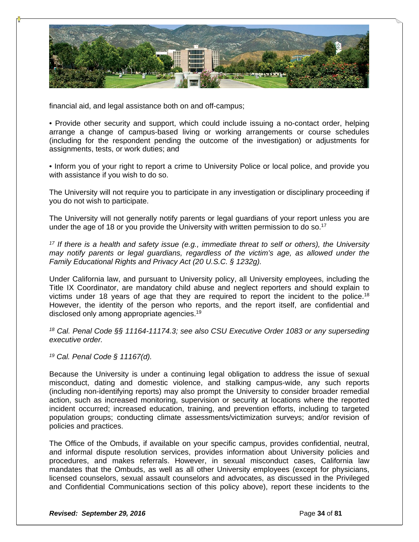

financial aid, and legal assistance both on and off-campus;

• Provide other security and support, which could include issuing a no-contact order, helping arrange a change of campus-based living or working arrangements or course schedules (including for the respondent pending the outcome of the investigation) or adjustments for assignments, tests, or work duties; and

• Inform you of your right to report a crime to University Police or local police, and provide you with assistance if you wish to do so.

The University will not require you to participate in any investigation or disciplinary proceeding if you do not wish to participate.

The University will not generally notify parents or legal guardians of your report unless you are under the age of 18 or you provide the University with written permission to do so.<sup>17</sup>

*17 If there is a health and safety issue (e.g., immediate threat to self or others), the University may notify parents or legal guardians, regardless of the victim's age, as allowed under the Family Educational Rights and Privacy Act (20 U.S.C. § 1232g).*

Under California law, and pursuant to University policy, all University employees, including the Title IX Coordinator, are mandatory child abuse and neglect reporters and should explain to victims under 18 years of age that they are required to report the incident to the police.<sup>18</sup> However, the identity of the person who reports, and the report itself, are confidential and disclosed only among appropriate agencies.19

*18 Cal. Penal Code §§ 11164-11174.3; see also CSU Executive Order 1083 or any superseding executive order.*

*19 Cal. Penal Code § 11167(d).*

Because the University is under a continuing legal obligation to address the issue of sexual misconduct, dating and domestic violence, and stalking campus-wide, any such reports (including non-identifying reports) may also prompt the University to consider broader remedial action, such as increased monitoring, supervision or security at locations where the reported incident occurred; increased education, training, and prevention efforts, including to targeted population groups; conducting climate assessments/victimization surveys; and/or revision of policies and practices.

The Office of the Ombuds, if available on your specific campus, provides confidential, neutral, and informal dispute resolution services, provides information about University policies and procedures, and makes referrals. However, in sexual misconduct cases, California law mandates that the Ombuds, as well as all other University employees (except for physicians, licensed counselors, sexual assault counselors and advocates, as discussed in the Privileged and Confidential Communications section of this policy above), report these incidents to the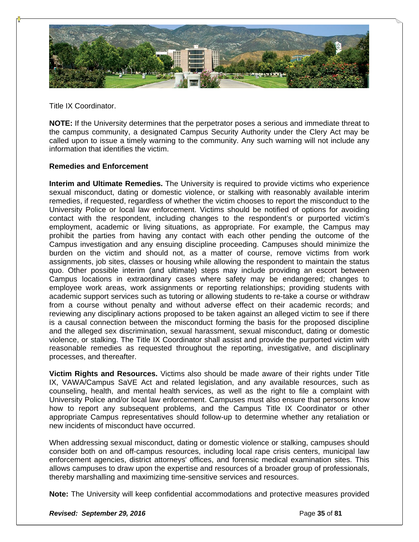

Title IX Coordinator.

**NOTE:** If the University determines that the perpetrator poses a serious and immediate threat to the campus community, a designated Campus Security Authority under the Clery Act may be called upon to issue a timely warning to the community. Any such warning will not include any information that identifies the victim.

### **Remedies and Enforcement**

**Interim and Ultimate Remedies.** The University is required to provide victims who experience sexual misconduct, dating or domestic violence, or stalking with reasonably available interim remedies, if requested, regardless of whether the victim chooses to report the misconduct to the University Police or local law enforcement. Victims should be notified of options for avoiding contact with the respondent, including changes to the respondent's or purported victim's employment, academic or living situations, as appropriate. For example, the Campus may prohibit the parties from having any contact with each other pending the outcome of the Campus investigation and any ensuing discipline proceeding. Campuses should minimize the burden on the victim and should not, as a matter of course, remove victims from work assignments, job sites, classes or housing while allowing the respondent to maintain the status quo. Other possible interim (and ultimate) steps may include providing an escort between Campus locations in extraordinary cases where safety may be endangered; changes to employee work areas, work assignments or reporting relationships; providing students with academic support services such as tutoring or allowing students to re-take a course or withdraw from a course without penalty and without adverse effect on their academic records; and reviewing any disciplinary actions proposed to be taken against an alleged victim to see if there is a causal connection between the misconduct forming the basis for the proposed discipline and the alleged sex discrimination, sexual harassment, sexual misconduct, dating or domestic violence, or stalking. The Title IX Coordinator shall assist and provide the purported victim with reasonable remedies as requested throughout the reporting, investigative, and disciplinary processes, and thereafter.

**Victim Rights and Resources.** Victims also should be made aware of their rights under Title IX, VAWA/Campus SaVE Act and related legislation, and any available resources, such as counseling, health, and mental health services, as well as the right to file a complaint with University Police and/or local law enforcement. Campuses must also ensure that persons know how to report any subsequent problems, and the Campus Title IX Coordinator or other appropriate Campus representatives should follow-up to determine whether any retaliation or new incidents of misconduct have occurred.

When addressing sexual misconduct, dating or domestic violence or stalking, campuses should consider both on and off-campus resources, including local rape crisis centers, municipal law enforcement agencies, district attorneys' offices, and forensic medical examination sites. This allows campuses to draw upon the expertise and resources of a broader group of professionals, thereby marshalling and maximizing time-sensitive services and resources.

**Note:** The University will keep confidential accommodations and protective measures provided

**Revised: September 29, 2016 Page 12, 2016 Page 35** of **81**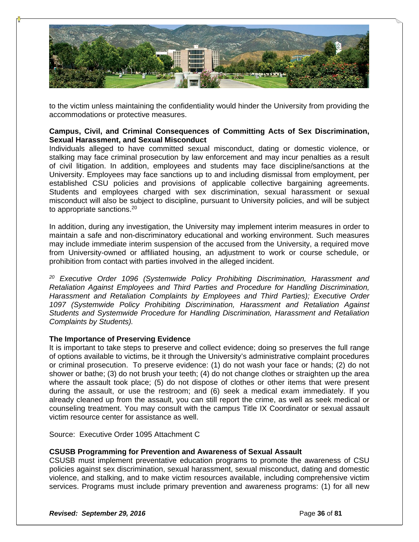

to the victim unless maintaining the confidentiality would hinder the University from providing the accommodations or protective measures.

### **Campus, Civil, and Criminal Consequences of Committing Acts of Sex Discrimination, Sexual Harassment, and Sexual Misconduct**

Individuals alleged to have committed sexual misconduct, dating or domestic violence, or stalking may face criminal prosecution by law enforcement and may incur penalties as a result of civil litigation. In addition, employees and students may face discipline/sanctions at the University. Employees may face sanctions up to and including dismissal from employment, per established CSU policies and provisions of applicable collective bargaining agreements. Students and employees charged with sex discrimination, sexual harassment or sexual misconduct will also be subject to discipline, pursuant to University policies, and will be subject to appropriate sanctions.<sup>20</sup>

In addition, during any investigation, the University may implement interim measures in order to maintain a safe and non-discriminatory educational and working environment. Such measures may include immediate interim suspension of the accused from the University, a required move from University-owned or affiliated housing, an adjustment to work or course schedule, or prohibition from contact with parties involved in the alleged incident.

*20 Executive Order 1096 (Systemwide Policy Prohibiting Discrimination, Harassment and Retaliation Against Employees and Third Parties and Procedure for Handling Discrimination, Harassment and Retaliation Complaints by Employees and Third Parties); Executive Order 1097 (Systemwide Policy Prohibiting Discrimination, Harassment and Retaliation Against Students and Systemwide Procedure for Handling Discrimination, Harassment and Retaliation Complaints by Students).* 

### **The Importance of Preserving Evidence**

It is important to take steps to preserve and collect evidence; doing so preserves the full range of options available to victims, be it through the University's administrative complaint procedures or criminal prosecution. To preserve evidence: (1) do not wash your face or hands; (2) do not shower or bathe; (3) do not brush your teeth; (4) do not change clothes or straighten up the area where the assault took place; (5) do not dispose of clothes or other items that were present during the assault, or use the restroom; and (6) seek a medical exam immediately. If you already cleaned up from the assault, you can still report the crime, as well as seek medical or counseling treatment. You may consult with the campus Title IX Coordinator or sexual assault victim resource center for assistance as well.

Source: Executive Order 1095 Attachment C

#### **CSUSB Programming for Prevention and Awareness of Sexual Assault**

CSUSB must implement preventative education programs to promote the awareness of CSU policies against sex discrimination, sexual harassment, sexual misconduct, dating and domestic violence, and stalking, and to make victim resources available, including comprehensive victim services. Programs must include primary prevention and awareness programs: (1) for all new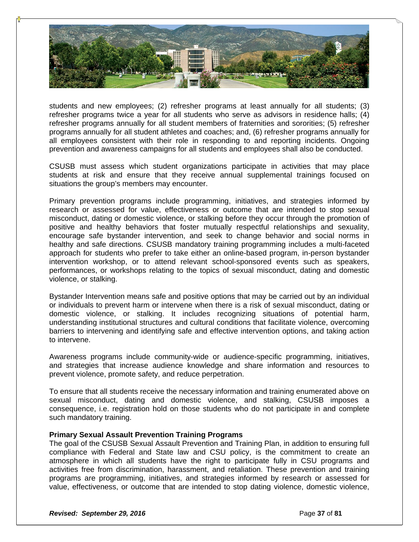

students and new employees; (2) refresher programs at least annually for all students; (3) refresher programs twice a year for all students who serve as advisors in residence halls; (4) refresher programs annually for all student members of fraternities and sororities; (5) refresher programs annually for all student athletes and coaches; and, (6) refresher programs annually for all employees consistent with their role in responding to and reporting incidents. Ongoing prevention and awareness campaigns for all students and employees shall also be conducted.

CSUSB must assess which student organizations participate in activities that may place students at risk and ensure that they receive annual supplemental trainings focused on situations the group's members may encounter.

Primary prevention programs include programming, initiatives, and strategies informed by research or assessed for value, effectiveness or outcome that are intended to stop sexual misconduct, dating or domestic violence, or stalking before they occur through the promotion of positive and healthy behaviors that foster mutually respectful relationships and sexuality, encourage safe bystander intervention, and seek to change behavior and social norms in healthy and safe directions. CSUSB mandatory training programming includes a multi-faceted approach for students who prefer to take either an online-based program, in-person bystander intervention workshop, or to attend relevant school-sponsored events such as speakers, performances, or workshops relating to the topics of sexual misconduct, dating and domestic violence, or stalking.

Bystander Intervention means safe and positive options that may be carried out by an individual or individuals to prevent harm or intervene when there is a risk of sexual misconduct, dating or domestic violence, or stalking. It includes recognizing situations of potential harm, understanding institutional structures and cultural conditions that facilitate violence, overcoming barriers to intervening and identifying safe and effective intervention options, and taking action to intervene.

Awareness programs include community-wide or audience-specific programming, initiatives, and strategies that increase audience knowledge and share information and resources to prevent violence, promote safety, and reduce perpetration.

To ensure that all students receive the necessary information and training enumerated above on sexual misconduct, dating and domestic violence, and stalking, CSUSB imposes a consequence, i.e. registration hold on those students who do not participate in and complete such mandatory training.

# **Primary Sexual Assault Prevention Training Programs**

The goal of the CSUSB Sexual Assault Prevention and Training Plan, in addition to ensuring full compliance with Federal and State law and CSU policy, is the commitment to create an atmosphere in which all students have the right to participate fully in CSU programs and activities free from discrimination, harassment, and retaliation. These prevention and training programs are programming, initiatives, and strategies informed by research or assessed for value, effectiveness, or outcome that are intended to stop dating violence, domestic violence,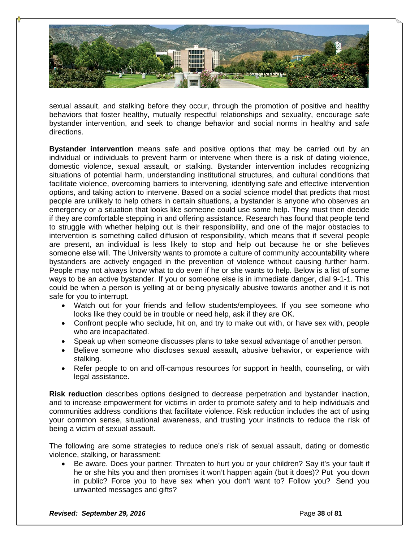

sexual assault, and stalking before they occur, through the promotion of positive and healthy behaviors that foster healthy, mutually respectful relationships and sexuality, encourage safe bystander intervention, and seek to change behavior and social norms in healthy and safe directions.

**Bystander intervention** means safe and positive options that may be carried out by an individual or individuals to prevent harm or intervene when there is a risk of dating violence, domestic violence, sexual assault, or stalking. Bystander intervention includes recognizing situations of potential harm, understanding institutional structures, and cultural conditions that facilitate violence, overcoming barriers to intervening, identifying safe and effective intervention options, and taking action to intervene. Based on a social science model that predicts that most people are unlikely to help others in certain situations, a bystander is anyone who observes an emergency or a situation that looks like someone could use some help. They must then decide if they are comfortable stepping in and offering assistance. Research has found that people tend to struggle with whether helping out is their responsibility, and one of the major obstacles to intervention is something called diffusion of responsibility, which means that if several people are present, an individual is less likely to stop and help out because he or she believes someone else will. The University wants to promote a culture of community accountability where bystanders are actively engaged in the prevention of violence without causing further harm. People may not always know what to do even if he or she wants to help. Below is a list of some ways to be an active bystander. If you or someone else is in immediate danger, dial 9-1-1. This could be when a person is yelling at or being physically abusive towards another and it is not safe for you to interrupt.

- Watch out for your friends and fellow students/employees. If you see someone who looks like they could be in trouble or need help, ask if they are OK.
- Confront people who seclude, hit on, and try to make out with, or have sex with, people who are incapacitated.
- Speak up when someone discusses plans to take sexual advantage of another person.
- Believe someone who discloses sexual assault, abusive behavior, or experience with stalking.
- Refer people to on and off-campus resources for support in health, counseling, or with legal assistance.

**Risk reduction** describes options designed to decrease perpetration and bystander inaction, and to increase empowerment for victims in order to promote safety and to help individuals and communities address conditions that facilitate violence. Risk reduction includes the act of using your common sense, situational awareness, and trusting your instincts to reduce the risk of being a victim of sexual assault.

The following are some strategies to reduce one's risk of sexual assault, dating or domestic violence, stalking, or harassment:

 Be aware. Does your partner: Threaten to hurt you or your children? Say it's your fault if he or she hits you and then promises it won't happen again (but it does)? Put you down in public? Force you to have sex when you don't want to? Follow you? Send you unwanted messages and gifts?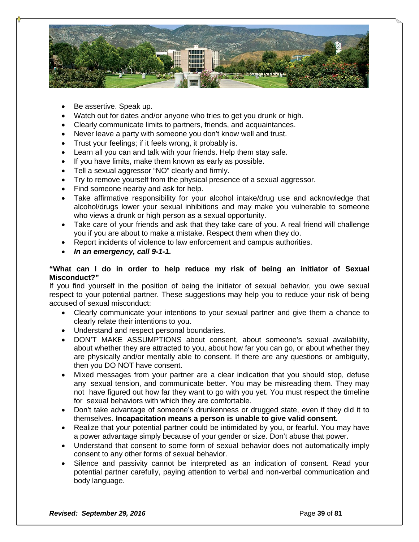

- Be assertive. Speak up.
- Watch out for dates and/or anyone who tries to get you drunk or high.
- Clearly communicate limits to partners, friends, and acquaintances.
- Never leave a party with someone you don't know well and trust.
- Trust your feelings; if it feels wrong, it probably is.
- Learn all you can and talk with your friends. Help them stay safe.
- If you have limits, make them known as early as possible.
- Tell a sexual aggressor "NO" clearly and firmly.
- Try to remove yourself from the physical presence of a sexual aggressor.
- Find someone nearby and ask for help.
- Take affirmative responsibility for your alcohol intake/drug use and acknowledge that alcohol/drugs lower your sexual inhibitions and may make you vulnerable to someone who views a drunk or high person as a sexual opportunity.
- Take care of your friends and ask that they take care of you. A real friend will challenge you if you are about to make a mistake. Respect them when they do.
- Report incidents of violence to law enforcement and campus authorities.
- *In an emergency, call 9-1-1.*

#### **"What can I do in order to help reduce my risk of being an initiator of Sexual Misconduct?"**

If you find yourself in the position of being the initiator of sexual behavior, you owe sexual respect to your potential partner. These suggestions may help you to reduce your risk of being accused of sexual misconduct:

- Clearly communicate your intentions to your sexual partner and give them a chance to clearly relate their intentions to you.
- Understand and respect personal boundaries.
- DON'T MAKE ASSUMPTIONS about consent, about someone's sexual availability, about whether they are attracted to you, about how far you can go, or about whether they are physically and/or mentally able to consent. If there are any questions or ambiguity, then you DO NOT have consent.
- Mixed messages from your partner are a clear indication that you should stop, defuse any sexual tension, and communicate better. You may be misreading them. They may not have figured out how far they want to go with you yet. You must respect the timeline for sexual behaviors with which they are comfortable.
- Don't take advantage of someone's drunkenness or drugged state, even if they did it to themselves. **Incapacitation means a person is unable to give valid consent.**
- Realize that your potential partner could be intimidated by you, or fearful. You may have a power advantage simply because of your gender or size. Don't abuse that power.
- Understand that consent to some form of sexual behavior does not automatically imply consent to any other forms of sexual behavior.
- Silence and passivity cannot be interpreted as an indication of consent. Read your potential partner carefully, paying attention to verbal and non-verbal communication and body language.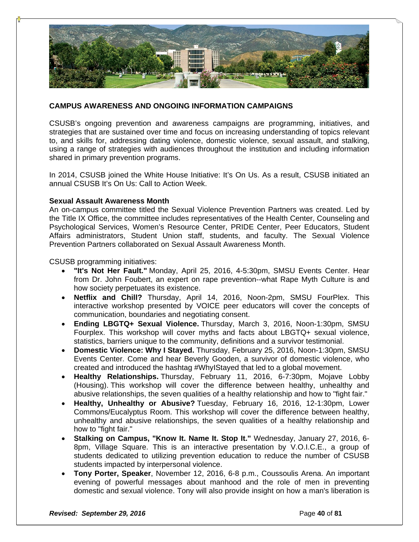

# **CAMPUS AWARENESS AND ONGOING INFORMATION CAMPAIGNS**

CSUSB's ongoing prevention and awareness campaigns are programming, initiatives, and strategies that are sustained over time and focus on increasing understanding of topics relevant to, and skills for, addressing dating violence, domestic violence, sexual assault, and stalking, using a range of strategies with audiences throughout the institution and including information shared in primary prevention programs.

In 2014, CSUSB joined the White House Initiative: It's On Us. As a result, CSUSB initiated an annual CSUSB It's On Us: Call to Action Week.

#### **Sexual Assault Awareness Month**

An on-campus committee titled the Sexual Violence Prevention Partners was created. Led by the Title IX Office, the committee includes representatives of the Health Center, Counseling and Psychological Services, Women's Resource Center, PRIDE Center, Peer Educators, Student Affairs administrators, Student Union staff, students, and faculty. The Sexual Violence Prevention Partners collaborated on Sexual Assault Awareness Month.

CSUSB programming initiatives:

- **"It's Not Her Fault."** Monday, April 25, 2016, 4-5:30pm, SMSU Events Center. Hear from Dr. John Foubert, an expert on rape prevention--what Rape Myth Culture is and how society perpetuates its existence.
- **Netflix and Chill?** Thursday, April 14, 2016, Noon-2pm, SMSU FourPlex. This interactive workshop presented by VOICE peer educators will cover the concepts of communication, boundaries and negotiating consent.
- **Ending LBGTQ+ Sexual Violence.** Thursday, March 3, 2016, Noon-1:30pm, SMSU Fourplex. This workshop will cover myths and facts about LBGTQ+ sexual violence, statistics, barriers unique to the community, definitions and a survivor testimonial.
- **Domestic Violence: Why I Stayed.** Thursday, February 25, 2016, Noon-1:30pm, SMSU Events Center. Come and hear Beverly Gooden, a survivor of domestic violence, who created and introduced the hashtag #WhyIStayed that led to a global movement.
- **Healthy Relationships.** Thursday, February 11, 2016, 6-7:30pm, Mojave Lobby (Housing). This workshop will cover the difference between healthy, unhealthy and abusive relationships, the seven qualities of a healthy relationship and how to "fight fair."
- **Healthy, Unhealthy or Abusive?** Tuesday, February 16, 2016, 12-1:30pm, Lower Commons/Eucalyptus Room. This workshop will cover the difference between healthy, unhealthy and abusive relationships, the seven qualities of a healthy relationship and how to "fight fair."
- **Stalking on Campus, "Know It. Name It. Stop It."** Wednesday, January 27, 2016, 6- 8pm, Village Square. This is an interactive presentation by V.O.I.C.E., a group of students dedicated to utilizing prevention education to reduce the number of CSUSB students impacted by interpersonal violence.
- **Tony Porter, Speaker**, November 12, 2016, 6-8 p.m., Coussoulis Arena. An important evening of powerful messages about manhood and the role of men in preventing domestic and sexual violence. Tony will also provide insight on how a man's liberation is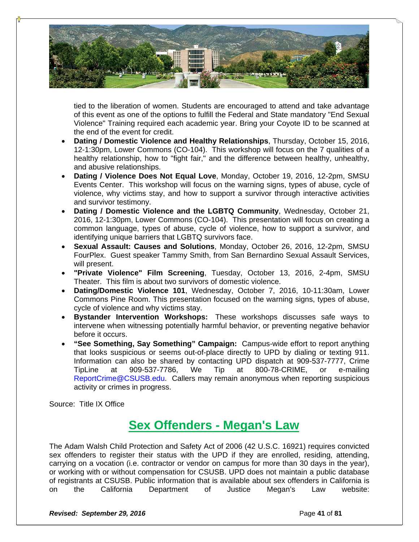

tied to the liberation of women. Students are encouraged to attend and take advantage of this event as one of the options to fulfill the Federal and State mandatory "End Sexual Violence" Training required each academic year. Bring your Coyote ID to be scanned at the end of the event for credit.

- **Dating / Domestic Violence and Healthy Relationships**, Thursday, October 15, 2016, 12-1:30pm, Lower Commons (CO-104). This workshop will focus on the 7 qualities of a healthy relationship, how to "fight fair," and the difference between healthy, unhealthy, and abusive relationships.
- **Dating / Violence Does Not Equal Love**, Monday, October 19, 2016, 12-2pm, SMSU Events Center. This workshop will focus on the warning signs, types of abuse, cycle of violence, why victims stay, and how to support a survivor through interactive activities and survivor testimony.
- **Dating / Domestic Violence and the LGBTQ Community**, Wednesday, October 21, 2016, 12-1:30pm, Lower Commons (CO-104). This presentation will focus on creating a common language, types of abuse, cycle of violence, how to support a survivor, and identifying unique barriers that LGBTQ survivors face.
- **Sexual Assault: Causes and Solutions**, Monday, October 26, 2016, 12-2pm, SMSU FourPlex. Guest speaker Tammy Smith, from San Bernardino Sexual Assault Services, will present.
- **"Private Violence" Film Screening**, Tuesday, October 13, 2016, 2-4pm, SMSU Theater. This film is about two survivors of domestic violence.
- **Dating/Domestic Violence 101**, Wednesday, October 7, 2016, 10-11:30am, Lower Commons Pine Room. This presentation focused on the warning signs, types of abuse, cycle of violence and why victims stay.
- **Bystander Intervention Workshops:** These workshops discusses safe ways to intervene when witnessing potentially harmful behavior, or preventing negative behavior before it occurs.
- **"See Something, Say Something" Campaign:** Campus-wide effort to report anything that looks suspicious or seems out-of-place directly to UPD by dialing or texting 911. Information can also be shared by contacting UPD dispatch at 909-537-7777, Crime TipLine at 909-537-7786, We Tip at 800-78-CRIME, or e-mailing ReportCrime@CSUSB.edu. Callers may remain anonymous when reporting suspicious activity or crimes in progress.

Source: Title IX Office

# **Sex Offenders - Megan's Law**

The Adam Walsh Child Protection and Safety Act of 2006 (42 U.S.C. 16921) requires convicted sex offenders to register their status with the UPD if they are enrolled, residing, attending, carrying on a vocation (i.e. contractor or vendor on campus for more than 30 days in the year), or working with or without compensation for CSUSB. UPD does not maintain a public database of registrants at CSUSB. Public information that is available about sex offenders in California is on the California Department of Justice Megan's Law website: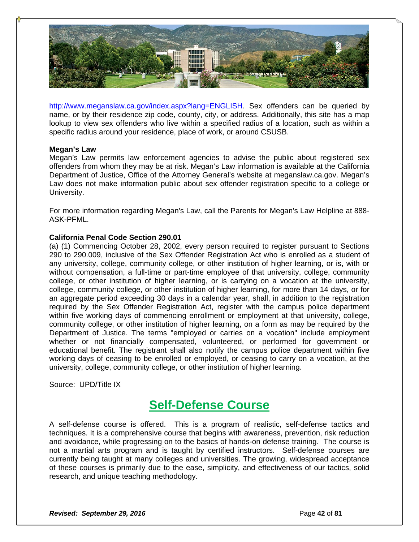

http://www.meganslaw.ca.gov/index.aspx?lang=ENGLISH. Sex offenders can be queried by name, or by their residence zip code, county, city, or address. Additionally, this site has a map lookup to view sex offenders who live within a specified radius of a location, such as within a specific radius around your residence, place of work, or around CSUSB.

#### **Megan's Law**

Megan's Law permits law enforcement agencies to advise the public about registered sex offenders from whom they may be at risk. Megan's Law information is available at the California Department of Justice, Office of the Attorney General's website at meganslaw.ca.gov. Megan's Law does not make information public about sex offender registration specific to a college or University.

For more information regarding Megan's Law, call the Parents for Megan's Law Helpline at 888- ASK-PFML.

#### **California Penal Code Section 290.01**

(a) (1) Commencing October 28, 2002, every person required to register pursuant to Sections 290 to 290.009, inclusive of the Sex Offender Registration Act who is enrolled as a student of any university, college, community college, or other institution of higher learning, or is, with or without compensation, a full-time or part-time employee of that university, college, community college, or other institution of higher learning, or is carrying on a vocation at the university, college, community college, or other institution of higher learning, for more than 14 days, or for an aggregate period exceeding 30 days in a calendar year, shall, in addition to the registration required by the Sex Offender Registration Act, register with the campus police department within five working days of commencing enrollment or employment at that university, college, community college, or other institution of higher learning, on a form as may be required by the Department of Justice. The terms "employed or carries on a vocation" include employment whether or not financially compensated, volunteered, or performed for government or educational benefit. The registrant shall also notify the campus police department within five working days of ceasing to be enrolled or employed, or ceasing to carry on a vocation, at the university, college, community college, or other institution of higher learning.

Source: UPD/Title IX

# **Self-Defense Course**

A self-defense course is offered. This is a program of realistic, self-defense tactics and techniques. It is a comprehensive course that begins with awareness, prevention, risk reduction and avoidance, while progressing on to the basics of hands-on defense training. The course is not a martial arts program and is taught by certified instructors. Self-defense courses are currently being taught at many colleges and universities. The growing, widespread acceptance of these courses is primarily due to the ease, simplicity, and effectiveness of our tactics, solid research, and unique teaching methodology.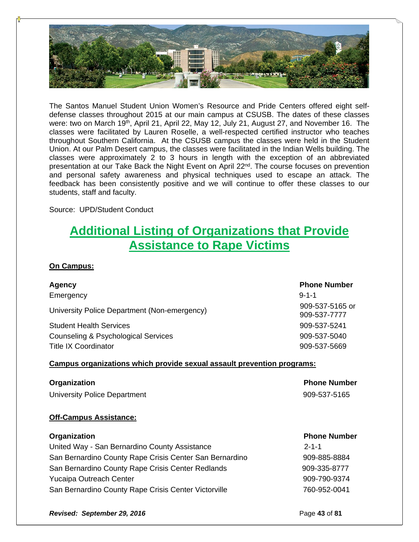

The Santos Manuel Student Union Women's Resource and Pride Centers offered eight selfdefense classes throughout 2015 at our main campus at CSUSB. The dates of these classes were: two on March 19<sup>th</sup>, April 21, April 22, May 12, July 21, August 27, and November 16. The classes were facilitated by Lauren Roselle, a well-respected certified instructor who teaches throughout Southern California. At the CSUSB campus the classes were held in the Student Union. At our Palm Desert campus, the classes were facilitated in the Indian Wells building. The classes were approximately 2 to 3 hours in length with the exception of an abbreviated presentation at our Take Back the Night Event on April 22<sup>nd</sup>. The course focuses on prevention and personal safety awareness and physical techniques used to escape an attack. The feedback has been consistently positive and we will continue to offer these classes to our students, staff and faculty.

Source: UPD/Student Conduct

# **Additional Listing of Organizations that Provide Assistance to Rape Victims**

# **On Campus:**

| Agency<br>Emergency                                                                                                  | <b>Phone Number</b><br>$9 - 1 - 1$ |
|----------------------------------------------------------------------------------------------------------------------|------------------------------------|
| University Police Department (Non-emergency)                                                                         | 909-537-5165 or<br>909-537-7777    |
| <b>Student Health Services</b>                                                                                       | 909-537-5241                       |
| Counseling & Psychological Services                                                                                  | 909-537-5040                       |
| <b>Title IX Coordinator</b>                                                                                          | 909-537-5669                       |
| <b>Campus organizations which provide sexual assault prevention programs:</b><br><b>Phone Number</b><br>Organization |                                    |
| <b>University Police Department</b>                                                                                  | 909-537-5165                       |
| <b>Off-Campus Assistance:</b>                                                                                        |                                    |
| Organization                                                                                                         | <b>Phone Number</b>                |

| United Way - San Bernardino County Assistance<br>$2 - 1 - 1$ |              |
|--------------------------------------------------------------|--------------|
| San Bernardino County Rape Crisis Center San Bernardino      | 909-885-8884 |
| San Bernardino County Rape Crisis Center Redlands            | 909-335-8777 |
| <b>Yucaipa Outreach Center</b>                               | 909-790-9374 |
| San Bernardino County Rape Crisis Center Victorville         | 760-952-0041 |

**Revised: September 29, 2016 Page 13 of 81 Page 43 of 81**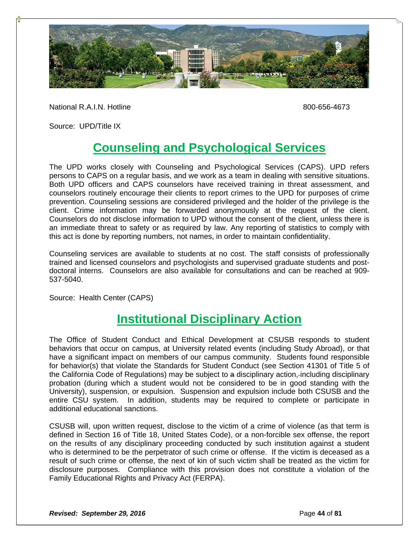

National R.A.I.N. Hotline 800-656-4673

Source: UPD/Title IX

# **Counseling and Psychological Services**

The UPD works closely with Counseling and Psychological Services (CAPS). UPD refers persons to CAPS on a regular basis, and we work as a team in dealing with sensitive situations. Both UPD officers and CAPS counselors have received training in threat assessment, and counselors routinely encourage their clients to report crimes to the UPD for purposes of crime prevention. Counseling sessions are considered privileged and the holder of the privilege is the client. Crime information may be forwarded anonymously at the request of the client. Counselors do not disclose information to UPD without the consent of the client, unless there is an immediate threat to safety or as required by law. Any reporting of statistics to comply with this act is done by reporting numbers, not names, in order to maintain confidentiality.

Counseling services are available to students at no cost. The staff consists of professionally trained and licensed counselors and psychologists and supervised graduate students and postdoctoral interns. Counselors are also available for consultations and can be reached at 909- 537-5040.

Source: Health Center (CAPS)

# **Institutional Disciplinary Action**

The Office of Student Conduct and Ethical Development at CSUSB responds to student behaviors that occur on campus, at University related events (including Study Abroad), or that have a significant impact on members of our campus community. Students found responsible for behavior(s) that violate the Standards for Student Conduct (see Section 41301 of Title 5 of the California Code of Regulations) may be subject to a disciplinary action, including disciplinary probation (during which a student would not be considered to be in good standing with the University), suspension, or expulsion. Suspension and expulsion include both CSUSB and the entire CSU system. In addition, students may be required to complete or participate in additional educational sanctions.

CSUSB will, upon written request, disclose to the victim of a crime of violence (as that term is defined in Section 16 of Title 18, United States Code), or a non-forcible sex offense, the report on the results of any disciplinary proceeding conducted by such institution against a student who is determined to be the perpetrator of such crime or offense. If the victim is deceased as a result of such crime or offense, the next of kin of such victim shall be treated as the victim for disclosure purposes. Compliance with this provision does not constitute a violation of the Family Educational Rights and Privacy Act (FERPA).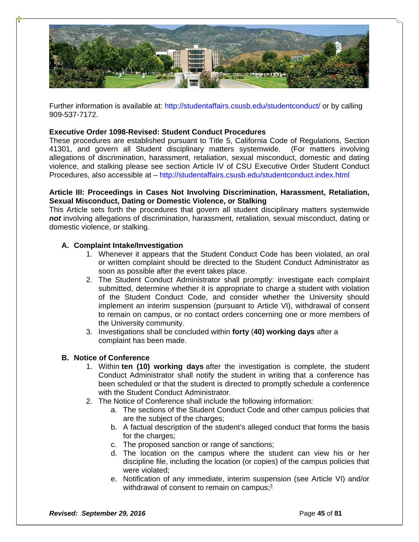

Further information is available at: http://studentaffairs.csusb.edu/studentconduct/ or by calling 909-537-7172.

# **Executive Order 1098-Revised: Student Conduct Procedures**

These procedures are established pursuant to Title 5, California Code of Regulations, Section 41301, and govern all Student disciplinary matters systemwide. (For matters involving allegations of discrimination, harassment, retaliation, sexual misconduct, domestic and dating violence, and stalking please see section Article IV of CSU Executive Order Student Conduct Procedures, also accessible at – http://studentaffairs.csusb.edu/studentconduct.index.html

### **Article III: Proceedings in Cases Not Involving Discrimination, Harassment, Retaliation, Sexual Misconduct, Dating or Domestic Violence, or Stalking**

This Article sets forth the procedures that govern all student disciplinary matters systemwide *not* involving allegations of discrimination, harassment, retaliation, sexual misconduct, dating or domestic violence, or stalking.

# **A. Complaint Intake/Investigation**

- 1. Whenever it appears that the Student Conduct Code has been violated, an oral or written complaint should be directed to the Student Conduct Administrator as soon as possible after the event takes place.
- 2. The Student Conduct Administrator shall promptly: investigate each complaint submitted, determine whether it is appropriate to charge a student with violation of the Student Conduct Code, and consider whether the University should implement an interim suspension (pursuant to Article VI), withdrawal of consent to remain on campus, or no contact orders concerning one or more members of the University community.
- 3. Investigations shall be concluded within **forty** (**40) working days** after a complaint has been made.

# **B. Notice of Conference**

- 1. Within **ten (10) working days** after the investigation is complete, the student Conduct Administrator shall notify the student in writing that a conference has been scheduled or that the student is directed to promptly schedule a conference with the Student Conduct Administrator.
- 2. The Notice of Conference shall include the following information:
	- a. The sections of the Student Conduct Code and other campus policies that are the subject of the charges;
	- b. A factual description of the student's alleged conduct that forms the basis for the charges;
	- c. The proposed sanction or range of sanctions;
	- d. The location on the campus where the student can view his or her discipline file, including the location (or copies) of the campus policies that were violated;
	- e. Notification of any immediate, interim suspension (see Article VI) and/or withdrawal of consent to remain on campus;**3**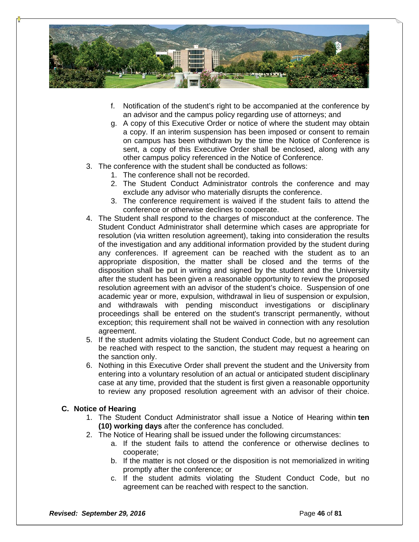

- f. Notification of the student's right to be accompanied at the conference by an advisor and the campus policy regarding use of attorneys; and
- g. A copy of this Executive Order or notice of where the student may obtain a copy. If an interim suspension has been imposed or consent to remain on campus has been withdrawn by the time the Notice of Conference is sent, a copy of this Executive Order shall be enclosed, along with any other campus policy referenced in the Notice of Conference.
- 3. The conference with the student shall be conducted as follows:
	- 1. The conference shall not be recorded.
	- 2. The Student Conduct Administrator controls the conference and may exclude any advisor who materially disrupts the conference.
	- 3. The conference requirement is waived if the student fails to attend the conference or otherwise declines to cooperate.
- 4. The Student shall respond to the charges of misconduct at the conference. The Student Conduct Administrator shall determine which cases are appropriate for resolution (via written resolution agreement), taking into consideration the results of the investigation and any additional information provided by the student during any conferences. If agreement can be reached with the student as to an appropriate disposition, the matter shall be closed and the terms of the disposition shall be put in writing and signed by the student and the University after the student has been given a reasonable opportunity to review the proposed resolution agreement with an advisor of the student's choice. Suspension of one academic year or more, expulsion, withdrawal in lieu of suspension or expulsion, and withdrawals with pending misconduct investigations or disciplinary proceedings shall be entered on the student's transcript permanently, without exception; this requirement shall not be waived in connection with any resolution agreement.
- 5. If the student admits violating the Student Conduct Code, but no agreement can be reached with respect to the sanction, the student may request a hearing on the sanction only.
- 6. Nothing in this Executive Order shall prevent the student and the University from entering into a voluntary resolution of an actual or anticipated student disciplinary case at any time, provided that the student is first given a reasonable opportunity to review any proposed resolution agreement with an advisor of their choice.

#### **C. Notice of Hearing**

- 1. The Student Conduct Administrator shall issue a Notice of Hearing within **ten (10) working days** after the conference has concluded.
- 2. The Notice of Hearing shall be issued under the following circumstances:
	- a. If the student fails to attend the conference or otherwise declines to cooperate;
	- b. If the matter is not closed or the disposition is not memorialized in writing promptly after the conference; or
	- c. If the student admits violating the Student Conduct Code, but no agreement can be reached with respect to the sanction.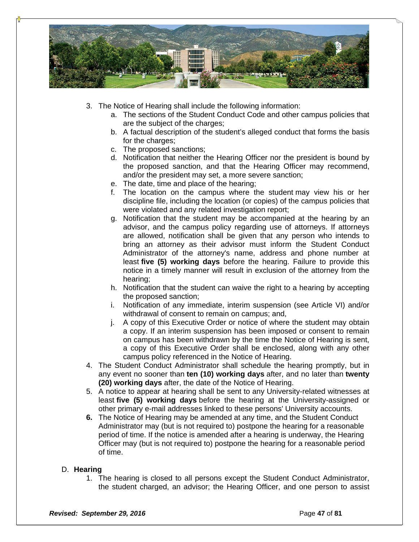

- 3. The Notice of Hearing shall include the following information:
	- a. The sections of the Student Conduct Code and other campus policies that are the subject of the charges;
	- b. A factual description of the student's alleged conduct that forms the basis for the charges:
	- c. The proposed sanctions;
	- d. Notification that neither the Hearing Officer nor the president is bound by the proposed sanction, and that the Hearing Officer may recommend, and/or the president may set, a more severe sanction;
	- e. The date, time and place of the hearing;
	- f. The location on the campus where the student may view his or her discipline file, including the location (or copies) of the campus policies that were violated and any related investigation report;
	- g. Notification that the student may be accompanied at the hearing by an advisor, and the campus policy regarding use of attorneys. If attorneys are allowed, notification shall be given that any person who intends to bring an attorney as their advisor must inform the Student Conduct Administrator of the attorney's name, address and phone number at least **five (5) working days** before the hearing. Failure to provide this notice in a timely manner will result in exclusion of the attorney from the hearing;
	- h. Notification that the student can waive the right to a hearing by accepting the proposed sanction;
	- i. Notification of any immediate, interim suspension (see Article VI) and/or withdrawal of consent to remain on campus; and,
	- j. A copy of this Executive Order or notice of where the student may obtain a copy. If an interim suspension has been imposed or consent to remain on campus has been withdrawn by the time the Notice of Hearing is sent, a copy of this Executive Order shall be enclosed, along with any other campus policy referenced in the Notice of Hearing.
- 4. The Student Conduct Administrator shall schedule the hearing promptly, but in any event no sooner than **ten (10) working days** after, and no later than **twenty (20) working days** after, the date of the Notice of Hearing.
- 5. A notice to appear at hearing shall be sent to any University-related witnesses at least **five (5) working days** before the hearing at the University-assigned or other primary e-mail addresses linked to these persons' University accounts.
- **6.** The Notice of Hearing may be amended at any time, and the Student Conduct Administrator may (but is not required to) postpone the hearing for a reasonable period of time. If the notice is amended after a hearing is underway, the Hearing Officer may (but is not required to) postpone the hearing for a reasonable period of time.

#### D. **Hearing**

1. The hearing is closed to all persons except the Student Conduct Administrator, the student charged, an advisor; the Hearing Officer, and one person to assist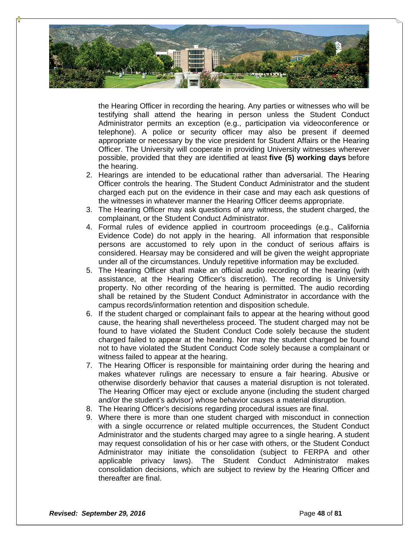

the Hearing Officer in recording the hearing. Any parties or witnesses who will be testifying shall attend the hearing in person unless the Student Conduct Administrator permits an exception (e.g., participation via videoconference or telephone). A police or security officer may also be present if deemed appropriate or necessary by the vice president for Student Affairs or the Hearing Officer. The University will cooperate in providing University witnesses wherever possible, provided that they are identified at least **five (5) working days** before the hearing.

- 2. Hearings are intended to be educational rather than adversarial. The Hearing Officer controls the hearing. The Student Conduct Administrator and the student charged each put on the evidence in their case and may each ask questions of the witnesses in whatever manner the Hearing Officer deems appropriate.
- 3. The Hearing Officer may ask questions of any witness, the student charged, the complainant, or the Student Conduct Administrator.
- 4. Formal rules of evidence applied in courtroom proceedings (e.g., California Evidence Code) do not apply in the hearing. All information that responsible persons are accustomed to rely upon in the conduct of serious affairs is considered. Hearsay may be considered and will be given the weight appropriate under all of the circumstances. Unduly repetitive information may be excluded.
- 5. The Hearing Officer shall make an official audio recording of the hearing (with assistance, at the Hearing Officer's discretion). The recording is University property. No other recording of the hearing is permitted. The audio recording shall be retained by the Student Conduct Administrator in accordance with the campus records/information retention and disposition schedule.
- 6. If the student charged or complainant fails to appear at the hearing without good cause, the hearing shall nevertheless proceed. The student charged may not be found to have violated the Student Conduct Code solely because the student charged failed to appear at the hearing. Nor may the student charged be found not to have violated the Student Conduct Code solely because a complainant or witness failed to appear at the hearing.
- 7. The Hearing Officer is responsible for maintaining order during the hearing and makes whatever rulings are necessary to ensure a fair hearing. Abusive or otherwise disorderly behavior that causes a material disruption is not tolerated. The Hearing Officer may eject or exclude anyone (including the student charged and/or the student's advisor) whose behavior causes a material disruption.
- 8. The Hearing Officer's decisions regarding procedural issues are final.
- 9. Where there is more than one student charged with misconduct in connection with a single occurrence or related multiple occurrences, the Student Conduct Administrator and the students charged may agree to a single hearing. A student may request consolidation of his or her case with others, or the Student Conduct Administrator may initiate the consolidation (subject to FERPA and other applicable privacy laws). The Student Conduct Administrator makes consolidation decisions, which are subject to review by the Hearing Officer and thereafter are final.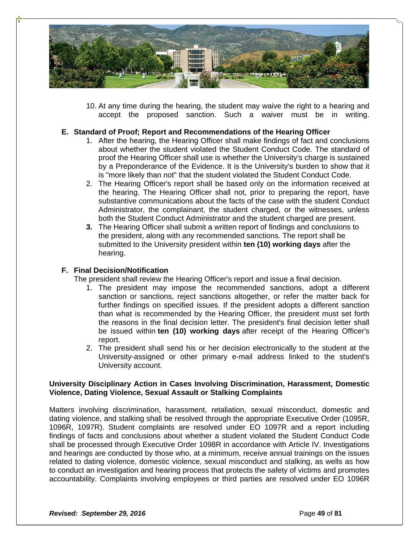

10. At any time during the hearing, the student may waive the right to a hearing and accept the proposed sanction. Such a waiver must be in writing.

# **E. Standard of Proof; Report and Recommendations of the Hearing Officer**

- 1. After the hearing, the Hearing Officer shall make findings of fact and conclusions about whether the student violated the Student Conduct Code. The standard of proof the Hearing Officer shall use is whether the University's charge is sustained by a Preponderance of the Evidence. It is the University's burden to show that it is "more likely than not" that the student violated the Student Conduct Code.
- 2. The Hearing Officer's report shall be based only on the information received at the hearing. The Hearing Officer shall not, prior to preparing the report, have substantive communications about the facts of the case with the student Conduct Administrator, the complainant, the student charged, or the witnesses, unless both the Student Conduct Administrator and the student charged are present.
- **3.** The Hearing Officer shall submit a written report of findings and conclusions to the president, along with any recommended sanctions. The report shall be submitted to the University president within **ten (10) working days** after the hearing.

# **F. Final Decision/Notification**

The president shall review the Hearing Officer's report and issue a final decision.

- 1. The president may impose the recommended sanctions, adopt a different sanction or sanctions, reject sanctions altogether, or refer the matter back for further findings on specified issues. If the president adopts a different sanction than what is recommended by the Hearing Officer, the president must set forth the reasons in the final decision letter. The president's final decision letter shall be issued within **ten (10) working days** after receipt of the Hearing Officer's report.
- 2. The president shall send his or her decision electronically to the student at the University-assigned or other primary e-mail address linked to the student's University account.

#### **University Disciplinary Action in Cases Involving Discrimination, Harassment, Domestic Violence, Dating Violence, Sexual Assault or Stalking Complaints**

Matters involving discrimination, harassment, retaliation, sexual misconduct, domestic and dating violence, and stalking shall be resolved through the appropriate Executive Order (1095R, 1096R, 1097R). Student complaints are resolved under EO 1097R and a report including findings of facts and conclusions about whether a student violated the Student Conduct Code shall be processed through Executive Order 1098R in accordance with Article IV. Investigations and hearings are conducted by those who, at a minimum, receive annual trainings on the issues related to dating violence, domestic violence, sexual misconduct and stalking, as wells as how to conduct an investigation and hearing process that protects the safety of victims and promotes accountability. Complaints involving employees or third parties are resolved under EO 1096R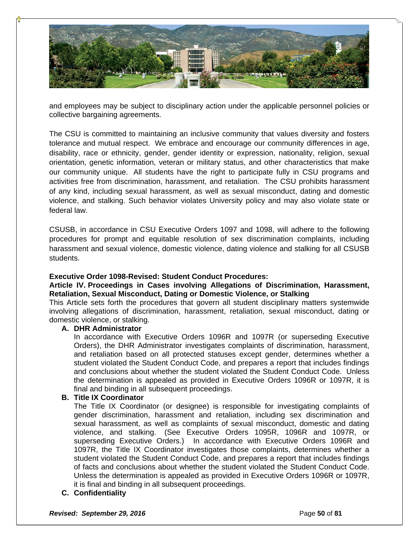

and employees may be subject to disciplinary action under the applicable personnel policies or collective bargaining agreements.

The CSU is committed to maintaining an inclusive community that values diversity and fosters tolerance and mutual respect. We embrace and encourage our community differences in age, disability, race or ethnicity, gender, gender identity or expression, nationality, religion, sexual orientation, genetic information, veteran or military status, and other characteristics that make our community unique. All students have the right to participate fully in CSU programs and activities free from discrimination, harassment, and retaliation. The CSU prohibits harassment of any kind, including sexual harassment, as well as sexual misconduct, dating and domestic violence, and stalking. Such behavior violates University policy and may also violate state or federal law.

CSUSB, in accordance in CSU Executive Orders 1097 and 1098, will adhere to the following procedures for prompt and equitable resolution of sex discrimination complaints, including harassment and sexual violence, domestic violence, dating violence and stalking for all CSUSB students.

#### **Executive Order 1098-Revised: Student Conduct Procedures:**

#### **Article IV. Proceedings in Cases involving Allegations of Discrimination, Harassment, Retaliation, Sexual Misconduct, Dating or Domestic Violence, or Stalking**

This Article sets forth the procedures that govern all student disciplinary matters systemwide involving allegations of discrimination, harassment, retaliation, sexual misconduct, dating or domestic violence, or stalking.

# **A. DHR Administrator**

In accordance with Executive Orders 1096R and 1097R (or superseding Executive Orders), the DHR Administrator investigates complaints of discrimination, harassment, and retaliation based on all protected statuses except gender, determines whether a student violated the Student Conduct Code, and prepares a report that includes findings and conclusions about whether the student violated the Student Conduct Code. Unless the determination is appealed as provided in Executive Orders 1096R or 1097R, it is final and binding in all subsequent proceedings.

#### **B. Title IX Coordinator**

The Title IX Coordinator (or designee) is responsible for investigating complaints of gender discrimination, harassment and retaliation, including sex discrimination and sexual harassment, as well as complaints of sexual misconduct, domestic and dating violence, and stalking. (See Executive Orders 1095R, 1096R and 1097R, or superseding Executive Orders.) In accordance with Executive Orders 1096R and 1097R, the Title IX Coordinator investigates those complaints, determines whether a student violated the Student Conduct Code, and prepares a report that includes findings of facts and conclusions about whether the student violated the Student Conduct Code. Unless the determination is appealed as provided in Executive Orders 1096R or 1097R, it is final and binding in all subsequent proceedings.

#### **C. Confidentiality**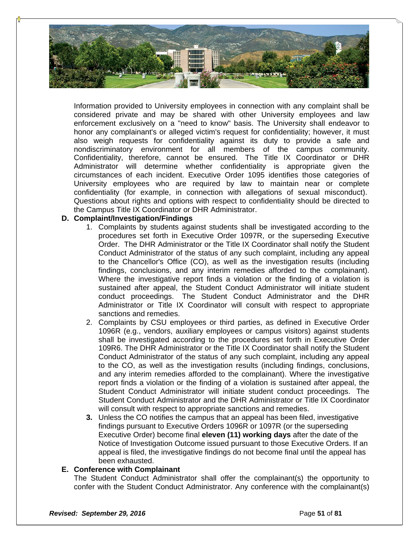

Information provided to University employees in connection with any complaint shall be considered private and may be shared with other University employees and law enforcement exclusively on a "need to know" basis. The University shall endeavor to honor any complainant's or alleged victim's request for confidentiality; however, it must also weigh requests for confidentiality against its duty to provide a safe and nondiscriminatory environment for all members of the campus community. Confidentiality, therefore, cannot be ensured. The Title IX Coordinator or DHR Administrator will determine whether confidentiality is appropriate given the circumstances of each incident. Executive Order 1095 identifies those categories of University employees who are required by law to maintain near or complete confidentiality (for example, in connection with allegations of sexual misconduct). Questions about rights and options with respect to confidentiality should be directed to the Campus Title IX Coordinator or DHR Administrator.

# **D. Complaint/Investigation/Findings**

- 1. Complaints by students against students shall be investigated according to the procedures set forth in Executive Order 1097R, or the superseding Executive Order. The DHR Administrator or the Title IX Coordinator shall notify the Student Conduct Administrator of the status of any such complaint, including any appeal to the Chancellor's Office (CO), as well as the investigation results (including findings, conclusions, and any interim remedies afforded to the complainant). Where the investigative report finds a violation or the finding of a violation is sustained after appeal, the Student Conduct Administrator will initiate student conduct proceedings. The Student Conduct Administrator and the DHR Administrator or Title IX Coordinator will consult with respect to appropriate sanctions and remedies.
- 2. Complaints by CSU employees or third parties, as defined in Executive Order 1096R (e.g., vendors, auxiliary employees or campus visitors) against students shall be investigated according to the procedures set forth in Executive Order 109R6. The DHR Administrator or the Title IX Coordinator shall notify the Student Conduct Administrator of the status of any such complaint, including any appeal to the CO, as well as the investigation results (including findings, conclusions, and any interim remedies afforded to the complainant). Where the investigative report finds a violation or the finding of a violation is sustained after appeal, the Student Conduct Administrator will initiate student conduct proceedings. The Student Conduct Administrator and the DHR Administrator or Title IX Coordinator will consult with respect to appropriate sanctions and remedies.
- **3.** Unless the CO notifies the campus that an appeal has been filed, investigative findings pursuant to Executive Orders 1096R or 1097R (or the superseding Executive Order) become final **eleven (11) working days** after the date of the Notice of Investigation Outcome issued pursuant to those Executive Orders. If an appeal is filed, the investigative findings do not become final until the appeal has been exhausted.

#### **E. Conference with Complainant**

The Student Conduct Administrator shall offer the complainant(s) the opportunity to confer with the Student Conduct Administrator. Any conference with the complainant(s)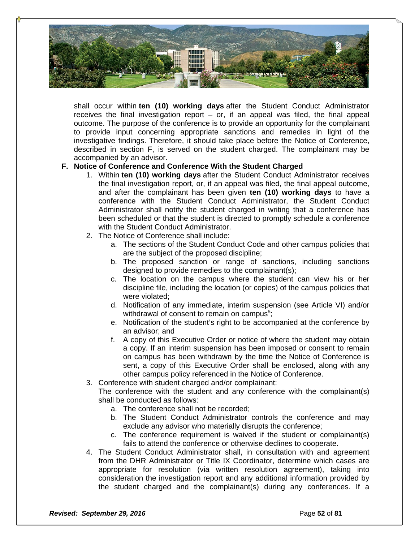

shall occur within **ten (10) working days** after the Student Conduct Administrator receives the final investigation report – or, if an appeal was filed, the final appeal outcome. The purpose of the conference is to provide an opportunity for the complainant to provide input concerning appropriate sanctions and remedies in light of the investigative findings. Therefore, it should take place before the Notice of Conference, described in section F, is served on the student charged. The complainant may be accompanied by an advisor.

# **F. Notice of Conference and Conference With the Student Charged**

- 1. Within **ten (10) working days** after the Student Conduct Administrator receives the final investigation report, or, if an appeal was filed, the final appeal outcome, and after the complainant has been given **ten (10) working days** to have a conference with the Student Conduct Administrator, the Student Conduct Administrator shall notify the student charged in writing that a conference has been scheduled or that the student is directed to promptly schedule a conference with the Student Conduct Administrator.
- 2. The Notice of Conference shall include:
	- a. The sections of the Student Conduct Code and other campus policies that are the subject of the proposed discipline;
	- b. The proposed sanction or range of sanctions, including sanctions designed to provide remedies to the complainant(s);
	- c. The location on the campus where the student can view his or her discipline file, including the location (or copies) of the campus policies that were violated;
	- d. Notification of any immediate, interim suspension (see Article VI) and/or withdrawal of consent to remain on campus<sup>5</sup>;
	- e. Notification of the student's right to be accompanied at the conference by an advisor; and
	- f. A copy of this Executive Order or notice of where the student may obtain a copy. If an interim suspension has been imposed or consent to remain on campus has been withdrawn by the time the Notice of Conference is sent, a copy of this Executive Order shall be enclosed, along with any other campus policy referenced in the Notice of Conference.
- 3. Conference with student charged and/or complainant:

The conference with the student and any conference with the complainant(s) shall be conducted as follows:

- a. The conference shall not be recorded;
- b. The Student Conduct Administrator controls the conference and may exclude any advisor who materially disrupts the conference;
- c. The conference requirement is waived if the student or complainant(s) fails to attend the conference or otherwise declines to cooperate.
- 4. The Student Conduct Administrator shall, in consultation with and agreement from the DHR Administrator or Title IX Coordinator, determine which cases are appropriate for resolution (via written resolution agreement), taking into consideration the investigation report and any additional information provided by the student charged and the complainant(s) during any conferences. If a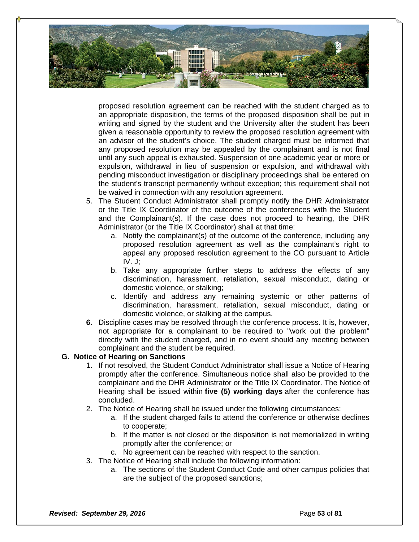

proposed resolution agreement can be reached with the student charged as to an appropriate disposition, the terms of the proposed disposition shall be put in writing and signed by the student and the University after the student has been given a reasonable opportunity to review the proposed resolution agreement with an advisor of the student's choice. The student charged must be informed that any proposed resolution may be appealed by the complainant and is not final until any such appeal is exhausted. Suspension of one academic year or more or expulsion, withdrawal in lieu of suspension or expulsion, and withdrawal with pending misconduct investigation or disciplinary proceedings shall be entered on the student's transcript permanently without exception; this requirement shall not be waived in connection with any resolution agreement.

- 5. The Student Conduct Administrator shall promptly notify the DHR Administrator or the Title IX Coordinator of the outcome of the conferences with the Student and the Complainant(s). If the case does not proceed to hearing, the DHR Administrator (or the Title IX Coordinator) shall at that time:
	- a. Notify the complainant(s) of the outcome of the conference, including any proposed resolution agreement as well as the complainant's right to appeal any proposed resolution agreement to the CO pursuant to Article  $IV. J:$
	- b. Take any appropriate further steps to address the effects of any discrimination, harassment, retaliation, sexual misconduct, dating or domestic violence, or stalking;
	- c. Identify and address any remaining systemic or other patterns of discrimination, harassment, retaliation, sexual misconduct, dating or domestic violence, or stalking at the campus.
- **6.** Discipline cases may be resolved through the conference process. It is, however, not appropriate for a complainant to be required to "work out the problem" directly with the student charged, and in no event should any meeting between complainant and the student be required.

#### **G. Notice of Hearing on Sanctions**

- 1. If not resolved, the Student Conduct Administrator shall issue a Notice of Hearing promptly after the conference. Simultaneous notice shall also be provided to the complainant and the DHR Administrator or the Title IX Coordinator. The Notice of Hearing shall be issued within **five (5) working days** after the conference has concluded.
- 2. The Notice of Hearing shall be issued under the following circumstances:
	- a. If the student charged fails to attend the conference or otherwise declines to cooperate;
	- b. If the matter is not closed or the disposition is not memorialized in writing promptly after the conference; or
	- c. No agreement can be reached with respect to the sanction.
- 3. The Notice of Hearing shall include the following information:
	- a. The sections of the Student Conduct Code and other campus policies that are the subject of the proposed sanctions;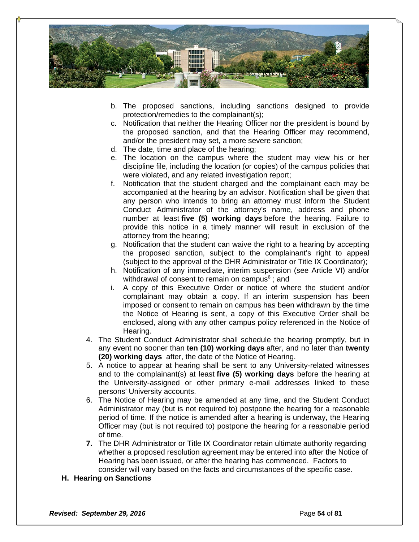

- b. The proposed sanctions, including sanctions designed to provide protection/remedies to the complainant(s);
- c. Notification that neither the Hearing Officer nor the president is bound by the proposed sanction, and that the Hearing Officer may recommend, and/or the president may set, a more severe sanction;
- d. The date, time and place of the hearing;
- e. The location on the campus where the student may view his or her discipline file, including the location (or copies) of the campus policies that were violated, and any related investigation report;
- f. Notification that the student charged and the complainant each may be accompanied at the hearing by an advisor. Notification shall be given that any person who intends to bring an attorney must inform the Student Conduct Administrator of the attorney's name, address and phone number at least **five (5) working days** before the hearing. Failure to provide this notice in a timely manner will result in exclusion of the attorney from the hearing;
- g. Notification that the student can waive the right to a hearing by accepting the proposed sanction, subject to the complainant's right to appeal (subject to the approval of the DHR Administrator or Title IX Coordinator);
- h. Notification of any immediate, interim suspension (see Article VI) and/or withdrawal of consent to remain on campus**<sup>6</sup>** ; and
- i. A copy of this Executive Order or notice of where the student and/or complainant may obtain a copy. If an interim suspension has been imposed or consent to remain on campus has been withdrawn by the time the Notice of Hearing is sent, a copy of this Executive Order shall be enclosed, along with any other campus policy referenced in the Notice of Hearing.
- 4. The Student Conduct Administrator shall schedule the hearing promptly, but in any event no sooner than **ten (10) working days** after, and no later than **twenty (20) working days** after, the date of the Notice of Hearing.
- 5. A notice to appear at hearing shall be sent to any University-related witnesses and to the complainant(s) at least **five (5) working days** before the hearing at the University-assigned or other primary e-mail addresses linked to these persons' University accounts.
- 6. The Notice of Hearing may be amended at any time, and the Student Conduct Administrator may (but is not required to) postpone the hearing for a reasonable period of time. If the notice is amended after a hearing is underway, the Hearing Officer may (but is not required to) postpone the hearing for a reasonable period of time.
- **7.** The DHR Administrator or Title IX Coordinator retain ultimate authority regarding whether a proposed resolution agreement may be entered into after the Notice of Hearing has been issued, or after the hearing has commenced. Factors to consider will vary based on the facts and circumstances of the specific case.
- **H. Hearing on Sanctions**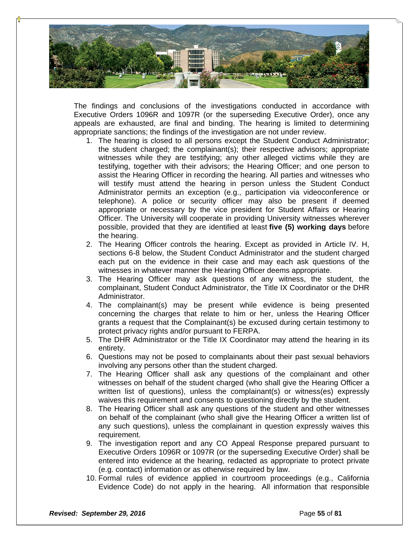

The findings and conclusions of the investigations conducted in accordance with Executive Orders 1096R and 1097R (or the superseding Executive Order), once any appeals are exhausted, are final and binding. The hearing is limited to determining appropriate sanctions; the findings of the investigation are not under review.

- 1. The hearing is closed to all persons except the Student Conduct Administrator; the student charged; the complainant(s); their respective advisors; appropriate witnesses while they are testifying; any other alleged victims while they are testifying, together with their advisors; the Hearing Officer; and one person to assist the Hearing Officer in recording the hearing. All parties and witnesses who will testify must attend the hearing in person unless the Student Conduct Administrator permits an exception (e.g., participation via videoconference or telephone). A police or security officer may also be present if deemed appropriate or necessary by the vice president for Student Affairs or Hearing Officer. The University will cooperate in providing University witnesses wherever possible, provided that they are identified at least **five (5) working days** before the hearing.
- 2. The Hearing Officer controls the hearing. Except as provided in Article IV. H, sections 6-8 below, the Student Conduct Administrator and the student charged each put on the evidence in their case and may each ask questions of the witnesses in whatever manner the Hearing Officer deems appropriate.
- 3. The Hearing Officer may ask questions of any witness, the student, the complainant, Student Conduct Administrator, the Title IX Coordinator or the DHR Administrator.
- 4. The complainant(s) may be present while evidence is being presented concerning the charges that relate to him or her, unless the Hearing Officer grants a request that the Complainant(s) be excused during certain testimony to protect privacy rights and/or pursuant to FERPA.
- 5. The DHR Administrator or the Title IX Coordinator may attend the hearing in its entirety.
- 6. Questions may not be posed to complainants about their past sexual behaviors involving any persons other than the student charged.
- 7. The Hearing Officer shall ask any questions of the complainant and other witnesses on behalf of the student charged (who shall give the Hearing Officer a written list of questions), unless the complainant(s) or witness(es) expressly waives this requirement and consents to questioning directly by the student.
- 8. The Hearing Officer shall ask any questions of the student and other witnesses on behalf of the complainant (who shall give the Hearing Officer a written list of any such questions), unless the complainant in question expressly waives this requirement.
- 9. The investigation report and any CO Appeal Response prepared pursuant to Executive Orders 1096R or 1097R (or the superseding Executive Order) shall be entered into evidence at the hearing, redacted as appropriate to protect private (e.g. contact) information or as otherwise required by law.
- 10. Formal rules of evidence applied in courtroom proceedings (e.g., California Evidence Code) do not apply in the hearing. All information that responsible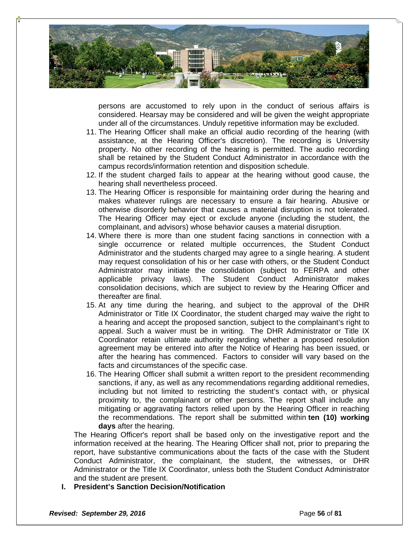

persons are accustomed to rely upon in the conduct of serious affairs is considered. Hearsay may be considered and will be given the weight appropriate under all of the circumstances. Unduly repetitive information may be excluded.

- 11. The Hearing Officer shall make an official audio recording of the hearing (with assistance, at the Hearing Officer's discretion). The recording is University property. No other recording of the hearing is permitted. The audio recording shall be retained by the Student Conduct Administrator in accordance with the campus records/information retention and disposition schedule.
- 12. If the student charged fails to appear at the hearing without good cause, the hearing shall nevertheless proceed.
- 13. The Hearing Officer is responsible for maintaining order during the hearing and makes whatever rulings are necessary to ensure a fair hearing. Abusive or otherwise disorderly behavior that causes a material disruption is not tolerated. The Hearing Officer may eject or exclude anyone (including the student, the complainant, and advisors) whose behavior causes a material disruption.
- 14. Where there is more than one student facing sanctions in connection with a single occurrence or related multiple occurrences, the Student Conduct Administrator and the students charged may agree to a single hearing. A student may request consolidation of his or her case with others, or the Student Conduct Administrator may initiate the consolidation (subject to FERPA and other applicable privacy laws). The Student Conduct Administrator makes consolidation decisions, which are subject to review by the Hearing Officer and thereafter are final.
- 15. At any time during the hearing, and subject to the approval of the DHR Administrator or Title IX Coordinator, the student charged may waive the right to a hearing and accept the proposed sanction, subject to the complainant's right to appeal. Such a waiver must be in writing. The DHR Administrator or Title IX Coordinator retain ultimate authority regarding whether a proposed resolution agreement may be entered into after the Notice of Hearing has been issued, or after the hearing has commenced. Factors to consider will vary based on the facts and circumstances of the specific case.
- 16. The Hearing Officer shall submit a written report to the president recommending sanctions, if any, as well as any recommendations regarding additional remedies, including but not limited to restricting the student's contact with, or physical proximity to, the complainant or other persons. The report shall include any mitigating or aggravating factors relied upon by the Hearing Officer in reaching the recommendations. The report shall be submitted within **ten (10) working days** after the hearing.

The Hearing Officer's report shall be based only on the investigative report and the information received at the hearing. The Hearing Officer shall not, prior to preparing the report, have substantive communications about the facts of the case with the Student Conduct Administrator, the complainant, the student, the witnesses, or DHR Administrator or the Title IX Coordinator, unless both the Student Conduct Administrator and the student are present.

**I. President's Sanction Decision/Notification**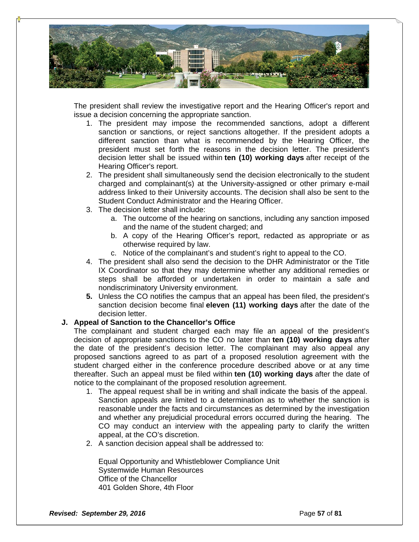

The president shall review the investigative report and the Hearing Officer's report and issue a decision concerning the appropriate sanction.

- 1. The president may impose the recommended sanctions, adopt a different sanction or sanctions, or reject sanctions altogether. If the president adopts a different sanction than what is recommended by the Hearing Officer, the president must set forth the reasons in the decision letter. The president's decision letter shall be issued within **ten (10) working days** after receipt of the Hearing Officer's report.
- 2. The president shall simultaneously send the decision electronically to the student charged and complainant(s) at the University-assigned or other primary e-mail address linked to their University accounts. The decision shall also be sent to the Student Conduct Administrator and the Hearing Officer.
- 3. The decision letter shall include:
	- a. The outcome of the hearing on sanctions, including any sanction imposed and the name of the student charged; and
	- b. A copy of the Hearing Officer's report, redacted as appropriate or as otherwise required by law.
	- c. Notice of the complainant's and student's right to appeal to the CO.
- 4. The president shall also send the decision to the DHR Administrator or the Title IX Coordinator so that they may determine whether any additional remedies or steps shall be afforded or undertaken in order to maintain a safe and nondiscriminatory University environment.
- **5.** Unless the CO notifies the campus that an appeal has been filed, the president's sanction decision become final **eleven (11) working days** after the date of the decision letter.

#### **J. Appeal of Sanction to the Chancellor's Office**

The complainant and student charged each may file an appeal of the president's decision of appropriate sanctions to the CO no later than **ten (10) working days** after the date of the president's decision letter. The complainant may also appeal any proposed sanctions agreed to as part of a proposed resolution agreement with the student charged either in the conference procedure described above or at any time thereafter. Such an appeal must be filed within **ten (10) working days** after the date of notice to the complainant of the proposed resolution agreement.

- 1. The appeal request shall be in writing and shall indicate the basis of the appeal. Sanction appeals are limited to a determination as to whether the sanction is reasonable under the facts and circumstances as determined by the investigation and whether any prejudicial procedural errors occurred during the hearing. The CO may conduct an interview with the appealing party to clarify the written appeal, at the CO's discretion.
- 2. A sanction decision appeal shall be addressed to:

Equal Opportunity and Whistleblower Compliance Unit Systemwide Human Resources Office of the Chancellor 401 Golden Shore, 4th Floor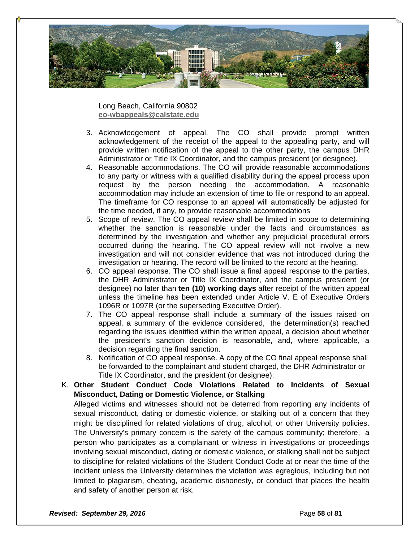

Long Beach, California 90802 **eo-wbappeals@calstate.edu**

- 3. Acknowledgement of appeal. The CO shall provide prompt written acknowledgement of the receipt of the appeal to the appealing party, and will provide written notification of the appeal to the other party, the campus DHR Administrator or Title IX Coordinator, and the campus president (or designee).
- 4. Reasonable accommodations. The CO will provide reasonable accommodations to any party or witness with a qualified disability during the appeal process upon request by the person needing the accommodation. A reasonable accommodation may include an extension of time to file or respond to an appeal. The timeframe for CO response to an appeal will automatically be adjusted for the time needed, if any, to provide reasonable accommodations
- 5. Scope of review. The CO appeal review shall be limited in scope to determining whether the sanction is reasonable under the facts and circumstances as determined by the investigation and whether any prejudicial procedural errors occurred during the hearing. The CO appeal review will not involve a new investigation and will not consider evidence that was not introduced during the investigation or hearing. The record will be limited to the record at the hearing.
- 6. CO appeal response. The CO shall issue a final appeal response to the parties, the DHR Administrator or Title IX Coordinator, and the campus president (or designee) no later than **ten (10) working days** after receipt of the written appeal unless the timeline has been extended under Article V. E of Executive Orders 1096R or 1097R (or the superseding Executive Order).
- 7. The CO appeal response shall include a summary of the issues raised on appeal, a summary of the evidence considered, the determination(s) reached regarding the issues identified within the written appeal, a decision about whether the president's sanction decision is reasonable, and, where applicable, a decision regarding the final sanction.
- 8. Notification of CO appeal response. A copy of the CO final appeal response shall be forwarded to the complainant and student charged, the DHR Administrator or Title IX Coordinator, and the president (or designee).
- K. **Other Student Conduct Code Violations Related to Incidents of Sexual Misconduct, Dating or Domestic Violence, or Stalking**

Alleged victims and witnesses should not be deterred from reporting any incidents of sexual misconduct, dating or domestic violence, or stalking out of a concern that they might be disciplined for related violations of drug, alcohol, or other University policies. The University's primary concern is the safety of the campus community; therefore, a person who participates as a complainant or witness in investigations or proceedings involving sexual misconduct, dating or domestic violence, or stalking shall not be subject to discipline for related violations of the Student Conduct Code at or near the time of the incident unless the University determines the violation was egregious, including but not limited to plagiarism, cheating, academic dishonesty, or conduct that places the health and safety of another person at risk.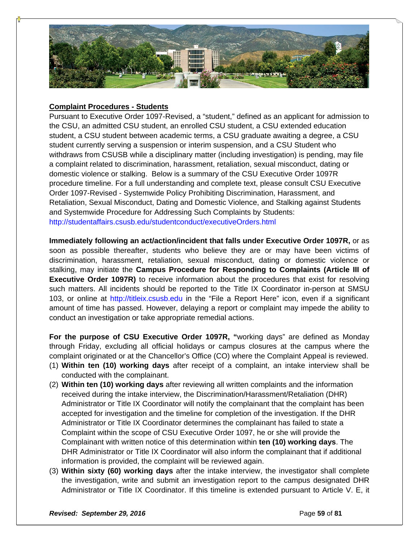

# **Complaint Procedures - Students**

Pursuant to Executive Order 1097-Revised, a "student," defined as an applicant for admission to the CSU, an admitted CSU student, an enrolled CSU student, a CSU extended education student, a CSU student between academic terms, a CSU graduate awaiting a degree, a CSU student currently serving a suspension or interim suspension, and a CSU Student who withdraws from CSUSB while a disciplinary matter (including investigation) is pending, may file a complaint related to discrimination, harassment, retaliation, sexual misconduct, dating or domestic violence or stalking. Below is a summary of the CSU Executive Order 1097R procedure timeline. For a full understanding and complete text, please consult CSU Executive Order 1097-Revised - Systemwide Policy Prohibiting Discrimination, Harassment, and Retaliation, Sexual Misconduct, Dating and Domestic Violence, and Stalking against Students and Systemwide Procedure for Addressing Such Complaints by Students: http://studentaffairs.csusb.edu/studentconduct/executiveOrders.html

**Immediately following an act/action/incident that falls under Executive Order 1097R,** or as soon as possible thereafter, students who believe they are or may have been victims of discrimination, harassment, retaliation, sexual misconduct, dating or domestic violence or stalking, may initiate the **Campus Procedure for Responding to Complaints (Article III of Executive Order 1097R)** to receive information about the procedures that exist for resolving such matters. All incidents should be reported to the Title IX Coordinator in-person at SMSU 103, or online at http://titleix.csusb.edu in the "File a Report Here" icon, even if a significant amount of time has passed. However, delaying a report or complaint may impede the ability to conduct an investigation or take appropriate remedial actions.

**For the purpose of CSU Executive Order 1097R, "**working days" are defined as Monday through Friday, excluding all official holidays or campus closures at the campus where the complaint originated or at the Chancellor's Office (CO) where the Complaint Appeal is reviewed.

- (1) **Within ten (10) working days** after receipt of a complaint, an intake interview shall be conducted with the complainant.
- (2) **Within ten (10) working days** after reviewing all written complaints and the information received during the intake interview, the Discrimination/Harassment/Retaliation (DHR) Administrator or Title IX Coordinator will notify the complainant that the complaint has been accepted for investigation and the timeline for completion of the investigation. If the DHR Administrator or Title IX Coordinator determines the complainant has failed to state a Complaint within the scope of CSU Executive Order 1097, he or she will provide the Complainant with written notice of this determination within **ten (10) working days**. The DHR Administrator or Title IX Coordinator will also inform the complainant that if additional information is provided, the complaint will be reviewed again.
- (3) **Within sixty (60) working days** after the intake interview, the investigator shall complete the investigation, write and submit an investigation report to the campus designated DHR Administrator or Title IX Coordinator. If this timeline is extended pursuant to Article V. E, it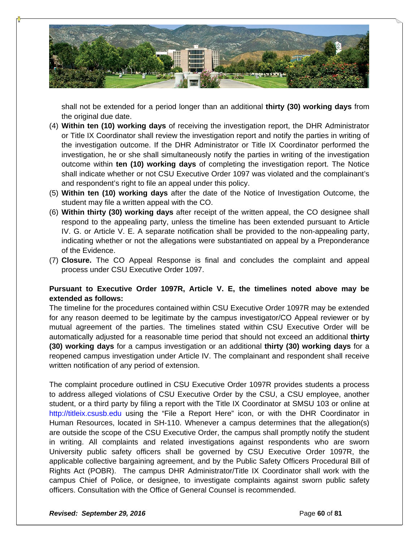

shall not be extended for a period longer than an additional **thirty (30) working days** from the original due date.

- (4) **Within ten (10) working days** of receiving the investigation report, the DHR Administrator or Title IX Coordinator shall review the investigation report and notify the parties in writing of the investigation outcome. If the DHR Administrator or Title IX Coordinator performed the investigation, he or she shall simultaneously notify the parties in writing of the investigation outcome within **ten (10) working days** of completing the investigation report. The Notice shall indicate whether or not CSU Executive Order 1097 was violated and the complainant's and respondent's right to file an appeal under this policy.
- (5) **Within ten (10) working days** after the date of the Notice of Investigation Outcome, the student may file a written appeal with the CO.
- (6) **Within thirty (30) working days** after receipt of the written appeal, the CO designee shall respond to the appealing party, unless the timeline has been extended pursuant to Article IV. G. or Article V. E. A separate notification shall be provided to the non-appealing party, indicating whether or not the allegations were substantiated on appeal by a Preponderance of the Evidence.
- (7) **Closure.** The CO Appeal Response is final and concludes the complaint and appeal process under CSU Executive Order 1097.

# **Pursuant to Executive Order 1097R, Article V. E, the timelines noted above may be extended as follows:**

The timeline for the procedures contained within CSU Executive Order 1097R may be extended for any reason deemed to be legitimate by the campus investigator/CO Appeal reviewer or by mutual agreement of the parties. The timelines stated within CSU Executive Order will be automatically adjusted for a reasonable time period that should not exceed an additional **thirty (30) working days** for a campus investigation or an additional **thirty (30) working days** for a reopened campus investigation under Article IV. The complainant and respondent shall receive written notification of any period of extension.

The complaint procedure outlined in CSU Executive Order 1097R provides students a process to address alleged violations of CSU Executive Order by the CSU, a CSU employee, another student, or a third party by filing a report with the Title IX Coordinator at SMSU 103 or online at http://titleix.csusb.edu using the "File a Report Here" icon, or with the DHR Coordinator in Human Resources, located in SH-110. Whenever a campus determines that the allegation(s) are outside the scope of the CSU Executive Order, the campus shall promptly notify the student in writing. All complaints and related investigations against respondents who are sworn University public safety officers shall be governed by CSU Executive Order 1097R, the applicable collective bargaining agreement, and by the Public Safety Officers Procedural Bill of Rights Act (POBR). The campus DHR Administrator/Title IX Coordinator shall work with the campus Chief of Police, or designee, to investigate complaints against sworn public safety officers. Consultation with the Office of General Counsel is recommended.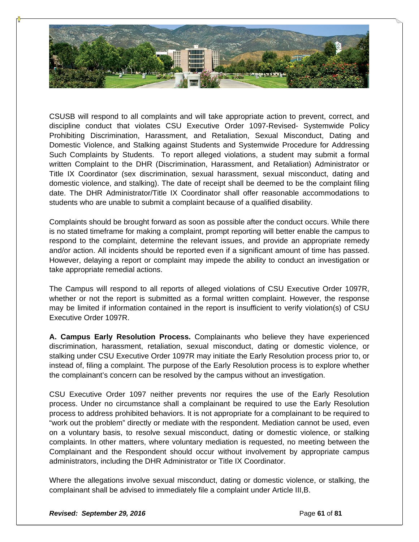

CSUSB will respond to all complaints and will take appropriate action to prevent, correct, and discipline conduct that violates CSU Executive Order 1097-Revised- Systemwide Policy Prohibiting Discrimination, Harassment, and Retaliation, Sexual Misconduct, Dating and Domestic Violence, and Stalking against Students and Systemwide Procedure for Addressing Such Complaints by Students. To report alleged violations, a student may submit a formal written Complaint to the DHR (Discrimination, Harassment, and Retaliation) Administrator or Title IX Coordinator (sex discrimination, sexual harassment, sexual misconduct, dating and domestic violence, and stalking). The date of receipt shall be deemed to be the complaint filing date. The DHR Administrator/Title IX Coordinator shall offer reasonable accommodations to students who are unable to submit a complaint because of a qualified disability.

Complaints should be brought forward as soon as possible after the conduct occurs. While there is no stated timeframe for making a complaint, prompt reporting will better enable the campus to respond to the complaint, determine the relevant issues, and provide an appropriate remedy and/or action. All incidents should be reported even if a significant amount of time has passed. However, delaying a report or complaint may impede the ability to conduct an investigation or take appropriate remedial actions.

The Campus will respond to all reports of alleged violations of CSU Executive Order 1097R, whether or not the report is submitted as a formal written complaint. However, the response may be limited if information contained in the report is insufficient to verify violation(s) of CSU Executive Order 1097R.

**A. Campus Early Resolution Process.** Complainants who believe they have experienced discrimination, harassment, retaliation, sexual misconduct, dating or domestic violence, or stalking under CSU Executive Order 1097R may initiate the Early Resolution process prior to, or instead of, filing a complaint. The purpose of the Early Resolution process is to explore whether the complainant's concern can be resolved by the campus without an investigation.

CSU Executive Order 1097 neither prevents nor requires the use of the Early Resolution process. Under no circumstance shall a complainant be required to use the Early Resolution process to address prohibited behaviors. It is not appropriate for a complainant to be required to "work out the problem" directly or mediate with the respondent. Mediation cannot be used, even on a voluntary basis, to resolve sexual misconduct, dating or domestic violence, or stalking complaints. In other matters, where voluntary mediation is requested, no meeting between the Complainant and the Respondent should occur without involvement by appropriate campus administrators, including the DHR Administrator or Title IX Coordinator.

Where the allegations involve sexual misconduct, dating or domestic violence, or stalking, the complainant shall be advised to immediately file a complaint under Article III,B.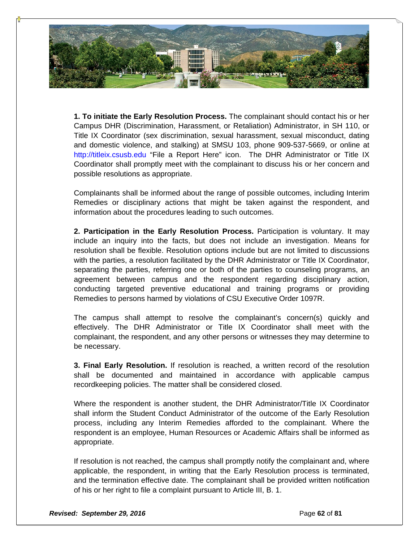

**1. To initiate the Early Resolution Process.** The complainant should contact his or her Campus DHR (Discrimination, Harassment, or Retaliation) Administrator, in SH 110, or Title IX Coordinator (sex discrimination, sexual harassment, sexual misconduct, dating and domestic violence, and stalking) at SMSU 103, phone 909-537-5669, or online at http://titleix.csusb.edu "File a Report Here" icon. The DHR Administrator or Title IX Coordinator shall promptly meet with the complainant to discuss his or her concern and possible resolutions as appropriate.

Complainants shall be informed about the range of possible outcomes, including Interim Remedies or disciplinary actions that might be taken against the respondent, and information about the procedures leading to such outcomes.

**2. Participation in the Early Resolution Process.** Participation is voluntary. It may include an inquiry into the facts, but does not include an investigation. Means for resolution shall be flexible. Resolution options include but are not limited to discussions with the parties, a resolution facilitated by the DHR Administrator or Title IX Coordinator, separating the parties, referring one or both of the parties to counseling programs, an agreement between campus and the respondent regarding disciplinary action, conducting targeted preventive educational and training programs or providing Remedies to persons harmed by violations of CSU Executive Order 1097R.

The campus shall attempt to resolve the complainant's concern(s) quickly and effectively. The DHR Administrator or Title IX Coordinator shall meet with the complainant, the respondent, and any other persons or witnesses they may determine to be necessary.

**3. Final Early Resolution.** If resolution is reached, a written record of the resolution shall be documented and maintained in accordance with applicable campus recordkeeping policies. The matter shall be considered closed.

Where the respondent is another student, the DHR Administrator/Title IX Coordinator shall inform the Student Conduct Administrator of the outcome of the Early Resolution process, including any Interim Remedies afforded to the complainant. Where the respondent is an employee, Human Resources or Academic Affairs shall be informed as appropriate.

If resolution is not reached, the campus shall promptly notify the complainant and, where applicable, the respondent, in writing that the Early Resolution process is terminated, and the termination effective date. The complainant shall be provided written notification of his or her right to file a complaint pursuant to Article III, B. 1.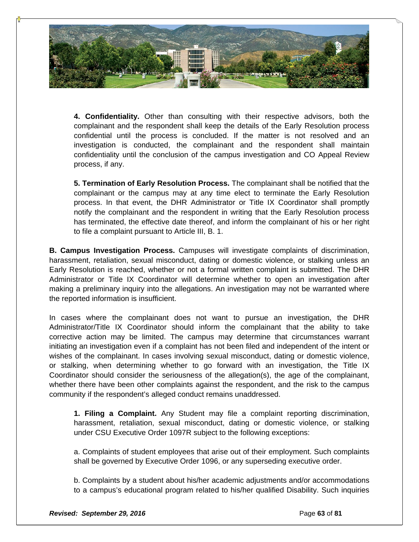

**4. Confidentiality.** Other than consulting with their respective advisors, both the complainant and the respondent shall keep the details of the Early Resolution process confidential until the process is concluded. If the matter is not resolved and an investigation is conducted, the complainant and the respondent shall maintain confidentiality until the conclusion of the campus investigation and CO Appeal Review process, if any.

**5. Termination of Early Resolution Process.** The complainant shall be notified that the complainant or the campus may at any time elect to terminate the Early Resolution process. In that event, the DHR Administrator or Title IX Coordinator shall promptly notify the complainant and the respondent in writing that the Early Resolution process has terminated, the effective date thereof, and inform the complainant of his or her right to file a complaint pursuant to Article III, B. 1.

**B. Campus Investigation Process.** Campuses will investigate complaints of discrimination, harassment, retaliation, sexual misconduct, dating or domestic violence, or stalking unless an Early Resolution is reached, whether or not a formal written complaint is submitted. The DHR Administrator or Title IX Coordinator will determine whether to open an investigation after making a preliminary inquiry into the allegations. An investigation may not be warranted where the reported information is insufficient.

In cases where the complainant does not want to pursue an investigation, the DHR Administrator/Title IX Coordinator should inform the complainant that the ability to take corrective action may be limited. The campus may determine that circumstances warrant initiating an investigation even if a complaint has not been filed and independent of the intent or wishes of the complainant. In cases involving sexual misconduct, dating or domestic violence, or stalking, when determining whether to go forward with an investigation, the Title IX Coordinator should consider the seriousness of the allegation(s), the age of the complainant, whether there have been other complaints against the respondent, and the risk to the campus community if the respondent's alleged conduct remains unaddressed.

**1. Filing a Complaint.** Any Student may file a complaint reporting discrimination, harassment, retaliation, sexual misconduct, dating or domestic violence, or stalking under CSU Executive Order 1097R subject to the following exceptions:

a. Complaints of student employees that arise out of their employment. Such complaints shall be governed by Executive Order 1096, or any superseding executive order.

b. Complaints by a student about his/her academic adjustments and/or accommodations to a campus's educational program related to his/her qualified Disability. Such inquiries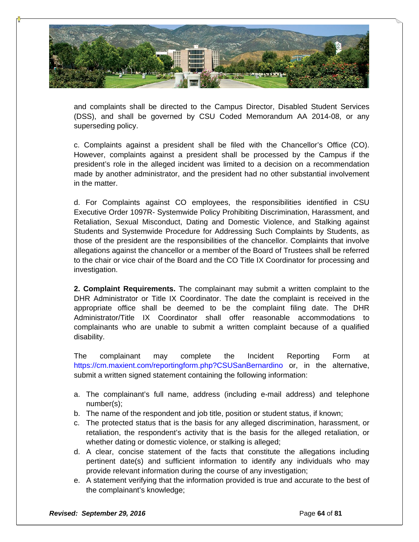

and complaints shall be directed to the Campus Director, Disabled Student Services (DSS), and shall be governed by CSU Coded Memorandum AA 2014-08, or any superseding policy.

c. Complaints against a president shall be filed with the Chancellor's Office (CO). However, complaints against a president shall be processed by the Campus if the president's role in the alleged incident was limited to a decision on a recommendation made by another administrator, and the president had no other substantial involvement in the matter.

d. For Complaints against CO employees, the responsibilities identified in CSU Executive Order 1097R- Systemwide Policy Prohibiting Discrimination, Harassment, and Retaliation, Sexual Misconduct, Dating and Domestic Violence, and Stalking against Students and Systemwide Procedure for Addressing Such Complaints by Students, as those of the president are the responsibilities of the chancellor. Complaints that involve allegations against the chancellor or a member of the Board of Trustees shall be referred to the chair or vice chair of the Board and the CO Title IX Coordinator for processing and investigation.

**2. Complaint Requirements.** The complainant may submit a written complaint to the DHR Administrator or Title IX Coordinator. The date the complaint is received in the appropriate office shall be deemed to be the complaint filing date. The DHR Administrator/Title IX Coordinator shall offer reasonable accommodations to complainants who are unable to submit a written complaint because of a qualified disability.

The complainant may complete the Incident Reporting Form at https://cm.maxient.com/reportingform.php?CSUSanBernardino or, in the alternative, submit a written signed statement containing the following information:

- a. The complainant's full name, address (including e-mail address) and telephone number(s);
- b. The name of the respondent and job title, position or student status, if known;
- c. The protected status that is the basis for any alleged discrimination, harassment, or retaliation, the respondent's activity that is the basis for the alleged retaliation, or whether dating or domestic violence, or stalking is alleged;
- d. A clear, concise statement of the facts that constitute the allegations including pertinent date(s) and sufficient information to identify any individuals who may provide relevant information during the course of any investigation;
- e. A statement verifying that the information provided is true and accurate to the best of the complainant's knowledge;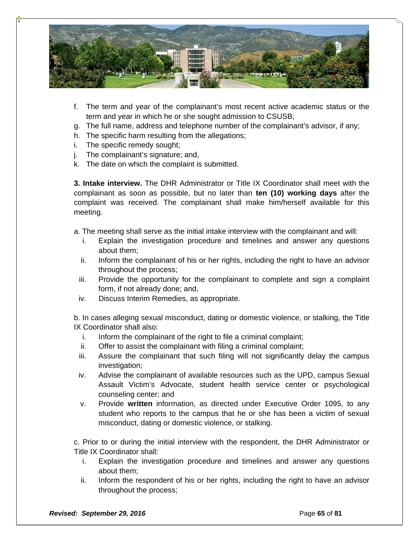

- f. The term and year of the complainant's most recent active academic status or the term and year in which he or she sought admission to CSUSB;
- g. The full name, address and telephone number of the complainant's advisor, if any;
- h. The specific harm resulting from the allegations;
- i. The specific remedy sought;
- j. The complainant's signature; and,
- k. The date on which the complaint is submitted.

**3. Intake interview.** The DHR Administrator or Title IX Coordinator shall meet with the complainant as soon as possible, but no later than **ten (10) working days** after the complaint was received. The complainant shall make him/herself available for this meeting.

a. The meeting shall serve as the initial intake interview with the complainant and will:

- i. Explain the investigation procedure and timelines and answer any questions about them;
- ii. Inform the complainant of his or her rights, including the right to have an advisor throughout the process;
- iii. Provide the opportunity for the complainant to complete and sign a complaint form, if not already done; and,
- iv. Discuss Interim Remedies, as appropriate.

b. In cases alleging sexual misconduct, dating or domestic violence, or stalking, the Title IX Coordinator shall also:

- i. Inform the complainant of the right to file a criminal complaint;
- ii. Offer to assist the complainant with filing a criminal complaint;
- iii. Assure the complainant that such filing will not significantly delay the campus investigation;
- iv. Advise the complainant of available resources such as the UPD, campus Sexual Assault Victim's Advocate, student health service center or psychological counseling center; and
- v. Provide **written** information, as directed under Executive Order 1095, to any student who reports to the campus that he or she has been a victim of sexual misconduct, dating or domestic violence, or stalking.

c. Prior to or during the initial interview with the respondent, the DHR Administrator or Title IX Coordinator shall:

- i. Explain the investigation procedure and timelines and answer any questions about them;
- ii. Inform the respondent of his or her rights, including the right to have an advisor throughout the process;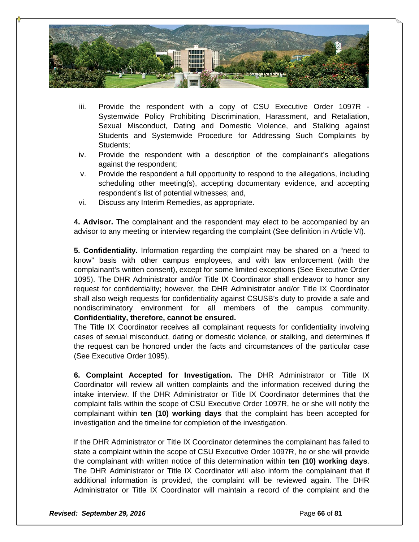

- iii. Provide the respondent with a copy of CSU Executive Order 1097R Systemwide Policy Prohibiting Discrimination, Harassment, and Retaliation, Sexual Misconduct, Dating and Domestic Violence, and Stalking against Students and Systemwide Procedure for Addressing Such Complaints by Students:
- iv. Provide the respondent with a description of the complainant's allegations against the respondent;
- v. Provide the respondent a full opportunity to respond to the allegations, including scheduling other meeting(s), accepting documentary evidence, and accepting respondent's list of potential witnesses; and,
- vi. Discuss any Interim Remedies, as appropriate.

**4. Advisor.** The complainant and the respondent may elect to be accompanied by an advisor to any meeting or interview regarding the complaint (See definition in Article VI).

**5. Confidentiality.** Information regarding the complaint may be shared on a "need to know" basis with other campus employees, and with law enforcement (with the complainant's written consent), except for some limited exceptions (See Executive Order 1095). The DHR Administrator and/or Title IX Coordinator shall endeavor to honor any request for confidentiality; however, the DHR Administrator and/or Title IX Coordinator shall also weigh requests for confidentiality against CSUSB's duty to provide a safe and nondiscriminatory environment for all members of the campus community. **Confidentiality, therefore, cannot be ensured.** 

The Title IX Coordinator receives all complainant requests for confidentiality involving cases of sexual misconduct, dating or domestic violence, or stalking, and determines if the request can be honored under the facts and circumstances of the particular case (See Executive Order 1095).

**6. Complaint Accepted for Investigation.** The DHR Administrator or Title IX Coordinator will review all written complaints and the information received during the intake interview. If the DHR Administrator or Title IX Coordinator determines that the complaint falls within the scope of CSU Executive Order 1097R, he or she will notify the complainant within **ten (10) working days** that the complaint has been accepted for investigation and the timeline for completion of the investigation.

If the DHR Administrator or Title IX Coordinator determines the complainant has failed to state a complaint within the scope of CSU Executive Order 1097R, he or she will provide the complainant with written notice of this determination within **ten (10) working days**. The DHR Administrator or Title IX Coordinator will also inform the complainant that if additional information is provided, the complaint will be reviewed again. The DHR Administrator or Title IX Coordinator will maintain a record of the complaint and the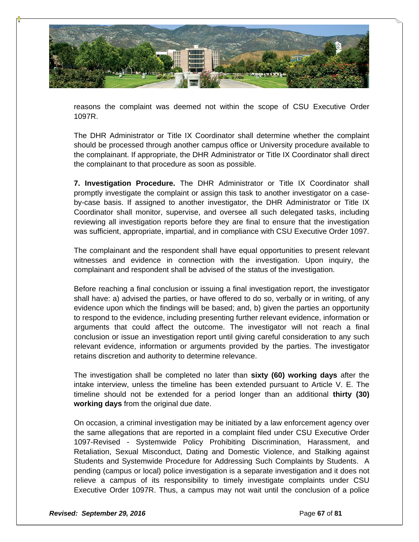

reasons the complaint was deemed not within the scope of CSU Executive Order 1097R.

The DHR Administrator or Title IX Coordinator shall determine whether the complaint should be processed through another campus office or University procedure available to the complainant. If appropriate, the DHR Administrator or Title IX Coordinator shall direct the complainant to that procedure as soon as possible.

**7. Investigation Procedure.** The DHR Administrator or Title IX Coordinator shall promptly investigate the complaint or assign this task to another investigator on a caseby-case basis. If assigned to another investigator, the DHR Administrator or Title IX Coordinator shall monitor, supervise, and oversee all such delegated tasks, including reviewing all investigation reports before they are final to ensure that the investigation was sufficient, appropriate, impartial, and in compliance with CSU Executive Order 1097.

The complainant and the respondent shall have equal opportunities to present relevant witnesses and evidence in connection with the investigation. Upon inquiry, the complainant and respondent shall be advised of the status of the investigation.

Before reaching a final conclusion or issuing a final investigation report, the investigator shall have: a) advised the parties, or have offered to do so, verbally or in writing, of any evidence upon which the findings will be based; and, b) given the parties an opportunity to respond to the evidence, including presenting further relevant evidence, information or arguments that could affect the outcome. The investigator will not reach a final conclusion or issue an investigation report until giving careful consideration to any such relevant evidence, information or arguments provided by the parties. The investigator retains discretion and authority to determine relevance.

The investigation shall be completed no later than **sixty (60) working days** after the intake interview, unless the timeline has been extended pursuant to Article V. E. The timeline should not be extended for a period longer than an additional **thirty (30) working days** from the original due date.

On occasion, a criminal investigation may be initiated by a law enforcement agency over the same allegations that are reported in a complaint filed under CSU Executive Order 1097-Revised - Systemwide Policy Prohibiting Discrimination, Harassment, and Retaliation, Sexual Misconduct, Dating and Domestic Violence, and Stalking against Students and Systemwide Procedure for Addressing Such Complaints by Students. A pending (campus or local) police investigation is a separate investigation and it does not relieve a campus of its responsibility to timely investigate complaints under CSU Executive Order 1097R. Thus, a campus may not wait until the conclusion of a police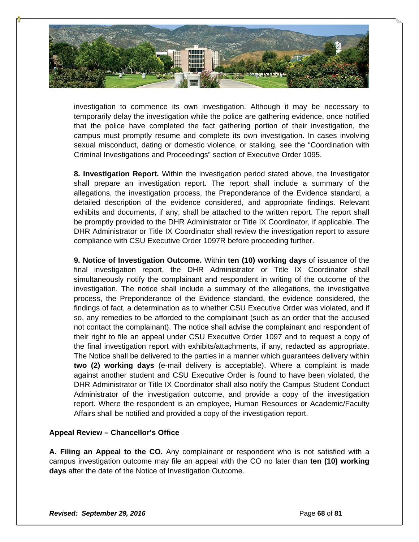

investigation to commence its own investigation. Although it may be necessary to temporarily delay the investigation while the police are gathering evidence, once notified that the police have completed the fact gathering portion of their investigation, the campus must promptly resume and complete its own investigation. In cases involving sexual misconduct, dating or domestic violence, or stalking, see the "Coordination with Criminal Investigations and Proceedings" section of Executive Order 1095.

**8. Investigation Report.** Within the investigation period stated above, the Investigator shall prepare an investigation report. The report shall include a summary of the allegations, the investigation process, the Preponderance of the Evidence standard, a detailed description of the evidence considered, and appropriate findings. Relevant exhibits and documents, if any, shall be attached to the written report. The report shall be promptly provided to the DHR Administrator or Title IX Coordinator, if applicable. The DHR Administrator or Title IX Coordinator shall review the investigation report to assure compliance with CSU Executive Order 1097R before proceeding further.

**9. Notice of Investigation Outcome.** Within **ten (10) working days** of issuance of the final investigation report, the DHR Administrator or Title IX Coordinator shall simultaneously notify the complainant and respondent in writing of the outcome of the investigation. The notice shall include a summary of the allegations, the investigative process, the Preponderance of the Evidence standard, the evidence considered, the findings of fact, a determination as to whether CSU Executive Order was violated, and if so, any remedies to be afforded to the complainant (such as an order that the accused not contact the complainant). The notice shall advise the complainant and respondent of their right to file an appeal under CSU Executive Order 1097 and to request a copy of the final investigation report with exhibits/attachments, if any, redacted as appropriate. The Notice shall be delivered to the parties in a manner which guarantees delivery within **two (2) working days** (e-mail delivery is acceptable). Where a complaint is made against another student and CSU Executive Order is found to have been violated, the DHR Administrator or Title IX Coordinator shall also notify the Campus Student Conduct Administrator of the investigation outcome, and provide a copy of the investigation report. Where the respondent is an employee, Human Resources or Academic/Faculty Affairs shall be notified and provided a copy of the investigation report.

#### **Appeal Review – Chancellor's Office**

**A. Filing an Appeal to the CO.** Any complainant or respondent who is not satisfied with a campus investigation outcome may file an appeal with the CO no later than **ten (10) working days** after the date of the Notice of Investigation Outcome.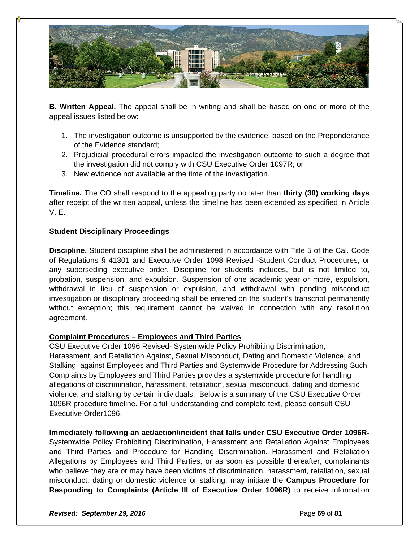

**B. Written Appeal.** The appeal shall be in writing and shall be based on one or more of the appeal issues listed below:

- 1. The investigation outcome is unsupported by the evidence, based on the Preponderance of the Evidence standard;
- 2. Prejudicial procedural errors impacted the investigation outcome to such a degree that the investigation did not comply with CSU Executive Order 1097R; or
- 3. New evidence not available at the time of the investigation.

**Timeline.** The CO shall respond to the appealing party no later than **thirty (30) working days**  after receipt of the written appeal, unless the timeline has been extended as specified in Article V. E.

# **Student Disciplinary Proceedings**

**Discipline.** Student discipline shall be administered in accordance with Title 5 of the Cal. Code of Regulations § 41301 and Executive Order 1098 Revised -Student Conduct Procedures, or any superseding executive order. Discipline for students includes, but is not limited to, probation, suspension, and expulsion. Suspension of one academic year or more, expulsion, withdrawal in lieu of suspension or expulsion, and withdrawal with pending misconduct investigation or disciplinary proceeding shall be entered on the student's transcript permanently without exception; this requirement cannot be waived in connection with any resolution agreement.

#### **Complaint Procedures – Employees and Third Parties**

CSU Executive Order 1096 Revised- Systemwide Policy Prohibiting Discrimination, Harassment, and Retaliation Against, Sexual Misconduct, Dating and Domestic Violence, and Stalking against Employees and Third Parties and Systemwide Procedure for Addressing Such Complaints by Employees and Third Parties provides a systemwide procedure for handling allegations of discrimination, harassment, retaliation, sexual misconduct, dating and domestic violence, and stalking by certain individuals. Below is a summary of the CSU Executive Order 1096R procedure timeline. For a full understanding and complete text, please consult CSU Executive Order1096.

**Immediately following an act/action/incident that falls under CSU Executive Order 1096R-**Systemwide Policy Prohibiting Discrimination, Harassment and Retaliation Against Employees and Third Parties and Procedure for Handling Discrimination, Harassment and Retaliation Allegations by Employees and Third Parties, or as soon as possible thereafter, complainants who believe they are or may have been victims of discrimination, harassment, retaliation, sexual misconduct, dating or domestic violence or stalking, may initiate the **Campus Procedure for Responding to Complaints (Article III of Executive Order 1096R)** to receive information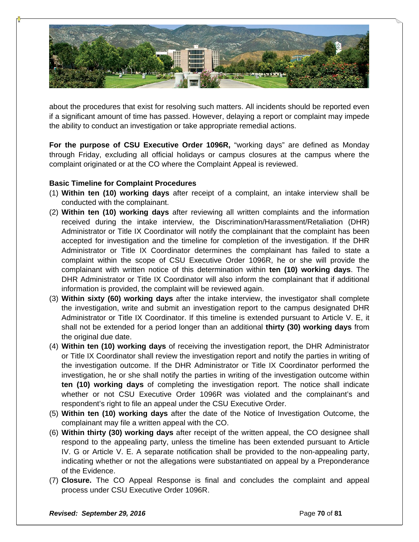

about the procedures that exist for resolving such matters. All incidents should be reported even if a significant amount of time has passed. However, delaying a report or complaint may impede the ability to conduct an investigation or take appropriate remedial actions.

**For the purpose of CSU Executive Order 1096R,** "working days" are defined as Monday through Friday, excluding all official holidays or campus closures at the campus where the complaint originated or at the CO where the Complaint Appeal is reviewed.

# **Basic Timeline for Complaint Procedures**

- (1) **Within ten (10) working days** after receipt of a complaint, an intake interview shall be conducted with the complainant.
- (2) **Within ten (10) working days** after reviewing all written complaints and the information received during the intake interview, the Discrimination/Harassment/Retaliation (DHR) Administrator or Title IX Coordinator will notify the complainant that the complaint has been accepted for investigation and the timeline for completion of the investigation. If the DHR Administrator or Title IX Coordinator determines the complainant has failed to state a complaint within the scope of CSU Executive Order 1096R, he or she will provide the complainant with written notice of this determination within **ten (10) working days**. The DHR Administrator or Title IX Coordinator will also inform the complainant that if additional information is provided, the complaint will be reviewed again.
- (3) **Within sixty (60) working days** after the intake interview, the investigator shall complete the investigation, write and submit an investigation report to the campus designated DHR Administrator or Title IX Coordinator. If this timeline is extended pursuant to Article V. E, it shall not be extended for a period longer than an additional **thirty (30) working days** from the original due date.
- (4) **Within ten (10) working days** of receiving the investigation report, the DHR Administrator or Title IX Coordinator shall review the investigation report and notify the parties in writing of the investigation outcome. If the DHR Administrator or Title IX Coordinator performed the investigation, he or she shall notify the parties in writing of the investigation outcome within **ten (10) working days** of completing the investigation report. The notice shall indicate whether or not CSU Executive Order 1096R was violated and the complainant's and respondent's right to file an appeal under the CSU Executive Order.
- (5) **Within ten (10) working days** after the date of the Notice of Investigation Outcome, the complainant may file a written appeal with the CO.
- (6) **Within thirty (30) working days** after receipt of the written appeal, the CO designee shall respond to the appealing party, unless the timeline has been extended pursuant to Article IV. G or Article V. E. A separate notification shall be provided to the non-appealing party, indicating whether or not the allegations were substantiated on appeal by a Preponderance of the Evidence.
- (7) **Closure.** The CO Appeal Response is final and concludes the complaint and appeal process under CSU Executive Order 1096R.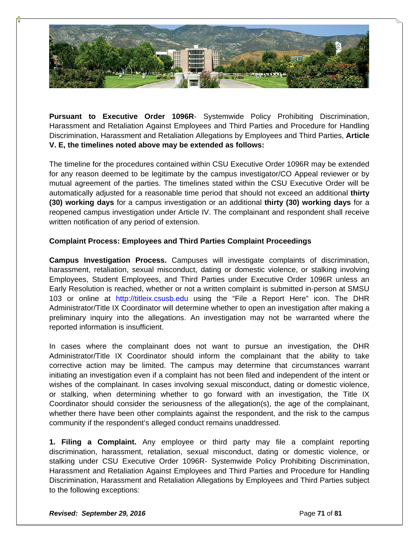

**Pursuant to Executive Order 1096R**- Systemwide Policy Prohibiting Discrimination, Harassment and Retaliation Against Employees and Third Parties and Procedure for Handling Discrimination, Harassment and Retaliation Allegations by Employees and Third Parties, **Article V. E, the timelines noted above may be extended as follows:** 

The timeline for the procedures contained within CSU Executive Order 1096R may be extended for any reason deemed to be legitimate by the campus investigator/CO Appeal reviewer or by mutual agreement of the parties. The timelines stated within the CSU Executive Order will be automatically adjusted for a reasonable time period that should not exceed an additional **thirty (30) working days** for a campus investigation or an additional **thirty (30) working days** for a reopened campus investigation under Article IV. The complainant and respondent shall receive written notification of any period of extension.

# **Complaint Process: Employees and Third Parties Complaint Proceedings**

**Campus Investigation Process.** Campuses will investigate complaints of discrimination, harassment, retaliation, sexual misconduct, dating or domestic violence, or stalking involving Employees, Student Employees, and Third Parties under Executive Order 1096R unless an Early Resolution is reached, whether or not a written complaint is submitted in-person at SMSU 103 or online at http://titleix.csusb.edu using the "File a Report Here" icon. The DHR Administrator/Title IX Coordinator will determine whether to open an investigation after making a preliminary inquiry into the allegations. An investigation may not be warranted where the reported information is insufficient.

In cases where the complainant does not want to pursue an investigation, the DHR Administrator/Title IX Coordinator should inform the complainant that the ability to take corrective action may be limited. The campus may determine that circumstances warrant initiating an investigation even if a complaint has not been filed and independent of the intent or wishes of the complainant. In cases involving sexual misconduct, dating or domestic violence, or stalking, when determining whether to go forward with an investigation, the Title IX Coordinator should consider the seriousness of the allegation(s), the age of the complainant, whether there have been other complaints against the respondent, and the risk to the campus community if the respondent's alleged conduct remains unaddressed.

**1. Filing a Complaint.** Any employee or third party may file a complaint reporting discrimination, harassment, retaliation, sexual misconduct, dating or domestic violence, or stalking under CSU Executive Order 1096R- Systemwide Policy Prohibiting Discrimination, Harassment and Retaliation Against Employees and Third Parties and Procedure for Handling Discrimination, Harassment and Retaliation Allegations by Employees and Third Parties subject to the following exceptions: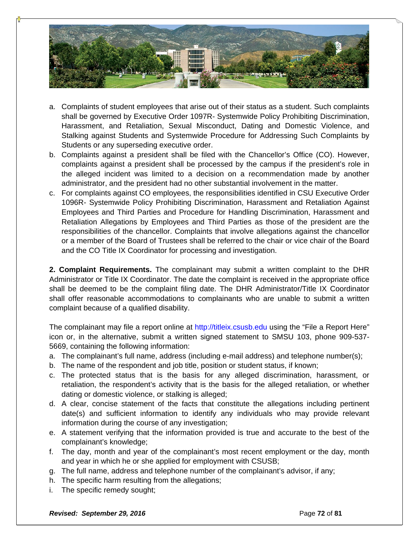

- a. Complaints of student employees that arise out of their status as a student. Such complaints shall be governed by Executive Order 1097R- Systemwide Policy Prohibiting Discrimination, Harassment, and Retaliation, Sexual Misconduct, Dating and Domestic Violence, and Stalking against Students and Systemwide Procedure for Addressing Such Complaints by Students or any superseding executive order.
- b. Complaints against a president shall be filed with the Chancellor's Office (CO). However, complaints against a president shall be processed by the campus if the president's role in the alleged incident was limited to a decision on a recommendation made by another administrator, and the president had no other substantial involvement in the matter.
- c. For complaints against CO employees, the responsibilities identified in CSU Executive Order 1096R- Systemwide Policy Prohibiting Discrimination, Harassment and Retaliation Against Employees and Third Parties and Procedure for Handling Discrimination, Harassment and Retaliation Allegations by Employees and Third Parties as those of the president are the responsibilities of the chancellor. Complaints that involve allegations against the chancellor or a member of the Board of Trustees shall be referred to the chair or vice chair of the Board and the CO Title IX Coordinator for processing and investigation.

**2. Complaint Requirements.** The complainant may submit a written complaint to the DHR Administrator or Title IX Coordinator. The date the complaint is received in the appropriate office shall be deemed to be the complaint filing date. The DHR Administrator/Title IX Coordinator shall offer reasonable accommodations to complainants who are unable to submit a written complaint because of a qualified disability.

The complainant may file a report online at http://titleix.csusb.edu using the "File a Report Here" icon or, in the alternative, submit a written signed statement to SMSU 103, phone 909-537- 5669, containing the following information:

- a. The complainant's full name, address (including e-mail address) and telephone number(s);
- b. The name of the respondent and job title, position or student status, if known;
- c. The protected status that is the basis for any alleged discrimination, harassment, or retaliation, the respondent's activity that is the basis for the alleged retaliation, or whether dating or domestic violence, or stalking is alleged;
- d. A clear, concise statement of the facts that constitute the allegations including pertinent date(s) and sufficient information to identify any individuals who may provide relevant information during the course of any investigation;
- e. A statement verifying that the information provided is true and accurate to the best of the complainant's knowledge;
- f. The day, month and year of the complainant's most recent employment or the day, month and year in which he or she applied for employment with CSUSB;
- g. The full name, address and telephone number of the complainant's advisor, if any;
- h. The specific harm resulting from the allegations;
- i. The specific remedy sought;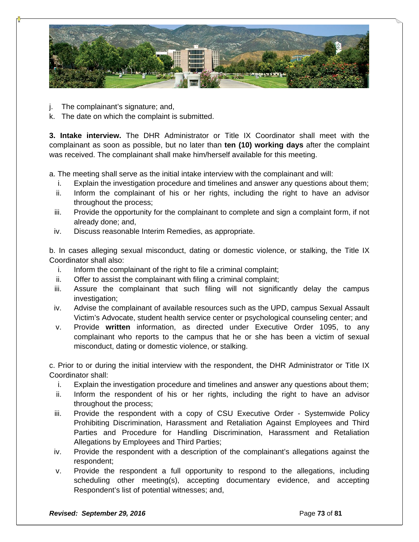

- j. The complainant's signature; and,
- k. The date on which the complaint is submitted.

**3. Intake interview.** The DHR Administrator or Title IX Coordinator shall meet with the complainant as soon as possible, but no later than **ten (10) working days** after the complaint was received. The complainant shall make him/herself available for this meeting.

a. The meeting shall serve as the initial intake interview with the complainant and will:

- i. Explain the investigation procedure and timelines and answer any questions about them;
- ii. Inform the complainant of his or her rights, including the right to have an advisor throughout the process;
- iii. Provide the opportunity for the complainant to complete and sign a complaint form, if not already done; and,
- iv. Discuss reasonable Interim Remedies, as appropriate.

b. In cases alleging sexual misconduct, dating or domestic violence, or stalking, the Title IX Coordinator shall also:

- i. Inform the complainant of the right to file a criminal complaint;
- ii. Offer to assist the complainant with filing a criminal complaint;
- iii. Assure the complainant that such filing will not significantly delay the campus investigation:
- iv. Advise the complainant of available resources such as the UPD, campus Sexual Assault Victim's Advocate, student health service center or psychological counseling center; and
- v. Provide **written** information, as directed under Executive Order 1095, to any complainant who reports to the campus that he or she has been a victim of sexual misconduct, dating or domestic violence, or stalking.

c. Prior to or during the initial interview with the respondent, the DHR Administrator or Title IX Coordinator shall:

- i. Explain the investigation procedure and timelines and answer any questions about them;
- ii. Inform the respondent of his or her rights, including the right to have an advisor throughout the process;
- iii. Provide the respondent with a copy of CSU Executive Order Systemwide Policy Prohibiting Discrimination, Harassment and Retaliation Against Employees and Third Parties and Procedure for Handling Discrimination, Harassment and Retaliation Allegations by Employees and Third Parties;
- iv. Provide the respondent with a description of the complainant's allegations against the respondent;
- v. Provide the respondent a full opportunity to respond to the allegations, including scheduling other meeting(s), accepting documentary evidence, and accepting Respondent's list of potential witnesses; and,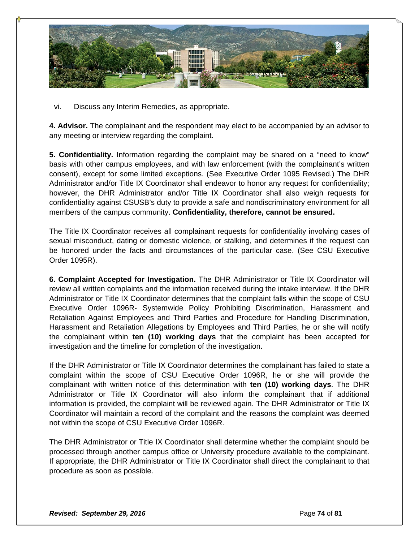

vi. Discuss any Interim Remedies, as appropriate.

**4. Advisor.** The complainant and the respondent may elect to be accompanied by an advisor to any meeting or interview regarding the complaint.

**5. Confidentiality.** Information regarding the complaint may be shared on a "need to know" basis with other campus employees, and with law enforcement (with the complainant's written consent), except for some limited exceptions. (See Executive Order 1095 Revised.) The DHR Administrator and/or Title IX Coordinator shall endeavor to honor any request for confidentiality; however, the DHR Administrator and/or Title IX Coordinator shall also weigh requests for confidentiality against CSUSB's duty to provide a safe and nondiscriminatory environment for all members of the campus community. **Confidentiality, therefore, cannot be ensured.** 

The Title IX Coordinator receives all complainant requests for confidentiality involving cases of sexual misconduct, dating or domestic violence, or stalking, and determines if the request can be honored under the facts and circumstances of the particular case. (See CSU Executive Order 1095R).

**6. Complaint Accepted for Investigation.** The DHR Administrator or Title IX Coordinator will review all written complaints and the information received during the intake interview. If the DHR Administrator or Title IX Coordinator determines that the complaint falls within the scope of CSU Executive Order 1096R- Systemwide Policy Prohibiting Discrimination, Harassment and Retaliation Against Employees and Third Parties and Procedure for Handling Discrimination, Harassment and Retaliation Allegations by Employees and Third Parties, he or she will notify the complainant within **ten (10) working days** that the complaint has been accepted for investigation and the timeline for completion of the investigation.

If the DHR Administrator or Title IX Coordinator determines the complainant has failed to state a complaint within the scope of CSU Executive Order 1096R, he or she will provide the complainant with written notice of this determination with **ten (10) working days**. The DHR Administrator or Title IX Coordinator will also inform the complainant that if additional information is provided, the complaint will be reviewed again. The DHR Administrator or Title IX Coordinator will maintain a record of the complaint and the reasons the complaint was deemed not within the scope of CSU Executive Order 1096R.

The DHR Administrator or Title IX Coordinator shall determine whether the complaint should be processed through another campus office or University procedure available to the complainant. If appropriate, the DHR Administrator or Title IX Coordinator shall direct the complainant to that procedure as soon as possible.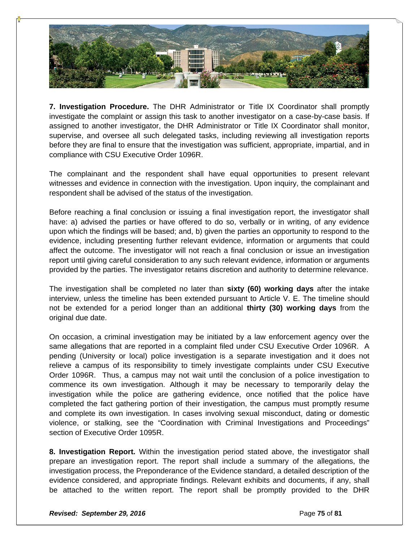

**7. Investigation Procedure.** The DHR Administrator or Title IX Coordinator shall promptly investigate the complaint or assign this task to another investigator on a case-by-case basis. If assigned to another investigator, the DHR Administrator or Title IX Coordinator shall monitor, supervise, and oversee all such delegated tasks, including reviewing all investigation reports before they are final to ensure that the investigation was sufficient, appropriate, impartial, and in compliance with CSU Executive Order 1096R.

The complainant and the respondent shall have equal opportunities to present relevant witnesses and evidence in connection with the investigation. Upon inquiry, the complainant and respondent shall be advised of the status of the investigation.

Before reaching a final conclusion or issuing a final investigation report, the investigator shall have: a) advised the parties or have offered to do so, verbally or in writing, of any evidence upon which the findings will be based; and, b) given the parties an opportunity to respond to the evidence, including presenting further relevant evidence, information or arguments that could affect the outcome. The investigator will not reach a final conclusion or issue an investigation report until giving careful consideration to any such relevant evidence, information or arguments provided by the parties. The investigator retains discretion and authority to determine relevance.

The investigation shall be completed no later than **sixty (60) working days** after the intake interview, unless the timeline has been extended pursuant to Article V. E. The timeline should not be extended for a period longer than an additional **thirty (30) working days** from the original due date.

On occasion, a criminal investigation may be initiated by a law enforcement agency over the same allegations that are reported in a complaint filed under CSU Executive Order 1096R. A pending (University or local) police investigation is a separate investigation and it does not relieve a campus of its responsibility to timely investigate complaints under CSU Executive Order 1096R. Thus, a campus may not wait until the conclusion of a police investigation to commence its own investigation. Although it may be necessary to temporarily delay the investigation while the police are gathering evidence, once notified that the police have completed the fact gathering portion of their investigation, the campus must promptly resume and complete its own investigation. In cases involving sexual misconduct, dating or domestic violence, or stalking, see the "Coordination with Criminal Investigations and Proceedings" section of Executive Order 1095R.

**8. Investigation Report.** Within the investigation period stated above, the investigator shall prepare an investigation report. The report shall include a summary of the allegations, the investigation process, the Preponderance of the Evidence standard, a detailed description of the evidence considered, and appropriate findings. Relevant exhibits and documents, if any, shall be attached to the written report. The report shall be promptly provided to the DHR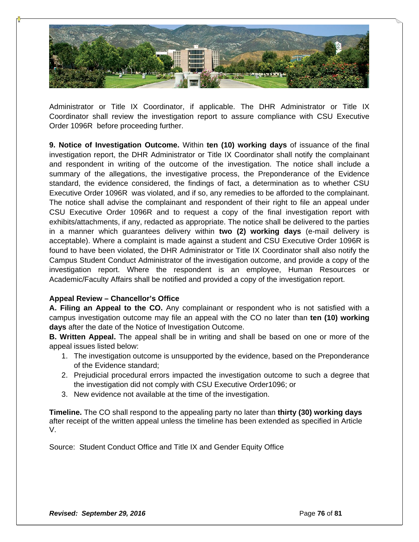

Administrator or Title IX Coordinator, if applicable. The DHR Administrator or Title IX Coordinator shall review the investigation report to assure compliance with CSU Executive Order 1096R before proceeding further.

**9. Notice of Investigation Outcome.** Within **ten (10) working days** of issuance of the final investigation report, the DHR Administrator or Title IX Coordinator shall notify the complainant and respondent in writing of the outcome of the investigation. The notice shall include a summary of the allegations, the investigative process, the Preponderance of the Evidence standard, the evidence considered, the findings of fact, a determination as to whether CSU Executive Order 1096R was violated, and if so, any remedies to be afforded to the complainant. The notice shall advise the complainant and respondent of their right to file an appeal under CSU Executive Order 1096R and to request a copy of the final investigation report with exhibits/attachments, if any, redacted as appropriate. The notice shall be delivered to the parties in a manner which guarantees delivery within **two (2) working days** (e-mail delivery is acceptable). Where a complaint is made against a student and CSU Executive Order 1096R is found to have been violated, the DHR Administrator or Title IX Coordinator shall also notify the Campus Student Conduct Administrator of the investigation outcome, and provide a copy of the investigation report. Where the respondent is an employee, Human Resources or Academic/Faculty Affairs shall be notified and provided a copy of the investigation report.

#### **Appeal Review – Chancellor's Office**

**A. Filing an Appeal to the CO.** Any complainant or respondent who is not satisfied with a campus investigation outcome may file an appeal with the CO no later than **ten (10) working days** after the date of the Notice of Investigation Outcome.

**B. Written Appeal.** The appeal shall be in writing and shall be based on one or more of the appeal issues listed below:

- 1. The investigation outcome is unsupported by the evidence, based on the Preponderance of the Evidence standard;
- 2. Prejudicial procedural errors impacted the investigation outcome to such a degree that the investigation did not comply with CSU Executive Order1096; or
- 3. New evidence not available at the time of the investigation.

**Timeline.** The CO shall respond to the appealing party no later than **thirty (30) working days**  after receipt of the written appeal unless the timeline has been extended as specified in Article V.

Source: Student Conduct Office and Title IX and Gender Equity Office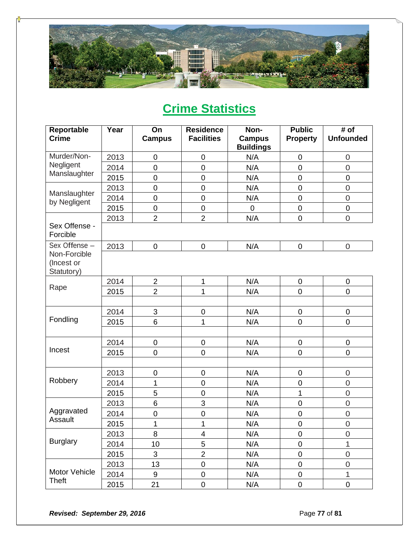

# **Crime Statistics**

| Reportable<br><b>Crime</b>               | Year | On<br><b>Campus</b> | <b>Residence</b><br><b>Facilities</b> | Non-<br><b>Campus</b><br><b>Buildings</b> | <b>Public</b><br><b>Property</b> | # of<br><b>Unfounded</b> |
|------------------------------------------|------|---------------------|---------------------------------------|-------------------------------------------|----------------------------------|--------------------------|
| Murder/Non-                              | 2013 | 0                   | $\pmb{0}$                             | N/A                                       | 0                                | $\overline{0}$           |
| Negligent                                | 2014 | $\mathbf 0$         | 0                                     | N/A                                       | 0                                | $\mathbf 0$              |
| Manslaughter                             | 2015 | $\mathbf 0$         | $\mathbf 0$                           | N/A                                       | $\mathbf 0$                      | $\pmb{0}$                |
|                                          | 2013 | $\overline{0}$      | $\mathbf 0$                           | N/A                                       | $\mathbf 0$                      | $\overline{0}$           |
| Manslaughter<br>by Negligent             | 2014 | $\mathbf 0$         | $\pmb{0}$                             | N/A                                       | $\boldsymbol{0}$                 | $\mathbf 0$              |
|                                          | 2015 | $\mathsf 0$         | $\mathsf 0$                           | $\mathbf 0$                               | $\mathbf 0$                      | $\pmb{0}$                |
|                                          | 2013 | $\overline{2}$      | $\overline{2}$                        | N/A                                       | $\mathbf 0$                      | $\overline{0}$           |
| Sex Offense -<br>Forcible                |      |                     |                                       |                                           |                                  |                          |
| Sex Offense -                            | 2013 | $\mathsf 0$         | $\pmb{0}$                             | N/A                                       | $\pmb{0}$                        | $\boldsymbol{0}$         |
| Non-Forcible<br>(Incest or<br>Statutory) |      |                     |                                       |                                           |                                  |                          |
|                                          | 2014 | $\overline{2}$      | $\mathbf{1}$                          | N/A                                       | 0                                | $\pmb{0}$                |
| Rape                                     | 2015 | $\overline{2}$      | $\mathbf{1}$                          | N/A                                       | 0                                | $\mathbf 0$              |
|                                          |      |                     |                                       |                                           |                                  |                          |
|                                          | 2014 | $\mathfrak{S}$      | $\pmb{0}$                             | N/A                                       | 0                                | $\pmb{0}$                |
| Fondling                                 | 2015 | 6                   | 1                                     | N/A                                       | $\mathsf 0$                      | $\mathbf 0$              |
|                                          |      |                     |                                       |                                           |                                  |                          |
|                                          | 2014 | $\mathsf 0$         | $\mathbf 0$                           | N/A                                       | 0                                | $\mathbf 0$              |
| Incest                                   | 2015 | $\mathbf 0$         | 0                                     | N/A                                       | 0                                | $\mathbf 0$              |
|                                          |      |                     |                                       |                                           |                                  |                          |
|                                          | 2013 | 0                   | $\pmb{0}$                             | N/A                                       | 0                                | $\mathbf 0$              |
| Robbery                                  | 2014 | 1                   | $\boldsymbol{0}$                      | N/A                                       | 0                                | $\mathsf 0$              |
|                                          | 2015 | 5                   | $\mathbf 0$                           | N/A                                       | 1                                | $\overline{0}$           |
|                                          | 2013 | $6\phantom{1}$      | 3                                     | N/A                                       | $\mathbf 0$                      | $\mathbf 0$              |
| Aggravated                               | 2014 | $\mathbf 0$         | $\mathbf 0$                           | N/A                                       | 0                                | $\mathbf 0$              |
| Assault                                  | 2015 | 1                   | $\mathbf 1$                           | N/A                                       | $\mathbf 0$                      | $\mathbf 0$              |
|                                          | 2013 | 8                   | $\overline{\mathbf{4}}$               | N/A                                       | $\boldsymbol{0}$                 | $\mathbf 0$              |
| <b>Burglary</b>                          | 2014 | 10                  | 5                                     | N/A                                       | $\mathbf 0$                      | 1                        |
|                                          | 2015 | 3                   | $\overline{c}$                        | N/A                                       | 0                                | $\boldsymbol{0}$         |
|                                          | 2013 | 13                  | $\mathbf 0$                           | N/A                                       | 0                                | $\mathsf 0$              |
| Motor Vehicle                            | 2014 | $9\,$               | $\pmb{0}$                             | N/A                                       | 0                                | 1                        |
| <b>Theft</b>                             | 2015 | 21                  | $\pmb{0}$                             | N/A                                       | 0                                | $\pmb{0}$                |

**Revised: September 29, 2016 Page 77** of 81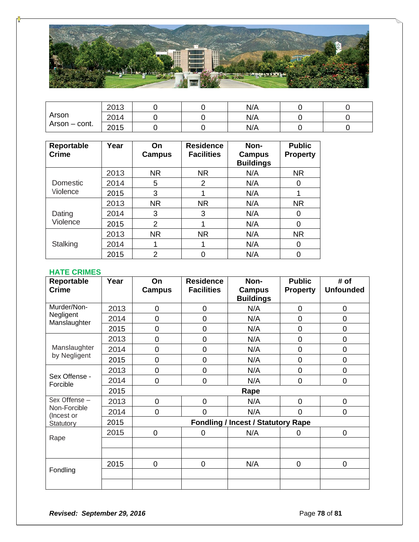

| Arson<br>Arson – cont. | 2013 |  | N/A |  |
|------------------------|------|--|-----|--|
|                        | 2014 |  | N/A |  |
|                        | 2015 |  | N/A |  |

| Reportable<br><b>Crime</b> | Year | On<br>Campus | <b>Residence</b><br><b>Facilities</b> | Non-<br>Campus<br><b>Buildings</b> | <b>Public</b><br><b>Property</b> |
|----------------------------|------|--------------|---------------------------------------|------------------------------------|----------------------------------|
|                            | 2013 | <b>NR</b>    | <b>NR</b>                             | N/A                                | <b>NR</b>                        |
| Domestic                   | 2014 | 5            | 2                                     | N/A                                | 0                                |
| Violence                   | 2015 | 3            |                                       | N/A                                |                                  |
| Dating<br>Violence         | 2013 | <b>NR</b>    | <b>NR</b>                             | N/A                                | <b>NR</b>                        |
|                            | 2014 | 3            | 3                                     | N/A                                | 0                                |
|                            | 2015 | 2            |                                       | N/A                                | 0                                |
| Stalking                   | 2013 | <b>NR</b>    | <b>NR</b>                             | N/A                                | <b>NR</b>                        |
|                            | 2014 |              | 1                                     | N/A                                | 0                                |
|                            | 2015 | 2            | 0                                     | N/A                                | 0                                |

## **HATE CRIMES**

| Reportable<br><b>Crime</b> | Year | On<br><b>Campus</b> | <b>Residence</b><br><b>Facilities</b> | Non-<br><b>Campus</b>                     | <b>Public</b><br><b>Property</b> | # of<br><b>Unfounded</b> |
|----------------------------|------|---------------------|---------------------------------------|-------------------------------------------|----------------------------------|--------------------------|
|                            |      |                     |                                       | <b>Buildings</b>                          |                                  |                          |
| Murder/Non-                | 2013 | 0                   | $\mathbf 0$                           | N/A                                       | 0                                | 0                        |
| Negligent<br>Manslaughter  | 2014 | 0                   | 0                                     | N/A                                       | 0                                | $\overline{0}$           |
|                            | 2015 | 0                   | $\mathbf 0$                           | N/A                                       | 0                                | 0                        |
|                            | 2013 | 0                   | $\overline{0}$                        | N/A                                       | 0                                | $\overline{0}$           |
| Manslaughter               | 2014 | 0                   | $\mathbf 0$                           | N/A                                       | 0                                | 0                        |
| by Negligent               | 2015 | 0                   | $\mathbf 0$                           | N/A                                       | 0                                | 0                        |
|                            | 2013 | 0                   | $\mathbf 0$                           | N/A                                       | 0                                | 0                        |
| Sex Offense -<br>Forcible  | 2014 | 0                   | $\overline{0}$                        | N/A                                       | 0                                | $\overline{0}$           |
|                            | 2015 |                     |                                       | Rape                                      |                                  |                          |
| Sex Offense -              | 2013 | 0                   | $\overline{0}$                        | N/A                                       | 0                                | 0                        |
| Non-Forcible<br>(Incest or | 2014 | 0                   | $\overline{0}$                        | N/A                                       | 0                                | 0                        |
| Statutory                  | 2015 |                     |                                       | <b>Fondling / Incest / Statutory Rape</b> |                                  |                          |
|                            | 2015 | $\mathbf 0$         | $\mathbf 0$                           | N/A                                       | $\mathbf 0$                      | $\mathbf 0$              |
| Rape                       |      |                     |                                       |                                           |                                  |                          |
|                            |      |                     |                                       |                                           |                                  |                          |
|                            | 2015 | $\overline{0}$      | $\mathbf 0$                           | N/A                                       | $\mathbf 0$                      | $\overline{0}$           |
| Fondling                   |      |                     |                                       |                                           |                                  |                          |
|                            |      |                     |                                       |                                           |                                  |                          |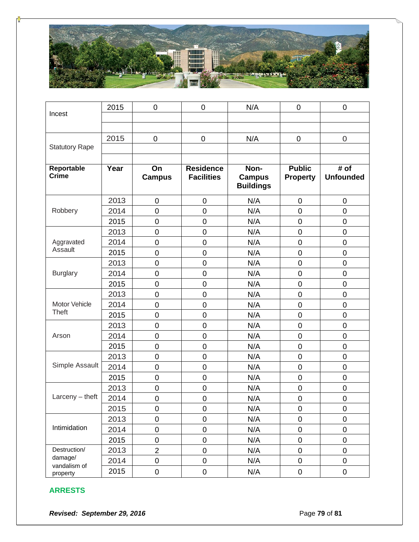

|                            | 2015 | 0                   | $\mathbf 0$                           | N/A                                       | $\mathbf 0$                      | $\mathbf 0$                                |
|----------------------------|------|---------------------|---------------------------------------|-------------------------------------------|----------------------------------|--------------------------------------------|
| Incest                     |      |                     |                                       |                                           |                                  |                                            |
|                            |      |                     |                                       |                                           |                                  |                                            |
|                            | 2015 | 0                   | $\mathbf 0$                           | N/A                                       | $\mathbf 0$                      | $\mathbf 0$                                |
| <b>Statutory Rape</b>      |      |                     |                                       |                                           |                                  |                                            |
|                            |      |                     |                                       |                                           |                                  |                                            |
| Reportable<br><b>Crime</b> | Year | On<br><b>Campus</b> | <b>Residence</b><br><b>Facilities</b> | Non-<br><b>Campus</b><br><b>Buildings</b> | <b>Public</b><br><b>Property</b> | $\overline{\sharp}$ of<br><b>Unfounded</b> |
|                            | 2013 | 0                   | $\mathbf 0$                           | N/A                                       | $\boldsymbol{0}$                 | $\pmb{0}$                                  |
| Robbery                    | 2014 | 0                   | $\mathbf 0$                           | N/A                                       | $\mathsf 0$                      | $\mathbf 0$                                |
|                            | 2015 | $\mathbf 0$         | $\mathbf 0$                           | N/A                                       | $\mathbf 0$                      | $\mathbf 0$                                |
|                            | 2013 | 0                   | $\mathbf 0$                           | N/A                                       | $\mathsf 0$                      | $\mathbf 0$                                |
| Aggravated                 | 2014 | $\mathsf 0$         | $\mathbf 0$                           | N/A                                       | $\mathsf 0$                      | $\mathsf 0$                                |
| Assault                    | 2015 | $\mathbf 0$         | $\mathsf 0$                           | N/A                                       | $\boldsymbol{0}$                 | $\mathsf 0$                                |
|                            | 2013 | $\mathbf 0$         | $\mathbf 0$                           | N/A                                       | $\mathbf 0$                      | $\mathsf 0$                                |
| <b>Burglary</b>            | 2014 | $\mathsf 0$         | $\mathbf 0$                           | N/A                                       | $\boldsymbol{0}$                 | $\mathsf 0$                                |
|                            | 2015 | $\mathsf 0$         | $\mathbf 0$                           | N/A                                       | $\mathsf 0$                      | $\mathbf 0$                                |
|                            | 2013 | $\mathbf 0$         | $\overline{0}$                        | N/A                                       | $\mathsf 0$                      | $\mathbf 0$                                |
| Motor Vehicle              | 2014 | $\mathbf 0$         | $\mathbf 0$                           | N/A                                       | $\mathsf 0$                      | $\mathbf 0$                                |
| <b>Theft</b>               | 2015 | $\mathsf 0$         | $\mathbf 0$                           | N/A                                       | $\mathbf 0$                      | $\mathbf 0$                                |
|                            | 2013 | 0                   | $\mathbf 0$                           | N/A                                       | $\mathsf 0$                      | $\mathsf 0$                                |
| Arson                      | 2014 | $\mathbf 0$         | $\overline{0}$                        | N/A                                       | $\mathbf 0$                      | $\mathbf 0$                                |
|                            | 2015 | $\mathbf 0$         | $\mathbf 0$                           | N/A                                       | $\mathsf 0$                      | $\mathbf 0$                                |
|                            | 2013 | $\mathbf 0$         | $\mathbf 0$                           | N/A                                       | $\mathbf 0$                      | $\mathbf 0$                                |
| Simple Assault             | 2014 | 0                   | $\mathbf 0$                           | N/A                                       | $\mathsf 0$                      | $\mathsf 0$                                |
|                            | 2015 | $\mathbf 0$         | $\mathbf 0$                           | N/A                                       | $\mathbf 0$                      | $\mathbf 0$                                |
|                            | 2013 | 0                   | $\mathbf 0$                           | N/A                                       | $\boldsymbol{0}$                 | $\mathbf 0$                                |
| $Larceny - \text{theft}$   | 2014 | $\mathsf 0$         | $\mathbf 0$                           | N/A                                       | $\mathsf 0$                      | $\mathsf 0$                                |
|                            | 2015 | $\pmb{0}$           | $\pmb{0}$                             | N/A                                       | 0                                | 0                                          |
|                            | 2013 | $\mathsf 0$         | $\boldsymbol{0}$                      | N/A                                       | $\boldsymbol{0}$                 | $\pmb{0}$                                  |
| Intimidation               | 2014 | $\mathsf 0$         | $\mathbf 0$                           | N/A                                       | $\mathbf 0$                      | $\pmb{0}$                                  |
|                            | 2015 | $\pmb{0}$           | $\mathbf 0$                           | N/A                                       | $\mathbf 0$                      | $\mathsf 0$                                |
| Destruction/               | 2013 | $\overline{2}$      | $\mathbf 0$                           | N/A                                       | $\mathbf 0$                      | $\mathsf 0$                                |
| damage/<br>vandalism of    | 2014 | $\mathbf 0$         | $\mathbf 0$                           | N/A                                       | $\mathbf 0$                      | $\mathsf 0$                                |
| property                   | 2015 | $\mathsf 0$         | $\pmb{0}$                             | N/A                                       | $\pmb{0}$                        | $\mathsf 0$                                |

### **ARRESTS**

**Revised: September 29, 2016 Page 79** of 81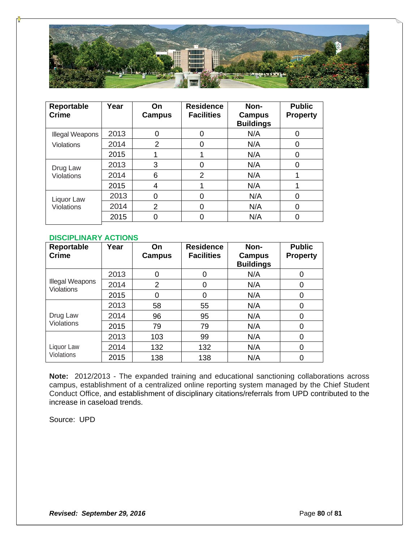

| Reportable<br><b>Crime</b>      | Year | On<br>Campus | <b>Residence</b><br><b>Facilities</b> | Non-<br><b>Campus</b><br><b>Buildings</b> | <b>Public</b><br><b>Property</b> |
|---------------------------------|------|--------------|---------------------------------------|-------------------------------------------|----------------------------------|
| Illegal Weapons                 | 2013 | ∩            | 0                                     | N/A                                       | 0                                |
| Violations                      | 2014 | 2            | 0                                     | N/A                                       | 0                                |
|                                 | 2015 |              |                                       | N/A                                       | 0                                |
| Drug Law<br><b>Violations</b>   | 2013 | 3            | 0                                     | N/A                                       | 0                                |
|                                 | 2014 | 6            | 2                                     | N/A                                       |                                  |
|                                 | 2015 | 4            |                                       | N/A                                       |                                  |
| Liquor Law<br><b>Violations</b> | 2013 | 0            | 0                                     | N/A                                       | 0                                |
|                                 | 2014 | 2            | 0                                     | N/A                                       | O                                |
|                                 | 2015 | 0            | 0                                     | N/A                                       |                                  |

### **DISCIPLINARY ACTIONS**

| Reportable<br><b>Crime</b>           | Year | On.<br>Campus | <b>Residence</b><br><b>Facilities</b> | Non-<br>Campus<br><b>Buildings</b> | <b>Public</b><br><b>Property</b> |
|--------------------------------------|------|---------------|---------------------------------------|------------------------------------|----------------------------------|
|                                      | 2013 | $\Omega$      | 0                                     | N/A                                | 0                                |
| Illegal Weapons<br><b>Violations</b> | 2014 | 2             | 0                                     | N/A                                | 0                                |
|                                      | 2015 | $\Omega$      | 0                                     | N/A                                | 0                                |
|                                      | 2013 | 58            | 55                                    | N/A                                | 0                                |
| Drug Law                             | 2014 | 96            | 95                                    | N/A                                | 0                                |
| <b>Violations</b>                    | 2015 | 79            | 79                                    | N/A                                | 0                                |
|                                      | 2013 | 103           | 99                                    | N/A                                | 0                                |
| Liquor Law                           | 2014 | 132           | 132                                   | N/A                                | 0                                |
| <b>Violations</b>                    | 2015 | 138           | 138                                   | N/A                                | 0                                |

**Note:** 2012/2013 - The expanded training and educational sanctioning collaborations across campus, establishment of a centralized online reporting system managed by the Chief Student Conduct Office, and establishment of disciplinary citations/referrals from UPD contributed to the increase in caseload trends.

Source: UPD